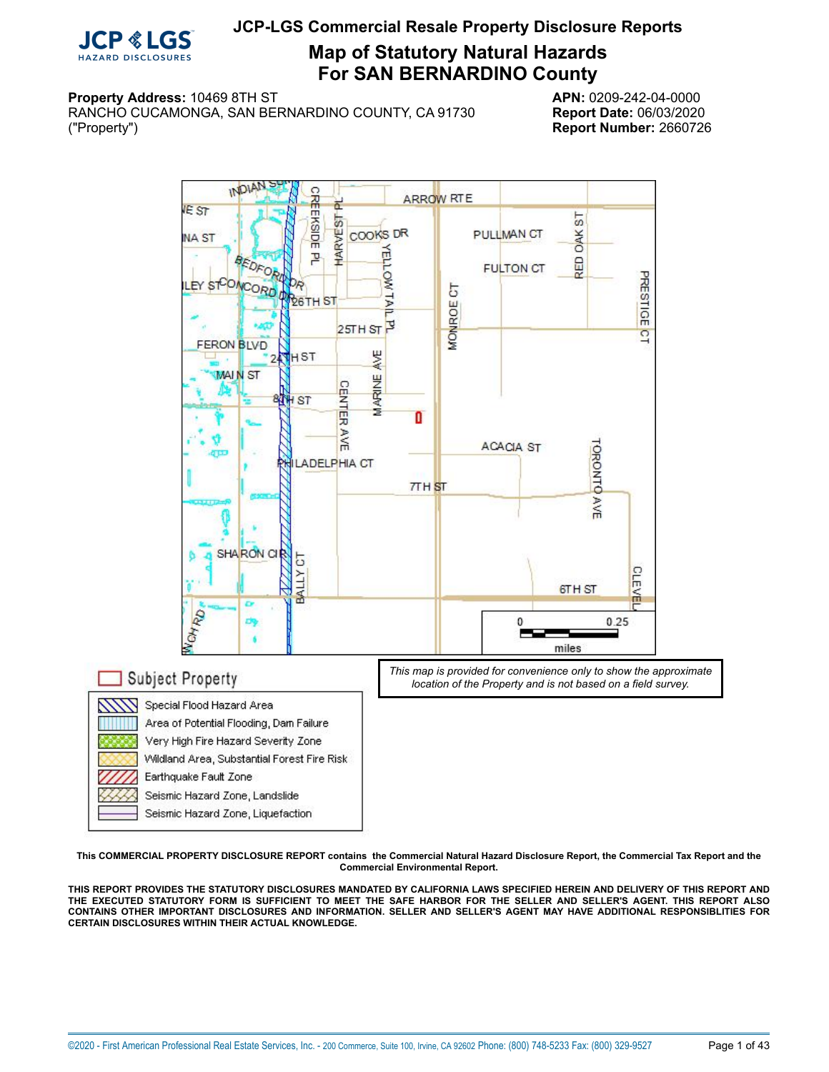

# **Map of Statutory Natural Hazards For SAN BERNARDINO County**

#### **Property Address:** 10469 8TH ST **APN:** 0209-242-04-0000

RANCHO CUCAMONGA, SAN BERNARDINO COUNTY, CA 91730 **Report Date:** 06/03/2020 ("Property") **Report Number:** 2660726

<span id="page-0-0"></span>

**This COMMERCIAL PROPERTY DISCLOSURE REPORT contains the Commercial Natural Hazard Disclosure Report, the Commercial Tax Report and the Commercial Environmental Report.**

THIS REPORT PROVIDES THE STATUTORY DISCLOSURES MANDATED BY CALIFORNIA LAWS SPECIFIED HEREIN AND DELIVERY OF THIS REPORT AND THE EXECUTED STATUTORY FORM IS SUFFICIENT TO MEET THE SAFE HARBOR FOR THE SELLER AND SELLER'S AGENT. THIS REPORT ALSO **CONTAINS OTHER IMPORTANT DISCLOSURES AND INFORMATION. SELLER AND SELLER'S AGENT MAY HAVE ADDITIONAL RESPONSIBLITIES FOR CERTAIN DISCLOSURES WITHIN THEIR ACTUAL KNOWLEDGE.**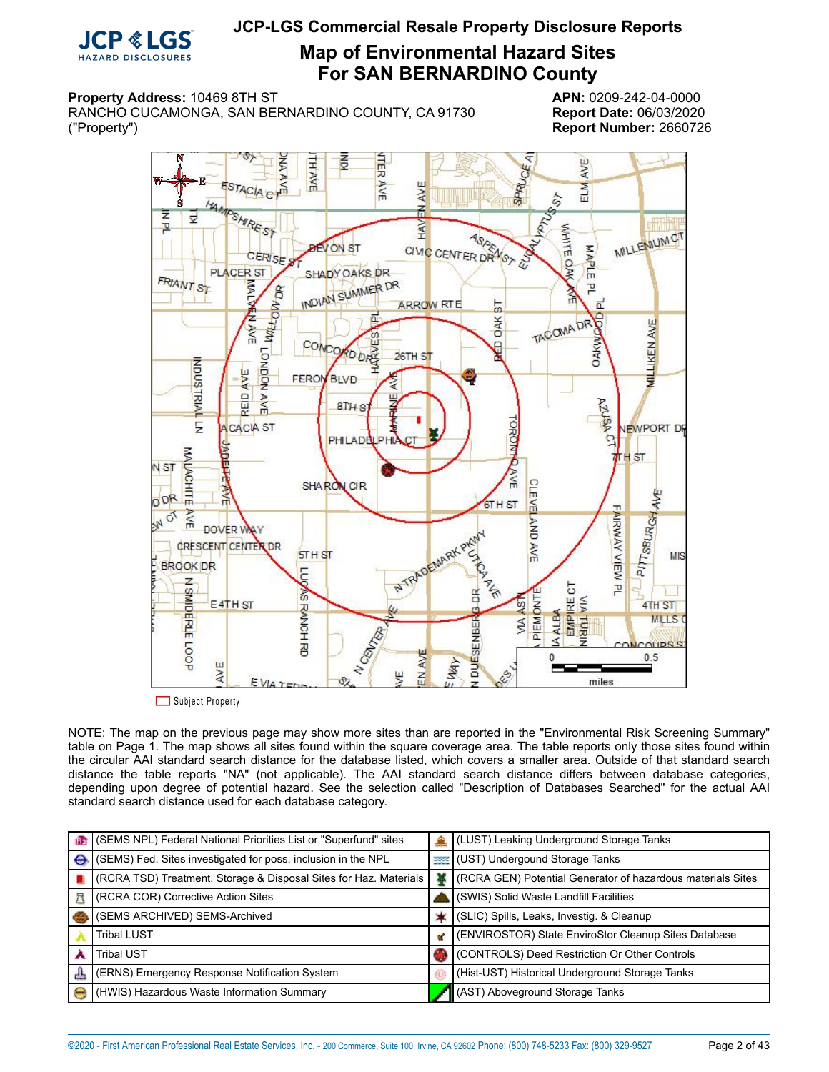

**Map of Environmental Hazard Sites For SAN BERNARDINO County**

### **Property Address:** 10469 8TH ST **APN:** 0209-242-04-0000

<span id="page-1-0"></span>RANCHO CUCAMONGA, SAN BERNARDINO COUNTY, CA 91730 **Report Date:** 06/03/2020 ("Property") **Report Number:** 2660726



NOTE: The map on the previous page may show more sites than are reported in the "Environmental Risk Screening Summary" table on Page 1. The map shows all sites found within the square coverage area. The table reports only those sites found within the circular AAI standard search distance for the database listed, which covers a smaller area. Outside of that standard search distance the table reports "NA" (not applicable). The AAI standard search distance differs between database categories, depending upon degree of potential hazard. See the selection called "Description of Databases Searched" for the actual AAI standard search distance used for each database category.

|   | (SEMS NPL) Federal National Priorities List or "Superfund" sites  |    | (LUST) Leaking Underground Storage Tanks                    |
|---|-------------------------------------------------------------------|----|-------------------------------------------------------------|
| ⊖ | (SEMS) Fed. Sites investigated for poss. inclusion in the NPL     |    | <b>BEE (UST)</b> Undergound Storage Tanks                   |
|   | (RCRA TSD) Treatment, Storage & Disposal Sites for Haz. Materials |    | (RCRA GEN) Potential Generator of hazardous materials Sites |
|   | <b>KCRA COR) Corrective Action Sites</b>                          |    | ↓ (SWIS) Solid Waste Landfill Facilities                    |
|   | (SEMS ARCHIVED) SEMS-Archived                                     |    | (SLIC) Spills, Leaks, Investig. & Cleanup                   |
|   | <b>Tribal LUST</b>                                                | u. | (ENVIROSTOR) State EnviroStor Cleanup Sites Database        |
|   | <b>Tribal UST</b>                                                 |    | CONTROLS) Deed Restriction Or Other Controls                |
| 县 | (ERNS) Emergency Response Notification System                     |    | (Hist-UST) Historical Underground Storage Tanks             |
|   | (HWIS) Hazardous Waste Information Summary                        |    | (AST) Aboveground Storage Tanks                             |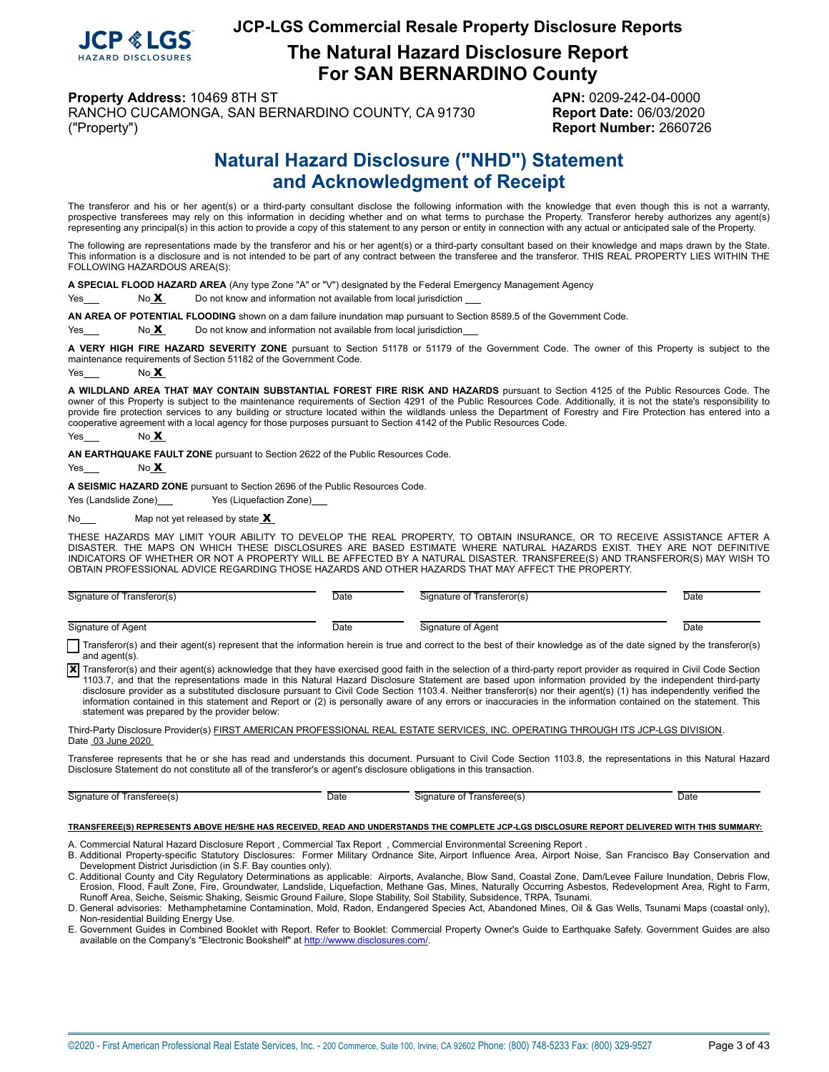

**The Natural Hazard Disclosure Report For SAN BERNARDINO County**

**Property Address:** 10469 8TH ST **APN:** 0209-242-04-0000

<span id="page-2-0"></span>RANCHO CUCAMONGA, SAN BERNARDINO COUNTY, CA 91730 **Report Date:** 06/03/2020 ("Property") **Report Number:** 2660726

# **Natural Hazard Disclosure ("NHD") Statement and Acknowledgment of Receipt**

The transferor and his or her agent(s) or a third-party consultant disclose the following information with the knowledge that even though this is not a warranty, prospective transferees may rely on this information in deciding whether and on what terms to purchase the Property. Transferor hereby authorizes any agent(s) representing any principal(s) in this action to provide a copy of this statement to any person or entity in connection with any actual or anticipated sale of the Property.

The following are representations made by the transferor and his or her agent(s) or a third-party consultant based on their knowledge and maps drawn by the State. This information is a disclosure and is not intended to be part of any contract between the transferee and the transferor. THIS REAL PROPERTY LIES WITHIN THE FOLLOWING HAZARDOUS AREA(S):

**A SPECIAL FLOOD HAZARD AREA** (Any type Zone "A" or "V") designated by the Federal Emergency Management Agency

 $Yes$  No  $X$  Do not know and information not available from local jurisdiction

**AN AREA OF POTENTIAL FLOODING** shown on a dam failure inundation map pursuant to Section 8589.5 of the Government Code.

 $Yes  $NS$  No  $X$  Do not know and information not available from local jurisdiction.$ 

**A VERY HIGH FIRE HAZARD SEVERITY ZONE** pursuant to Section 51178 or 51179 of the Government Code. The owner of this Property is subject to the maintenance requirements of Section 51182 of the Government Code.

Yes No **X** 

**A WILDLAND AREA THAT MAY CONTAIN SUBSTANTIAL FOREST FIRE RISK AND HAZARDS** pursuant to Section 4125 of the Public Resources Code. The owner of this Property is subject to the maintenance requirements of Section 4291 of the Public Resources Code. Additionally, it is not the state's responsibility to provide fire protection services to any building or structure located within the wildlands unless the Department of Forestry and Fire Protection has entered into a cooperative agreement with a local agency for those purposes pursuant to Section 4142 of the Public Resources Code.

Yes No **X** 

**AN EARTHQUAKE FAULT ZONE** pursuant to Section 2622 of the Public Resources Code.

Yes No **X** 

**A SEISMIC HAZARD ZONE** pursuant to Section 2696 of the Public Resources Code.

Yes (Landslide Zone) Yes (Liquefaction Zone)

No<sub> Map</sub> not yet released by state

THESE HAZARDS MAY LIMIT YOUR ABILITY TO DEVELOP THE REAL PROPERTY, TO OBTAIN INSURANCE, OR TO RECEIVE ASSISTANCE AFTER A<br>DISASTER. THE MAPS ON WHICH THESE DISCLOSURES ARE BASED ESTIMATE WHERE NATURAL HAZARDS EXIST. THEY AR INDICATORS OF WHETHER OR NOT A PROPERTY WILL BE AFFECTED BY A NATURAL DISASTER. TRANSFEREE(S) AND TRANSFEROR(S) MAY WISH TO OBTAIN PROFESSIONAL ADVICE REGARDING THOSE HAZARDS AND OTHER HAZARDS THAT MAY AFFECT THE PROPERTY.

| Signature of Transferor(s) | Date | Signature of Transferor(s) | Date |
|----------------------------|------|----------------------------|------|
|                            |      |                            |      |
| Signature of Agent         | Date | Signature of Agent         | Date |

Transferor(s) and their agent(s) represent that the information herein is true and correct to the best of their knowledge as of the date signed by the transferor(s) and agent(s).

X Transferor(s) and their agent(s) acknowledge that they have exercised good faith in the selection of a third-party report provider as required in Civil Code Section 1103.7, and that the representations made in this Natural Hazard Disclosure Statement are based upon information provided by the independent third-party disclosure provider as a substituted disclosure pursuant to Civil Code Section 1103.4. Neither transferor(s) nor their agent(s) (1) has independently verified the information contained in this statement and Report or (2) is personally aware of any errors or inaccuracies in the information contained on the statement. This statement was prepared by the provider below:

Third-Party Disclosure Provider(s) FIRST AMERICAN PROFESSIONAL REAL ESTATE SERVICES, INC. OPERATING THROUGH ITS JCP-LGS DIVISION. Date 03 June 2020

Transferee represents that he or she has read and understands this document. Pursuant to Civil Code Section 1103.8, the representations in this Natural Hazard Disclosure Statement do not constitute all of the transferor's or agent's disclosure obligations in this transaction.

Signature of Transferee(s) Date Date Signature of Transferee(s) Date Date

#### **TRANSFEREE(S) REPRESENTS ABOVE HE/SHE HAS RECEIVED, READ AND UNDERSTANDS THE COMPLETE JCP-LGS DISCLOSURE REPORT DELIVERED WITH THIS SUMMARY:**

A. Commercial Natural Hazard Disclosure Report , Commercial Tax Report , Commercial Environmental Screening Report . B. Additional Property-specific Statutory Disclosures: Former Military Ordnance Site, Airport Influence Area, Airport Noise, San Francisco Bay Conservation and Development District Jurisdiction (in S.F. Bay counties only).

C. Additional County and City Regulatory Determinations as applicable: Airports, Avalanche, Blow Sand, Coastal Zone, Dam/Levee Failure Inundation, Debris Flow,<br>Erosion, Flood, Fault Zone, Fire, Groundwater, Landslide, Liq Runoff Area, Seiche, Seismic Shaking, Seismic Ground Failure, Slope Stability, Soil Stability, Subsidence, TRPA, Tsunami.

D. General advisories: Methamphetamine Contamination, Mold, Radon, Endangered Species Act, Abandoned Mines, Oil & Gas Wells, Tsunami Maps (coastal only), Non-residential Building Energy Use.

E. Government Guides in Combined Booklet with Report. Refer to Booklet: Commercial Property Owner's Guide to Earthquake Safety. Government Guides are also available on the Company's "Electronic Bookshelf" at [http://wwww.disclosures.com/](http://www.disclosures.com/).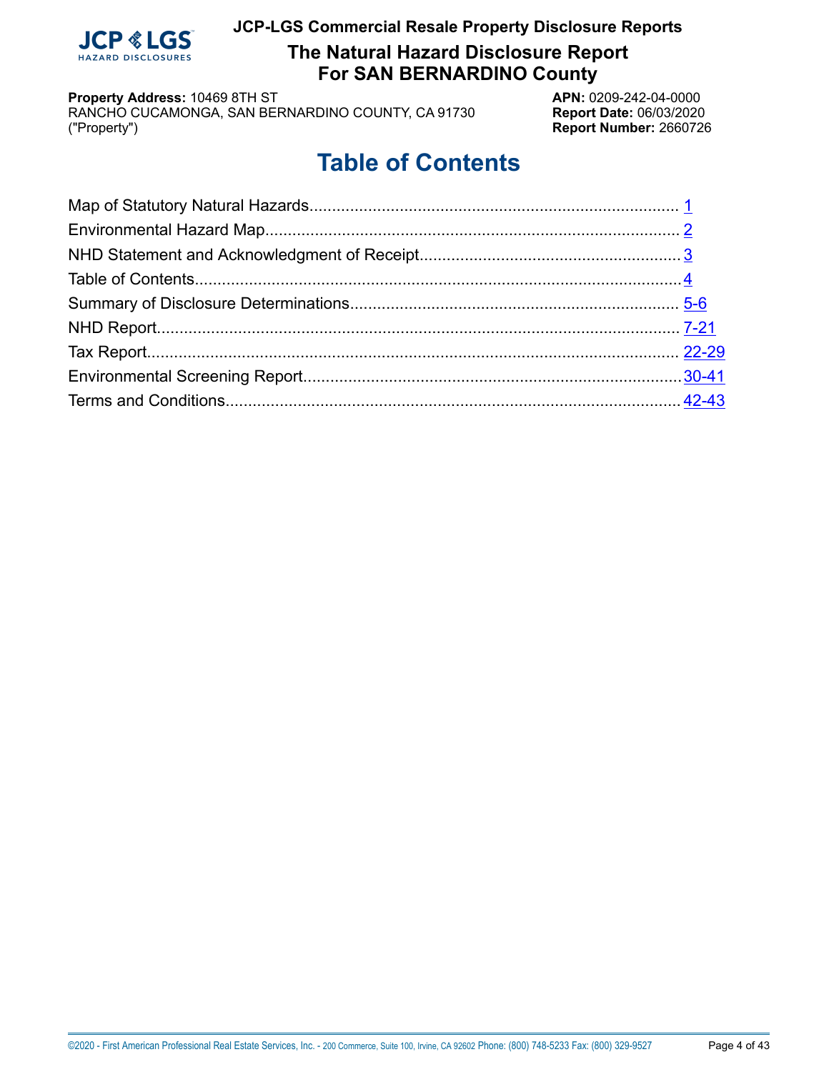

**The Natural Hazard Disclosure Report For SAN BERNARDINO County**

**Property Address:** 10469 8TH ST<br>RANCHO CUCAMONGA, SAN BERNARDINO COUNTY, CA 91730 **APN:** 0209-242-04-0000 RANCHO CUCAMONGA, SAN BERNARDINO COUNTY, CA 91730 ("Property") **Report Number:** 2660726

# **Table of Contents**

<span id="page-3-0"></span>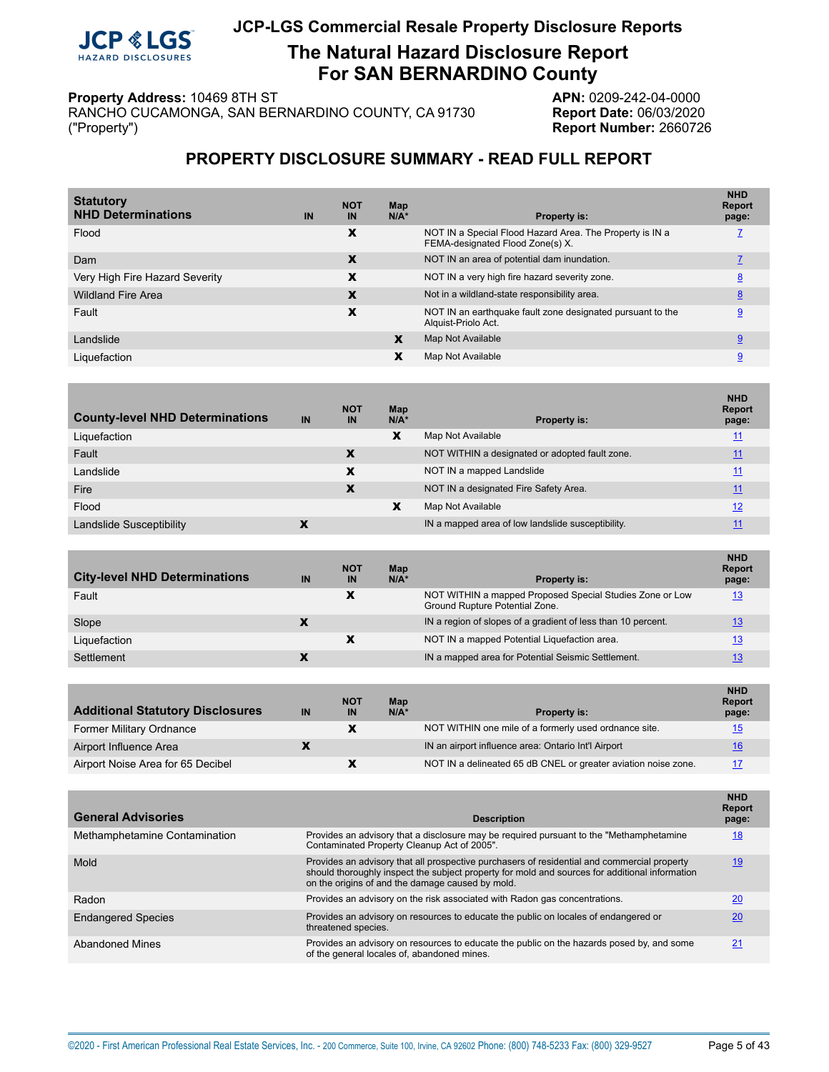

**The Natural Hazard Disclosure Report For SAN BERNARDINO County**

**Property Address:** 10469 8TH ST<br>RANCHO CUCAMONGA, SAN BERNARDINO COUNTY, CA 91730 **APN:** 0209-242-04-0000 RANCHO CUCAMONGA, SAN BERNARDINO COUNTY, CA 91730 ("Property") **Report Number:** 2660726

## **PROPERTY DISCLOSURE SUMMARY - READ FULL REPORT**

<span id="page-4-0"></span>

| IN | <b>NOT</b><br>IN | Map<br>$N/A^*$ | <b>Property is:</b>                                                                          | <b>NHD</b><br><b>Report</b><br>page: |
|----|------------------|----------------|----------------------------------------------------------------------------------------------|--------------------------------------|
|    | X                |                | NOT IN a Special Flood Hazard Area. The Property is IN a<br>FEMA-designated Flood Zone(s) X. |                                      |
|    | X                |                | NOT IN an area of potential dam inundation.                                                  |                                      |
|    | x                |                | NOT IN a very high fire hazard severity zone.                                                | 8                                    |
|    | X                |                | Not in a wildland-state responsibility area.                                                 | 8                                    |
|    | x                |                | NOT IN an earthquake fault zone designated pursuant to the<br>Alquist-Priolo Act.            | 9                                    |
|    |                  | X              | Map Not Available                                                                            | 9                                    |
|    |                  | x              | Map Not Available                                                                            | 9                                    |
|    |                  |                |                                                                                              |                                      |

| <b>County-level NHD Determinations</b> | IN | <b>NOT</b><br>IN | Map<br>$N/A^*$ | <b>Property is:</b>                               | <b>NHD</b><br><b>Report</b><br>page: |
|----------------------------------------|----|------------------|----------------|---------------------------------------------------|--------------------------------------|
| Liquefaction                           |    |                  | X              | Map Not Available                                 | 11                                   |
| Fault                                  |    | x                |                | NOT WITHIN a designated or adopted fault zone.    | 11                                   |
| Landslide                              |    | x                |                | NOT IN a mapped Landslide                         | 11                                   |
| Fire                                   |    | X                |                | NOT IN a designated Fire Safety Area.             | 11                                   |
| Flood                                  |    |                  | X              | Map Not Available                                 | 12                                   |
| Landslide Susceptibility               |    |                  |                | IN a mapped area of low landslide susceptibility. |                                      |

| <b>City-level NHD Determinations</b> | IN | <b>NOT</b><br>IN | Map<br>$N/A*$ | <b>Property is:</b>                                                                        | <b>NHD</b><br><b>Report</b><br>page: |
|--------------------------------------|----|------------------|---------------|--------------------------------------------------------------------------------------------|--------------------------------------|
| Fault                                |    | х                |               | NOT WITHIN a mapped Proposed Special Studies Zone or Low<br>Ground Rupture Potential Zone. | 13                                   |
| Slope                                |    |                  |               | IN a region of slopes of a gradient of less than 10 percent.                               | 13                                   |
| Liquefaction                         |    |                  |               | NOT IN a mapped Potential Liquefaction area.                                               | 13                                   |
| Settlement                           |    |                  |               | IN a mapped area for Potential Seismic Settlement.                                         | 13                                   |

| <b>Additional Statutory Disclosures</b> | IN                       | <b>NOT</b><br>IN | Map<br>$N/A^*$ | <b>Property is:</b>                                            | <b>NHD</b><br><b>Report</b><br>page: |
|-----------------------------------------|--------------------------|------------------|----------------|----------------------------------------------------------------|--------------------------------------|
| <b>Former Military Ordnance</b>         |                          |                  |                | NOT WITHIN one mile of a formerly used ordnance site.          | 15                                   |
| Airport Influence Area                  | $\overline{\phantom{a}}$ |                  |                | IN an airport influence area: Ontario Int'l Airport            | 16                                   |
| Airport Noise Area for 65 Decibel       |                          |                  |                | NOT IN a delineated 65 dB CNEL or greater aviation noise zone. | 17                                   |

| <b>General Advisories</b>     | <b>Description</b>                                                                                                                                                                                                                                | <b>NHD</b><br><b>Report</b><br>page: |
|-------------------------------|---------------------------------------------------------------------------------------------------------------------------------------------------------------------------------------------------------------------------------------------------|--------------------------------------|
| Methamphetamine Contamination | Provides an advisory that a disclosure may be required pursuant to the "Methamphetamine"<br>Contaminated Property Cleanup Act of 2005".                                                                                                           | <u>18</u>                            |
| Mold                          | Provides an advisory that all prospective purchasers of residential and commercial property<br>should thoroughly inspect the subject property for mold and sources for additional information<br>on the origins of and the damage caused by mold. | <u>19</u>                            |
| Radon                         | Provides an advisory on the risk associated with Radon gas concentrations.                                                                                                                                                                        | 20                                   |
| <b>Endangered Species</b>     | Provides an advisory on resources to educate the public on locales of endangered or<br>threatened species.                                                                                                                                        | 20                                   |
| <b>Abandoned Mines</b>        | Provides an advisory on resources to educate the public on the hazards posed by, and some<br>of the general locales of, abandoned mines.                                                                                                          | 21                                   |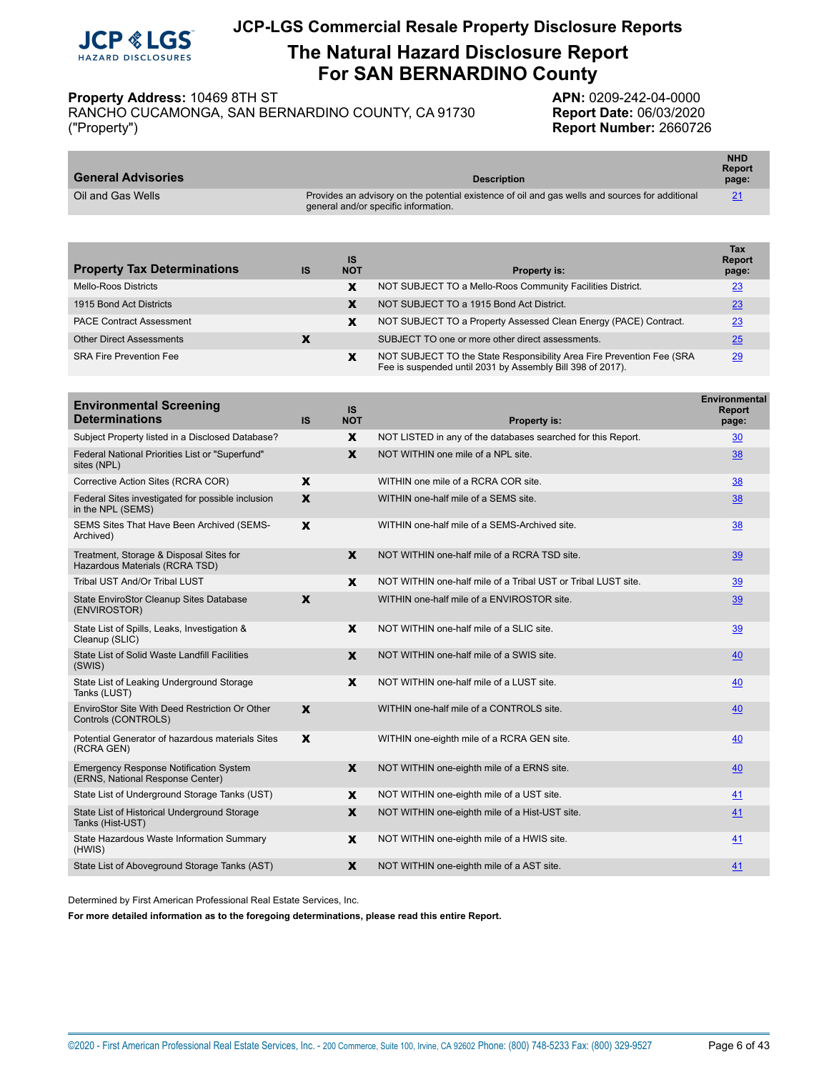

# **The Natural Hazard Disclosure Report For SAN BERNARDINO County**

**Property Address:** 10469 8TH ST<br>RANCHO CUCAMONGA, SAN BERNARDINO COUNTY, CA 91730 **APN:** 0209-242-04-0000 RANCHO CUCAMONGA, SAN BERNARDINO COUNTY, CA 91730 ("Property") **Report Number:** 2660726

| <b>General Advisories</b> | <b>Description</b>                                                                                                                      | <b>NHD</b><br><b>Report</b><br>page: |
|---------------------------|-----------------------------------------------------------------------------------------------------------------------------------------|--------------------------------------|
| Oil and Gas Wells         | Provides an advisory on the potential existence of oil and gas wells and sources for additional<br>general and/or specific information. | 21                                   |

| <b>Property Tax Determinations</b> | <b>IS</b> | IS<br><b>NOT</b> | <b>Property is:</b>                                                                                                                 | Tax<br><b>Report</b><br>page: |
|------------------------------------|-----------|------------------|-------------------------------------------------------------------------------------------------------------------------------------|-------------------------------|
| Mello-Roos Districts               |           | x                | NOT SUBJECT TO a Mello-Roos Community Facilities District.                                                                          | 23                            |
| 1915 Bond Act Districts            |           | х                | NOT SUBJECT TO a 1915 Bond Act District.                                                                                            | <u>23</u>                     |
| <b>PACE Contract Assessment</b>    |           | x                | NOT SUBJECT TO a Property Assessed Clean Energy (PACE) Contract.                                                                    | 23                            |
| <b>Other Direct Assessments</b>    |           |                  | SUBJECT TO one or more other direct assessments.                                                                                    | 25                            |
| <b>SRA Fire Prevention Fee</b>     |           | x                | NOT SUBJECT TO the State Responsibility Area Fire Prevention Fee (SRA<br>Fee is suspended until 2031 by Assembly Bill 398 of 2017). | 29                            |

| <b>Environmental Screening</b><br><b>Determinations</b>                           | <b>IS</b>    | <b>IS</b><br><b>NOT</b> | Property is:                                                  | <b>Environmental</b><br><b>Report</b><br>page: |
|-----------------------------------------------------------------------------------|--------------|-------------------------|---------------------------------------------------------------|------------------------------------------------|
| Subject Property listed in a Disclosed Database?                                  |              | X                       | NOT LISTED in any of the databases searched for this Report.  | 30                                             |
| Federal National Priorities List or "Superfund"<br>sites (NPL)                    |              | X                       | NOT WITHIN one mile of a NPL site.                            | 38                                             |
| Corrective Action Sites (RCRA COR)                                                | X            |                         | WITHIN one mile of a RCRA COR site.                           | 38                                             |
| Federal Sites investigated for possible inclusion<br>in the NPL (SEMS)            | X            |                         | WITHIN one-half mile of a SEMS site.                          | 38                                             |
| SEMS Sites That Have Been Archived (SEMS-<br>Archived)                            | X            |                         | WITHIN one-half mile of a SEMS-Archived site.                 | 38                                             |
| Treatment, Storage & Disposal Sites for<br>Hazardous Materials (RCRA TSD)         |              | X                       | NOT WITHIN one-half mile of a RCRA TSD site.                  | 39                                             |
| Tribal UST And/Or Tribal LUST                                                     |              | X                       | NOT WITHIN one-half mile of a Tribal UST or Tribal LUST site. | 39                                             |
| State EnviroStor Cleanup Sites Database<br>(ENVIROSTOR)                           | X            |                         | WITHIN one-half mile of a ENVIROSTOR site.                    | 39                                             |
| State List of Spills, Leaks, Investigation &<br>Cleanup (SLIC)                    |              | X                       | NOT WITHIN one-half mile of a SLIC site.                      | 39                                             |
| State List of Solid Waste Landfill Facilities<br>(SWIS)                           |              | X                       | NOT WITHIN one-half mile of a SWIS site.                      | 40                                             |
| State List of Leaking Underground Storage<br>Tanks (LUST)                         |              | X                       | NOT WITHIN one-half mile of a LUST site.                      | 40                                             |
| EnviroStor Site With Deed Restriction Or Other<br>Controls (CONTROLS)             | $\mathbf{x}$ |                         | WITHIN one-half mile of a CONTROLS site.                      | 40                                             |
| Potential Generator of hazardous materials Sites<br>(RCRA GEN)                    | X            |                         | WITHIN one-eighth mile of a RCRA GEN site.                    | 40                                             |
| <b>Emergency Response Notification System</b><br>(ERNS, National Response Center) |              | $\mathbf{x}$            | NOT WITHIN one-eighth mile of a ERNS site.                    | 40                                             |
| State List of Underground Storage Tanks (UST)                                     |              | X                       | NOT WITHIN one-eighth mile of a UST site.                     | 41                                             |
| State List of Historical Underground Storage<br>Tanks (Hist-UST)                  |              | $\mathbf{x}$            | NOT WITHIN one-eighth mile of a Hist-UST site.                | 41                                             |
| State Hazardous Waste Information Summary<br>(HWIS)                               |              | X                       | NOT WITHIN one-eighth mile of a HWIS site.                    | 41                                             |
| State List of Aboveground Storage Tanks (AST)                                     |              | X                       | NOT WITHIN one-eighth mile of a AST site.                     | 41                                             |

Determined by First American Professional Real Estate Services, Inc.

**For more detailed information as to the foregoing determinations, please read this entire Report.**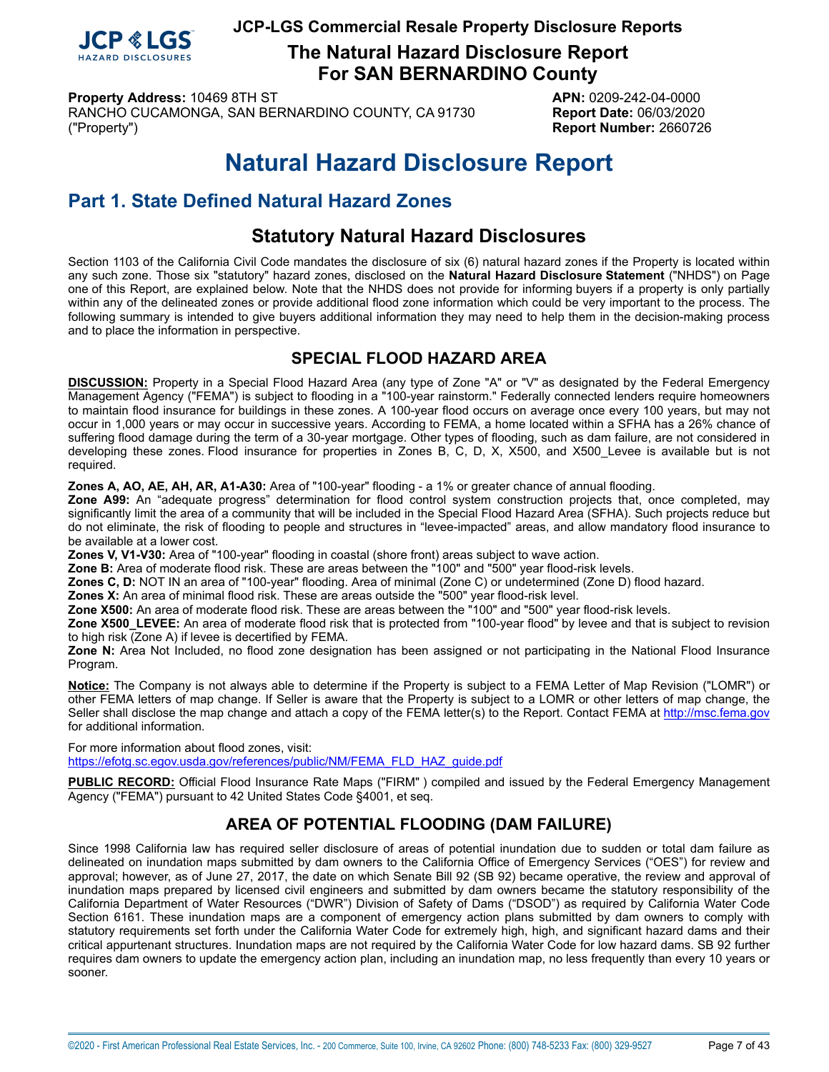

**The Natural Hazard Disclosure Report For SAN BERNARDINO County**

**Property Address:** 10469 8TH ST **APN:** 0209-242-04-0000 RANCHO CUCAMONGA, SAN BERNARDINO COUNTY, CA 91730 **Report Date:** 06/03/2020 ("Property") **Report Number:** 2660726

# **Natural Hazard Disclosure Report**

# <span id="page-6-0"></span>**Part 1. State Defined Natural Hazard Zones**

# **Statutory Natural Hazard Disclosures**

Section 1103 of the California Civil Code mandates the disclosure of six (6) natural hazard zones if the Property is located within any such zone. Those six "statutory" hazard zones, disclosed on the **Natural Hazard Disclosure Statement** ("NHDS") on Page one of this Report, are explained below. Note that the NHDS does not provide for informing buyers if a property is only partially within any of the delineated zones or provide additional flood zone information which could be very important to the process. The following summary is intended to give buyers additional information they may need to help them in the decision-making process and to place the information in perspective.

# **SPECIAL FLOOD HAZARD AREA**

<span id="page-6-1"></span>**DISCUSSION:** Property in a Special Flood Hazard Area (any type of Zone "A" or "V" as designated by the Federal Emergency Management Agency ("FEMA") is subject to flooding in a "100-year rainstorm." Federally connected lenders require homeowners to maintain flood insurance for buildings in these zones. A 100-year flood occurs on average once every 100 years, but may not occur in 1,000 years or may occur in successive years. According to FEMA, a home located within a SFHA has a 26% chance of suffering flood damage during the term of a 30-year mortgage. Other types of flooding, such as dam failure, are not considered in developing these zones. Flood insurance for properties in Zones B, C, D, X, X500, and X500\_Levee is available but is not required.

**Zones A, AO, AE, AH, AR, A1-A30:** Area of "100-year" flooding - a 1% or greater chance of annual flooding.

**Zone A99:** An "adequate progress" determination for flood control system construction projects that, once completed, may significantly limit the area of a community that will be included in the Special Flood Hazard Area (SFHA). Such projects reduce but do not eliminate, the risk of flooding to people and structures in "levee-impacted" areas, and allow mandatory flood insurance to be available at a lower cost.

**Zones V, V1-V30:** Area of "100-year" flooding in coastal (shore front) areas subject to wave action.

**Zone B:** Area of moderate flood risk. These are areas between the "100" and "500" year flood-risk levels.

**Zones C, D:** NOT IN an area of "100-year" flooding. Area of minimal (Zone C) or undetermined (Zone D) flood hazard.

**Zones X:** An area of minimal flood risk. These are areas outside the "500" year flood-risk level.

**Zone X500:** An area of moderate flood risk. These are areas between the "100" and "500" year flood-risk levels.

**Zone X500\_LEVEE:** An area of moderate flood risk that is protected from "100-year flood" by levee and that is subject to revision to high risk (Zone A) if levee is decertified by FEMA.

**Zone N:** Area Not Included, no flood zone designation has been assigned or not participating in the National Flood Insurance Program.

**Notice:** The Company is not always able to determine if the Property is subject to a FEMA Letter of Map Revision ("LOMR") or other FEMA letters of map change. If Seller is aware that the Property is subject to a LOMR or other letters of map change, the Seller shall disclose the map change and attach a copy of the FEMA letter(s) to the Report. Contact FEMA at<http://msc.fema.gov> for additional information.

For more information about flood zones, visit: [https://efotg.sc.egov.usda.gov/references/public/NM/FEMA\\_FLD\\_HAZ\\_guide.pdf](https://efotg.sc.egov.usda.gov/references/public/NM/FEMA_FLD_HAZ_guide.pdf)

**PUBLIC RECORD:** Official Flood Insurance Rate Maps ("FIRM" ) compiled and issued by the Federal Emergency Management Agency ("FEMA") pursuant to 42 United States Code §4001, et seq.

# **AREA OF POTENTIAL FLOODING (DAM FAILURE)**

<span id="page-6-2"></span>Since 1998 California law has required seller disclosure of areas of potential inundation due to sudden or total dam failure as delineated on inundation maps submitted by dam owners to the California Office of Emergency Services ("OES") for review and approval; however, as of June 27, 2017, the date on which Senate Bill 92 (SB 92) became operative, the review and approval of inundation maps prepared by licensed civil engineers and submitted by dam owners became the statutory responsibility of the California Department of Water Resources ("DWR") Division of Safety of Dams ("DSOD") as required by California Water Code Section 6161. These inundation maps are a component of emergency action plans submitted by dam owners to comply with statutory requirements set forth under the California Water Code for extremely high, high, and significant hazard dams and their critical appurtenant structures. Inundation maps are not required by the California Water Code for low hazard dams. SB 92 further requires dam owners to update the emergency action plan, including an inundation map, no less frequently than every 10 years or sooner.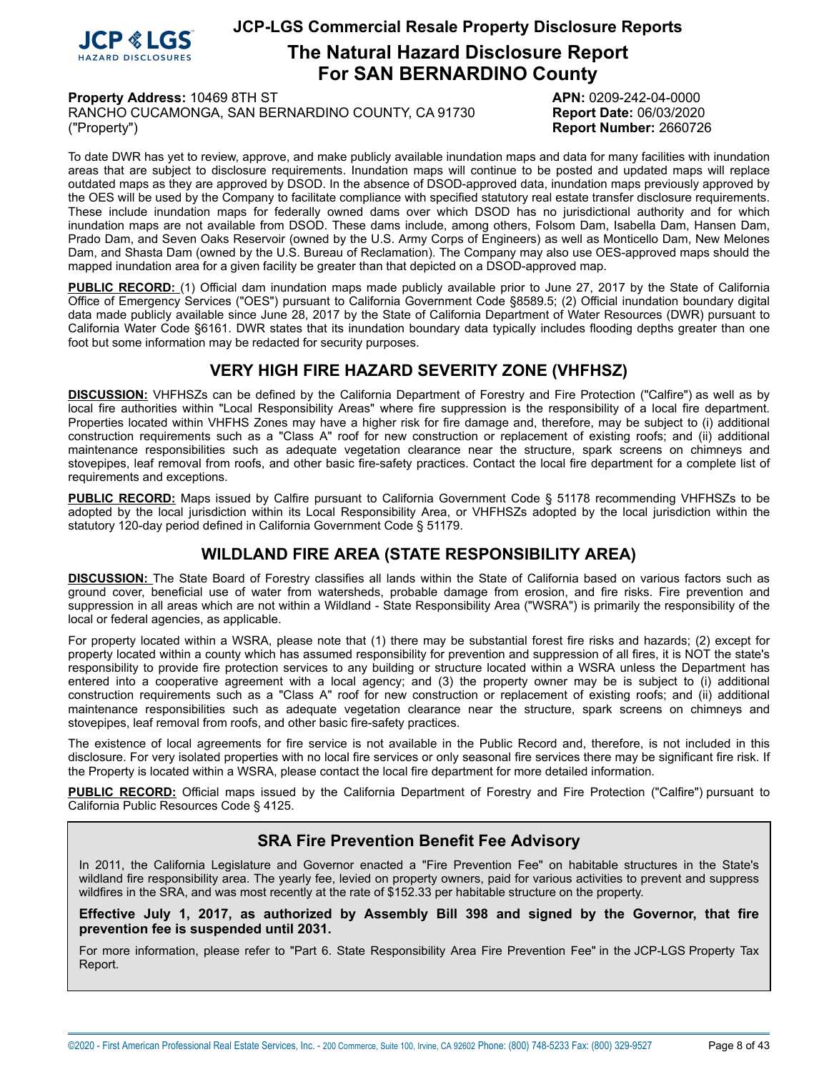

# **The Natural Hazard Disclosure Report For SAN BERNARDINO County**

**Property Address:** 10469 8TH ST **APN:** 0209-242-04-0000

RANCHO CUCAMONGA, SAN BERNARDINO COUNTY, CA 91730 **Report Date:** 06/03/2020 ("Property") **Report Number:** 2660726

To date DWR has yet to review, approve, and make publicly available inundation maps and data for many facilities with inundation areas that are subject to disclosure requirements. Inundation maps will continue to be posted and updated maps will replace outdated maps as they are approved by DSOD. In the absence of DSOD-approved data, inundation maps previously approved by the OES will be used by the Company to facilitate compliance with specified statutory real estate transfer disclosure requirements. These include inundation maps for federally owned dams over which DSOD has no jurisdictional authority and for which inundation maps are not available from DSOD. These dams include, among others, Folsom Dam, Isabella Dam, Hansen Dam, Prado Dam, and Seven Oaks Reservoir (owned by the U.S. Army Corps of Engineers) as well as Monticello Dam, New Melones Dam, and Shasta Dam (owned by the U.S. Bureau of Reclamation). The Company may also use OES-approved maps should the mapped inundation area for a given facility be greater than that depicted on a DSOD-approved map.

**PUBLIC RECORD:** (1) Official dam inundation maps made publicly available prior to June 27, 2017 by the State of California Office of Emergency Services ("OES") pursuant to California Government Code §8589.5; (2) Official inundation boundary digital data made publicly available since June 28, 2017 by the State of California Department of Water Resources (DWR) pursuant to California Water Code §6161. DWR states that its inundation boundary data typically includes flooding depths greater than one foot but some information may be redacted for security purposes.

## **VERY HIGH FIRE HAZARD SEVERITY ZONE (VHFHSZ)**

<span id="page-7-0"></span>**DISCUSSION:** VHFHSZs can be defined by the California Department of Forestry and Fire Protection ("Calfire") as well as by local fire authorities within "Local Responsibility Areas" where fire suppression is the responsibility of a local fire department. Properties located within VHFHS Zones may have a higher risk for fire damage and, therefore, may be subject to (i) additional construction requirements such as a "Class A" roof for new construction or replacement of existing roofs; and (ii) additional maintenance responsibilities such as adequate vegetation clearance near the structure, spark screens on chimneys and stovepipes, leaf removal from roofs, and other basic fire-safety practices. Contact the local fire department for a complete list of requirements and exceptions.

**PUBLIC RECORD:** Maps issued by Calfire pursuant to California Government Code § 51178 recommending VHFHSZs to be adopted by the local jurisdiction within its Local Responsibility Area, or VHFHSZs adopted by the local jurisdiction within the statutory 120-day period defined in California Government Code § 51179.

## **WILDLAND FIRE AREA (STATE RESPONSIBILITY AREA)**

<span id="page-7-1"></span>**DISCUSSION:** The State Board of Forestry classifies all lands within the State of California based on various factors such as ground cover, beneficial use of water from watersheds, probable damage from erosion, and fire risks. Fire prevention and suppression in all areas which are not within a Wildland - State Responsibility Area ("WSRA") is primarily the responsibility of the local or federal agencies, as applicable.

For property located within a WSRA, please note that (1) there may be substantial forest fire risks and hazards; (2) except for property located within a county which has assumed responsibility for prevention and suppression of all fires, it is NOT the state's responsibility to provide fire protection services to any building or structure located within a WSRA unless the Department has entered into a cooperative agreement with a local agency; and (3) the property owner may be is subject to (i) additional construction requirements such as a "Class A" roof for new construction or replacement of existing roofs; and (ii) additional maintenance responsibilities such as adequate vegetation clearance near the structure, spark screens on chimneys and stovepipes, leaf removal from roofs, and other basic fire-safety practices.

The existence of local agreements for fire service is not available in the Public Record and, therefore, is not included in this disclosure. For very isolated properties with no local fire services or only seasonal fire services there may be significant fire risk. If the Property is located within a WSRA, please contact the local fire department for more detailed information.

**PUBLIC RECORD:** Official maps issued by the California Department of Forestry and Fire Protection ("Calfire") pursuant to California Public Resources Code § 4125.

## **SRA Fire Prevention Benefit Fee Advisory**

In 2011, the California Legislature and Governor enacted a "Fire Prevention Fee" on habitable structures in the State's wildland fire responsibility area. The yearly fee, levied on property owners, paid for various activities to prevent and suppress wildfires in the SRA, and was most recently at the rate of \$152.33 per habitable structure on the property.

**Effective July 1, 2017, as authorized by Assembly Bill 398 and signed by the Governor, that fire prevention fee is suspended until 2031.**

For more information, please refer to "Part 6. State Responsibility Area Fire Prevention Fee" in the JCP-LGS Property Tax Report.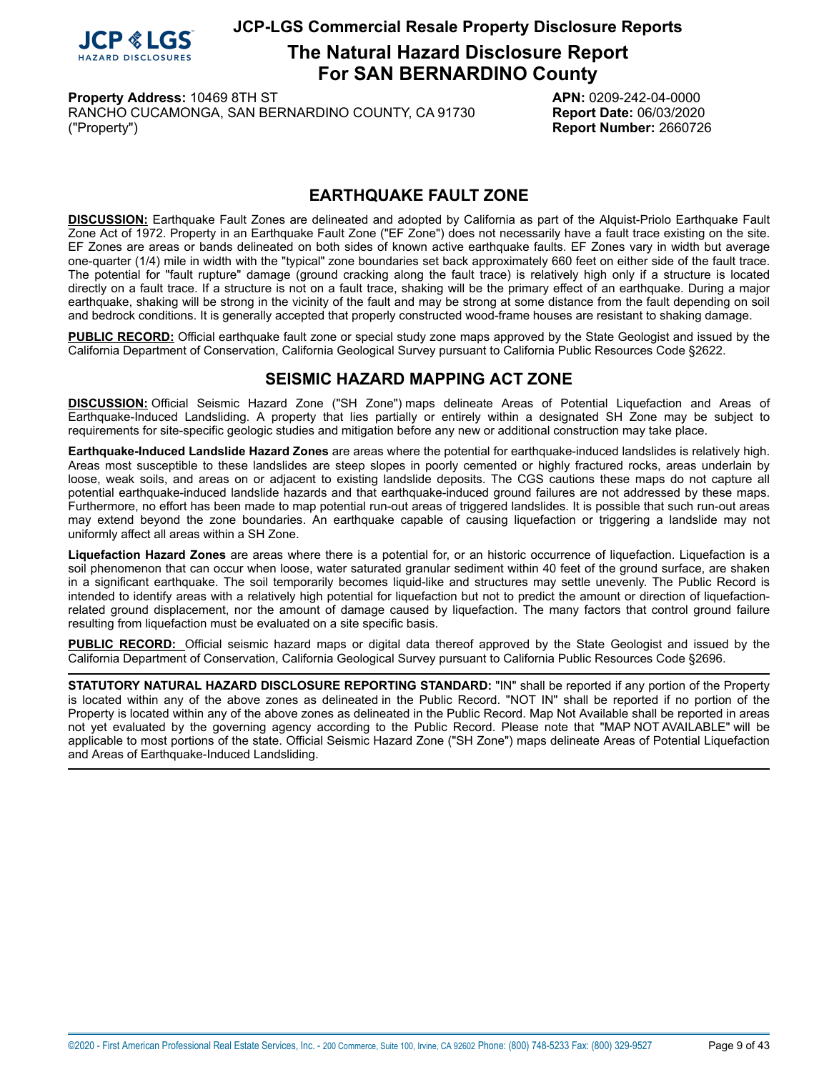

# **The Natural Hazard Disclosure Report For SAN BERNARDINO County**

<span id="page-8-0"></span>**Property Address:** 10469 8TH ST **APN:** 0209-242-04-0000 RANCHO CUCAMONGA, SAN BERNARDINO COUNTY, CA 91730 **Report Date:** 06/03/2020 ("Property") **Report Number:** 2660726

## **EARTHQUAKE FAULT ZONE**

**DISCUSSION:** Earthquake Fault Zones are delineated and adopted by California as part of the Alquist-Priolo Earthquake Fault Zone Act of 1972. Property in an Earthquake Fault Zone ("EF Zone") does not necessarily have a fault trace existing on the site. EF Zones are areas or bands delineated on both sides of known active earthquake faults. EF Zones vary in width but average one-quarter (1/4) mile in width with the "typical" zone boundaries set back approximately 660 feet on either side of the fault trace. The potential for "fault rupture" damage (ground cracking along the fault trace) is relatively high only if a structure is located directly on a fault trace. If a structure is not on a fault trace, shaking will be the primary effect of an earthquake. During a major earthquake, shaking will be strong in the vicinity of the fault and may be strong at some distance from the fault depending on soil and bedrock conditions. It is generally accepted that properly constructed wood-frame houses are resistant to shaking damage.

**PUBLIC RECORD:** Official earthquake fault zone or special study zone maps approved by the State Geologist and issued by the California Department of Conservation, California Geological Survey pursuant to California Public Resources Code §2622.

# **SEISMIC HAZARD MAPPING ACT ZONE**

<span id="page-8-1"></span>**DISCUSSION:** Official Seismic Hazard Zone ("SH Zone") maps delineate Areas of Potential Liquefaction and Areas of Earthquake-Induced Landsliding. A property that lies partially or entirely within a designated SH Zone may be subject to requirements for site-specific geologic studies and mitigation before any new or additional construction may take place.

**Earthquake-Induced Landslide Hazard Zones** are areas where the potential for earthquake-induced landslides is relatively high. Areas most susceptible to these landslides are steep slopes in poorly cemented or highly fractured rocks, areas underlain by loose, weak soils, and areas on or adjacent to existing landslide deposits. The CGS cautions these maps do not capture all potential earthquake-induced landslide hazards and that earthquake-induced ground failures are not addressed by these maps. Furthermore, no effort has been made to map potential run-out areas of triggered landslides. It is possible that such run-out areas may extend beyond the zone boundaries. An earthquake capable of causing liquefaction or triggering a landslide may not uniformly affect all areas within a SH Zone.

**Liquefaction Hazard Zones** are areas where there is a potential for, or an historic occurrence of liquefaction. Liquefaction is a soil phenomenon that can occur when loose, water saturated granular sediment within 40 feet of the ground surface, are shaken in a significant earthquake. The soil temporarily becomes liquid-like and structures may settle unevenly. The Public Record is intended to identify areas with a relatively high potential for liquefaction but not to predict the amount or direction of liquefactionrelated ground displacement, nor the amount of damage caused by liquefaction. The many factors that control ground failure resulting from liquefaction must be evaluated on a site specific basis.

**PUBLIC RECORD:** Official seismic hazard maps or digital data thereof approved by the State Geologist and issued by the California Department of Conservation, California Geological Survey pursuant to California Public Resources Code §2696.

**STATUTORY NATURAL HAZARD DISCLOSURE REPORTING STANDARD:** "IN" shall be reported if any portion of the Property is located within any of the above zones as delineated in the Public Record. "NOT IN" shall be reported if no portion of the Property is located within any of the above zones as delineated in the Public Record. Map Not Available shall be reported in areas not yet evaluated by the governing agency according to the Public Record. Please note that "MAP NOT AVAILABLE" will be applicable to most portions of the state. Official Seismic Hazard Zone ("SH Zone") maps delineate Areas of Potential Liquefaction and Areas of Earthquake-Induced Landsliding.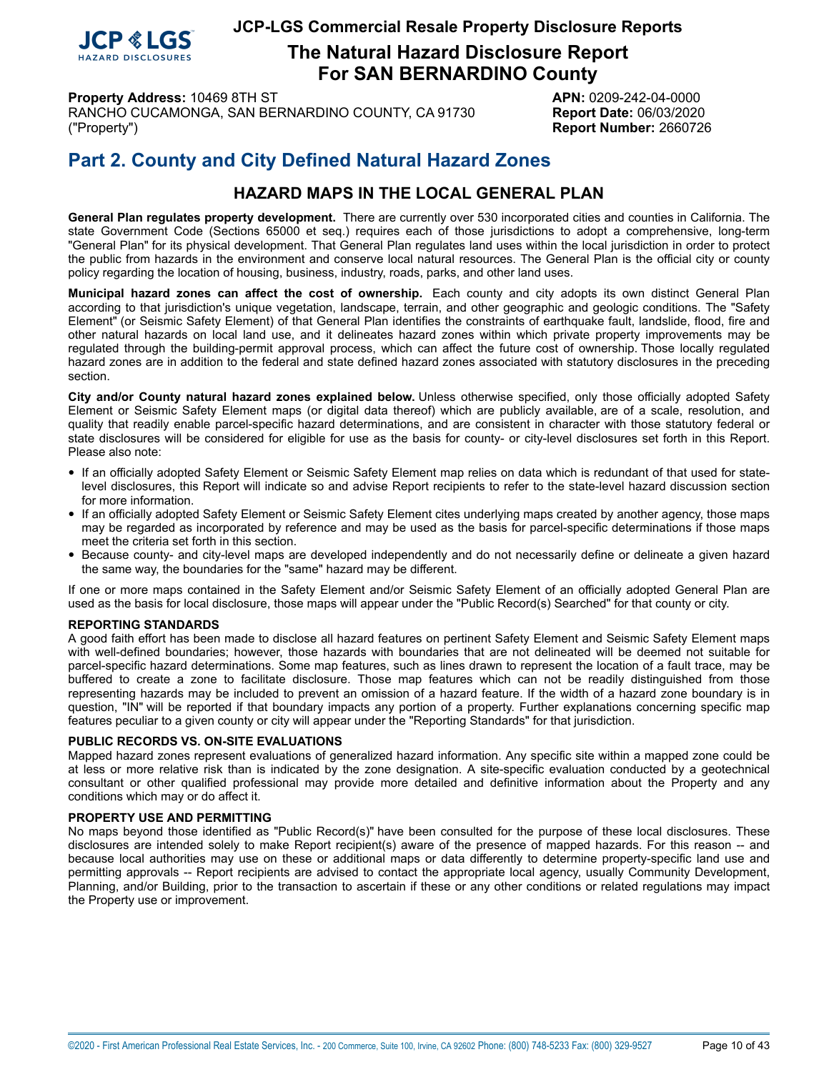

**The Natural Hazard Disclosure Report For SAN BERNARDINO County**

**Property Address:** 10469 8TH ST **APN:** 0209-242-04-0000 RANCHO CUCAMONGA, SAN BERNARDINO COUNTY, CA 91730 **Report Date:** 06/03/2020 ("Property") **Report Number:** 2660726

# **Part 2. County and City Defined Natural Hazard Zones**

# **HAZARD MAPS IN THE LOCAL GENERAL PLAN**

**General Plan regulates property development.** There are currently over 530 incorporated cities and counties in California. The state Government Code (Sections 65000 et seq.) requires each of those jurisdictions to adopt a comprehensive, long-term "General Plan" for its physical development. That General Plan regulates land uses within the local jurisdiction in order to protect the public from hazards in the environment and conserve local natural resources. The General Plan is the official city or county policy regarding the location of housing, business, industry, roads, parks, and other land uses.

**Municipal hazard zones can affect the cost of ownership.** Each county and city adopts its own distinct General Plan according to that jurisdiction's unique vegetation, landscape, terrain, and other geographic and geologic conditions. The "Safety Element" (or Seismic Safety Element) of that General Plan identifies the constraints of earthquake fault, landslide, flood, fire and other natural hazards on local land use, and it delineates hazard zones within which private property improvements may be regulated through the building-permit approval process, which can affect the future cost of ownership. Those locally regulated hazard zones are in addition to the federal and state defined hazard zones associated with statutory disclosures in the preceding section.

**City and/or County natural hazard zones explained below.** Unless otherwise specified, only those officially adopted Safety Element or Seismic Safety Element maps (or digital data thereof) which are publicly available, are of a scale, resolution, and quality that readily enable parcel-specific hazard determinations, and are consistent in character with those statutory federal or state disclosures will be considered for eligible for use as the basis for county- or city-level disclosures set forth in this Report. Please also note:

- If an officially adopted Safety Element or Seismic Safety Element map relies on data which is redundant of that used for statelevel disclosures, this Report will indicate so and advise Report recipients to refer to the state-level hazard discussion section for more information.
- If an officially adopted Safety Element or Seismic Safety Element cites underlying maps created by another agency, those maps may be regarded as incorporated by reference and may be used as the basis for parcel-specific determinations if those maps meet the criteria set forth in this section.
- Because county- and city-level maps are developed independently and do not necessarily define or delineate <sup>a</sup> given hazard the same way, the boundaries for the "same" hazard may be different.

If one or more maps contained in the Safety Element and/or Seismic Safety Element of an officially adopted General Plan are used as the basis for local disclosure, those maps will appear under the "Public Record(s) Searched" for that county or city.

#### **REPORTING STANDARDS**

A good faith effort has been made to disclose all hazard features on pertinent Safety Element and Seismic Safety Element maps with well-defined boundaries; however, those hazards with boundaries that are not delineated will be deemed not suitable for parcel-specific hazard determinations. Some map features, such as lines drawn to represent the location of a fault trace, may be buffered to create a zone to facilitate disclosure. Those map features which can not be readily distinguished from those representing hazards may be included to prevent an omission of a hazard feature. If the width of a hazard zone boundary is in question, "IN" will be reported if that boundary impacts any portion of a property. Further explanations concerning specific map features peculiar to a given county or city will appear under the "Reporting Standards" for that jurisdiction.

#### **PUBLIC RECORDS VS. ON-SITE EVALUATIONS**

Mapped hazard zones represent evaluations of generalized hazard information. Any specific site within a mapped zone could be at less or more relative risk than is indicated by the zone designation. A site-specific evaluation conducted by a geotechnical consultant or other qualified professional may provide more detailed and definitive information about the Property and any conditions which may or do affect it.

#### **PROPERTY USE AND PERMITTING**

No maps beyond those identified as "Public Record(s)" have been consulted for the purpose of these local disclosures. These disclosures are intended solely to make Report recipient(s) aware of the presence of mapped hazards. For this reason -- and because local authorities may use on these or additional maps or data differently to determine property-specific land use and permitting approvals -- Report recipients are advised to contact the appropriate local agency, usually Community Development, Planning, and/or Building, prior to the transaction to ascertain if these or any other conditions or related regulations may impact the Property use or improvement.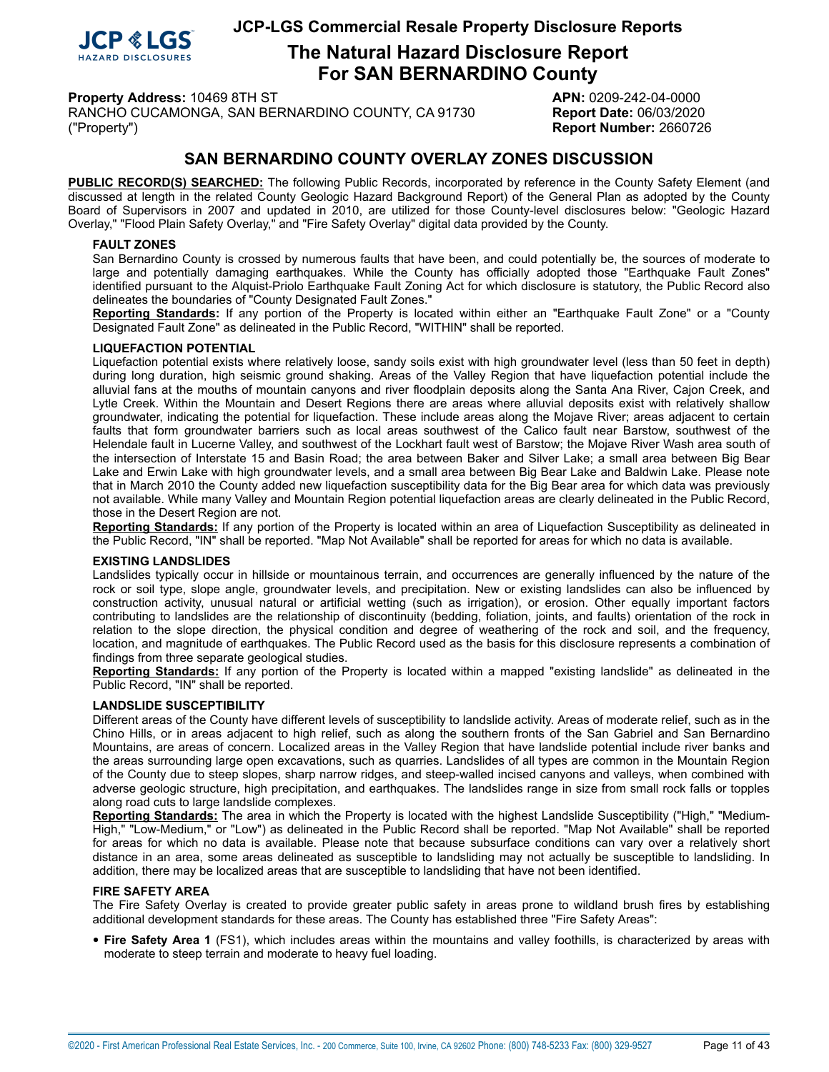

# **The Natural Hazard Disclosure Report For SAN BERNARDINO County**

**Property Address:** 10469 8TH ST **APN:** 0209-242-04-0000 RANCHO CUCAMONGA, SAN BERNARDINO COUNTY, CA 91730 **Report Date:** 06/03/2020

("Property") **Report Number:** 2660726

## **SAN BERNARDINO COUNTY OVERLAY ZONES DISCUSSION**

**PUBLIC RECORD(S) SEARCHED:** The following Public Records, incorporated by reference in the County Safety Element (and discussed at length in the related County Geologic Hazard Background Report) of the General Plan as adopted by the County Board of Supervisors in 2007 and updated in 2010, are utilized for those County-level disclosures below: "Geologic Hazard Overlay," "Flood Plain Safety Overlay," and "Fire Safety Overlay" digital data provided by the County.

#### <span id="page-10-1"></span>**FAULT ZONES**

San Bernardino County is crossed by numerous faults that have been, and could potentially be, the sources of moderate to large and potentially damaging earthquakes. While the County has officially adopted those "Earthquake Fault Zones" identified pursuant to the Alquist-Priolo Earthquake Fault Zoning Act for which disclosure is statutory, the Public Record also delineates the boundaries of "County Designated Fault Zones."

**Reporting Standards:** If any portion of the Property is located within either an "Earthquake Fault Zone" or a "County Designated Fault Zone" as delineated in the Public Record, "WITHIN" shall be reported.

#### <span id="page-10-0"></span>**LIQUEFACTION POTENTIAL**

Liquefaction potential exists where relatively loose, sandy soils exist with high groundwater level (less than 50 feet in depth) during long duration, high seismic ground shaking. Areas of the Valley Region that have liquefaction potential include the alluvial fans at the mouths of mountain canyons and river floodplain deposits along the Santa Ana River, Cajon Creek, and Lytle Creek. Within the Mountain and Desert Regions there are areas where alluvial deposits exist with relatively shallow groundwater, indicating the potential for liquefaction. These include areas along the Mojave River; areas adjacent to certain faults that form groundwater barriers such as local areas southwest of the Calico fault near Barstow, southwest of the Helendale fault in Lucerne Valley, and southwest of the Lockhart fault west of Barstow; the Mojave River Wash area south of the intersection of Interstate 15 and Basin Road; the area between Baker and Silver Lake; a small area between Big Bear Lake and Erwin Lake with high groundwater levels, and a small area between Big Bear Lake and Baldwin Lake. Please note that in March 2010 the County added new liquefaction susceptibility data for the Big Bear area for which data was previously not available. While many Valley and Mountain Region potential liquefaction areas are clearly delineated in the Public Record, those in the Desert Region are not.

**Reporting Standards:** If any portion of the Property is located within an area of Liquefaction Susceptibility as delineated in the Public Record, "IN" shall be reported. "Map Not Available" shall be reported for areas for which no data is available.

#### <span id="page-10-2"></span>**EXISTING LANDSLIDES**

Landslides typically occur in hillside or mountainous terrain, and occurrences are generally influenced by the nature of the rock or soil type, slope angle, groundwater levels, and precipitation. New or existing landslides can also be influenced by construction activity, unusual natural or artificial wetting (such as irrigation), or erosion. Other equally important factors contributing to landslides are the relationship of discontinuity (bedding, foliation, joints, and faults) orientation of the rock in relation to the slope direction, the physical condition and degree of weathering of the rock and soil, and the frequency, location, and magnitude of earthquakes. The Public Record used as the basis for this disclosure represents a combination of findings from three separate geological studies.

**Reporting Standards:** If any portion of the Property is located within a mapped "existing landslide" as delineated in the Public Record, "IN" shall be reported.

#### <span id="page-10-4"></span>**LANDSLIDE SUSCEPTIBILITY**

Different areas of the County have different levels of susceptibility to landslide activity. Areas of moderate relief, such as in the Chino Hills, or in areas adjacent to high relief, such as along the southern fronts of the San Gabriel and San Bernardino Mountains, are areas of concern. Localized areas in the Valley Region that have landslide potential include river banks and the areas surrounding large open excavations, such as quarries. Landslides of all types are common in the Mountain Region of the County due to steep slopes, sharp narrow ridges, and steep-walled incised canyons and valleys, when combined with adverse geologic structure, high precipitation, and earthquakes. The landslides range in size from small rock falls or topples along road cuts to large landslide complexes.

**Reporting Standards:** The area in which the Property is located with the highest Landslide Susceptibility ("High," "Medium-High," "Low-Medium," or "Low") as delineated in the Public Record shall be reported. "Map Not Available" shall be reported for areas for which no data is available. Please note that because subsurface conditions can vary over a relatively short distance in an area, some areas delineated as susceptible to landsliding may not actually be susceptible to landsliding. In addition, there may be localized areas that are susceptible to landsliding that have not been identified.

#### <span id="page-10-3"></span>**FIRE SAFETY AREA**

The Fire Safety Overlay is created to provide greater public safety in areas prone to wildland brush fires by establishing additional development standards for these areas. The County has established three "Fire Safety Areas":

• **Fire Safety Area <sup>1</sup>** (FS1), which includes areas within the mountains and valley foothills, is characterized by areas with moderate to steep terrain and moderate to heavy fuel loading.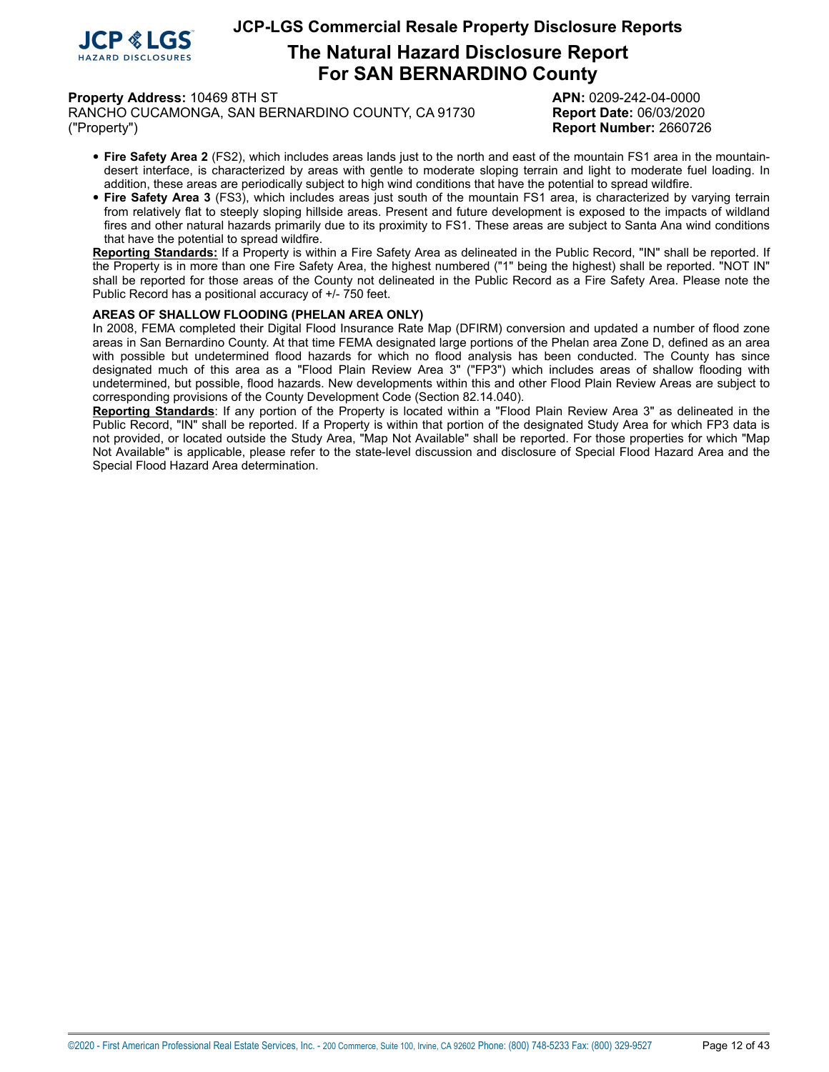

# **The Natural Hazard Disclosure Report For SAN BERNARDINO County**

#### **Property Address:** 10469 8TH ST **APN:** 0209-242-04-0000

RANCHO CUCAMONGA, SAN BERNARDINO COUNTY, CA 91730 **Report Date:** 06/03/2020 ("Property") **Report Number:** 2660726

- **Fire Safety Area <sup>2</sup>** (FS2), which includes areas lands just to the north and east of the mountain FS1 area in the mountaindesert interface, is characterized by areas with gentle to moderate sloping terrain and light to moderate fuel loading. In addition, these areas are periodically subject to high wind conditions that have the potential to spread wildfire.
- **Fire Safety Area <sup>3</sup>** (FS3), which includes areas just south of the mountain FS1 area, is characterized by varying terrain from relatively flat to steeply sloping hillside areas. Present and future development is exposed to the impacts of wildland fires and other natural hazards primarily due to its proximity to FS1. These areas are subject to Santa Ana wind conditions that have the potential to spread wildfire.

**Reporting Standards:** If a Property is within a Fire Safety Area as delineated in the Public Record, "IN" shall be reported. If the Property is in more than one Fire Safety Area, the highest numbered ("1" being the highest) shall be reported. "NOT IN" shall be reported for those areas of the County not delineated in the Public Record as a Fire Safety Area. Please note the Public Record has a positional accuracy of +/- 750 feet.

#### <span id="page-11-0"></span>**AREAS OF SHALLOW FLOODING (PHELAN AREA ONLY)**

In 2008, FEMA completed their Digital Flood Insurance Rate Map (DFIRM) conversion and updated a number of flood zone areas in San Bernardino County. At that time FEMA designated large portions of the Phelan area Zone D, defined as an area with possible but undetermined flood hazards for which no flood analysis has been conducted. The County has since designated much of this area as a "Flood Plain Review Area 3" ("FP3") which includes areas of shallow flooding with undetermined, but possible, flood hazards. New developments within this and other Flood Plain Review Areas are subject to corresponding provisions of the County Development Code (Section 82.14.040).

**Reporting Standards**: If any portion of the Property is located within a "Flood Plain Review Area 3" as delineated in the Public Record, "IN" shall be reported. If a Property is within that portion of the designated Study Area for which FP3 data is not provided, or located outside the Study Area, "Map Not Available" shall be reported. For those properties for which "Map Not Available" is applicable, please refer to the state-level discussion and disclosure of Special Flood Hazard Area and the Special Flood Hazard Area determination.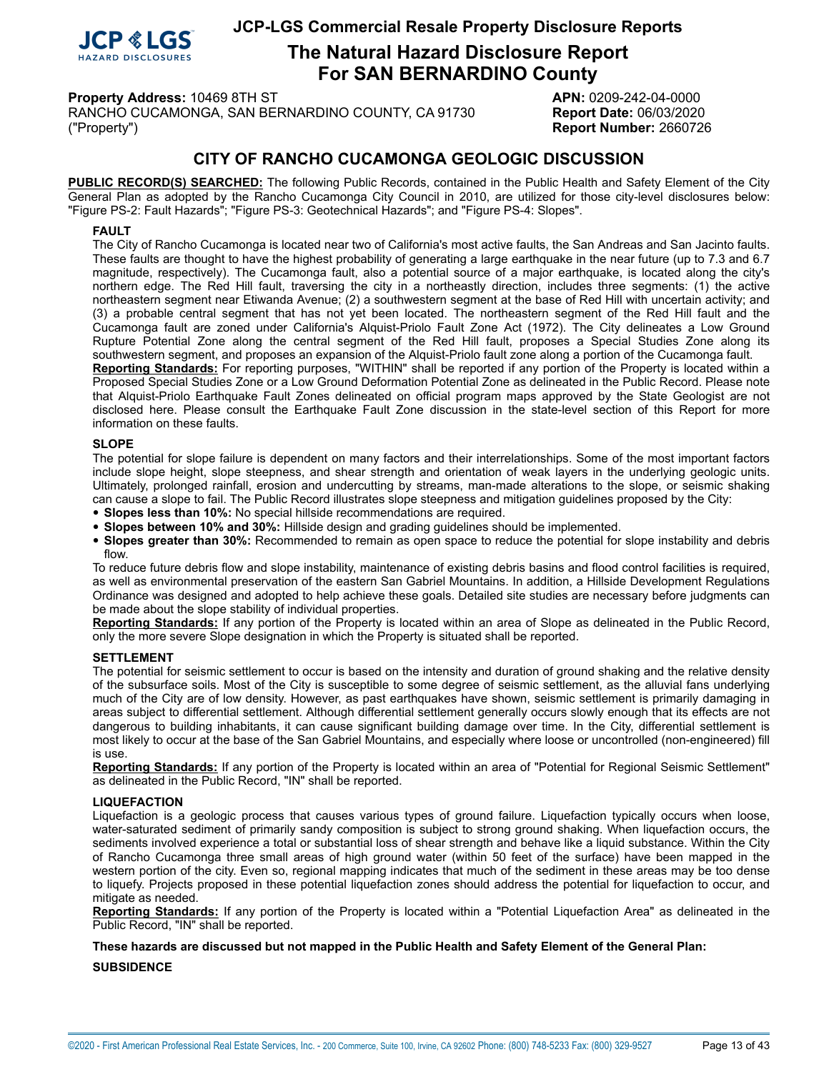

# **The Natural Hazard Disclosure Report For SAN BERNARDINO County**

**Property Address:** 10469 8TH ST **APN:** 0209-242-04-0000 RANCHO CUCAMONGA, SAN BERNARDINO COUNTY, CA 91730 **Report Date:** 06/03/2020

("Property") **Report Number:** 2660726

## **CITY OF RANCHO CUCAMONGA GEOLOGIC DISCUSSION**

**PUBLIC RECORD(S) SEARCHED:** The following Public Records, contained in the Public Health and Safety Element of the City General Plan as adopted by the Rancho Cucamonga City Council in 2010, are utilized for those city-level disclosures below: "Figure PS-2: Fault Hazards"; "Figure PS-3: Geotechnical Hazards"; and "Figure PS-4: Slopes".

#### <span id="page-12-0"></span>**FAULT**

The City of Rancho Cucamonga is located near two of California's most active faults, the San Andreas and San Jacinto faults. These faults are thought to have the highest probability of generating a large earthquake in the near future (up to 7.3 and 6.7 magnitude, respectively). The Cucamonga fault, also a potential source of a major earthquake, is located along the city's northern edge. The Red Hill fault, traversing the city in a northeastly direction, includes three segments: (1) the active northeastern segment near Etiwanda Avenue; (2) a southwestern segment at the base of Red Hill with uncertain activity; and (3) a probable central segment that has not yet been located. The northeastern segment of the Red Hill fault and the Cucamonga fault are zoned under California's Alquist-Priolo Fault Zone Act (1972). The City delineates a Low Ground Rupture Potential Zone along the central segment of the Red Hill fault, proposes a Special Studies Zone along its southwestern segment, and proposes an expansion of the Alquist-Priolo fault zone along a portion of the Cucamonga fault.

**Reporting Standards:** For reporting purposes, "WITHIN" shall be reported if any portion of the Property is located within a Proposed Special Studies Zone or a Low Ground Deformation Potential Zone as delineated in the Public Record. Please note that Alquist-Priolo Earthquake Fault Zones delineated on official program maps approved by the State Geologist are not disclosed here. Please consult the Earthquake Fault Zone discussion in the state-level section of this Report for more information on these faults.

#### <span id="page-12-1"></span>**SLOPE**

The potential for slope failure is dependent on many factors and their interrelationships. Some of the most important factors include slope height, slope steepness, and shear strength and orientation of weak layers in the underlying geologic units. Ultimately, prolonged rainfall, erosion and undercutting by streams, man-made alterations to the slope, or seismic shaking can cause a slope to fail. The Public Record illustrates slope steepness and mitigation guidelines proposed by the City:

- **Slopes less than 10%:** No special hillside recommendations are required.
- **Slopes between 10% and 30%:** Hillside design and grading guidelines should be implemented.
- **Slopes greater than 30%:** Recommended to remain as open space to reduce the potential for slope instability and debris flow.

To reduce future debris flow and slope instability, maintenance of existing debris basins and flood control facilities is required, as well as environmental preservation of the eastern San Gabriel Mountains. In addition, a Hillside Development Regulations Ordinance was designed and adopted to help achieve these goals. Detailed site studies are necessary before judgments can be made about the slope stability of individual properties.

**Reporting Standards:** If any portion of the Property is located within an area of Slope as delineated in the Public Record, only the more severe Slope designation in which the Property is situated shall be reported.

#### <span id="page-12-3"></span>**SETTLEMENT**

The potential for seismic settlement to occur is based on the intensity and duration of ground shaking and the relative density of the subsurface soils. Most of the City is susceptible to some degree of seismic settlement, as the alluvial fans underlying much of the City are of low density. However, as past earthquakes have shown, seismic settlement is primarily damaging in areas subject to differential settlement. Although differential settlement generally occurs slowly enough that its effects are not dangerous to building inhabitants, it can cause significant building damage over time. In the City, differential settlement is most likely to occur at the base of the San Gabriel Mountains, and especially where loose or uncontrolled (non-engineered) fill is use.

**Reporting Standards:** If any portion of the Property is located within an area of "Potential for Regional Seismic Settlement" as delineated in the Public Record, "IN" shall be reported.

#### <span id="page-12-2"></span>**LIQUEFACTION**

Liquefaction is a geologic process that causes various types of ground failure. Liquefaction typically occurs when loose, water-saturated sediment of primarily sandy composition is subject to strong ground shaking. When liquefaction occurs, the sediments involved experience a total or substantial loss of shear strength and behave like a liquid substance. Within the City of Rancho Cucamonga three small areas of high ground water (within 50 feet of the surface) have been mapped in the western portion of the city. Even so, regional mapping indicates that much of the sediment in these areas may be too dense to liquefy. Projects proposed in these potential liquefaction zones should address the potential for liquefaction to occur, and mitigate as needed.

**Reporting Standards:** If any portion of the Property is located within a "Potential Liquefaction Area" as delineated in the Public Record, "IN" shall be reported.

## **These hazards are discussed but not mapped in the Public Health and Safety Element of the General Plan:**

#### **SUBSIDENCE**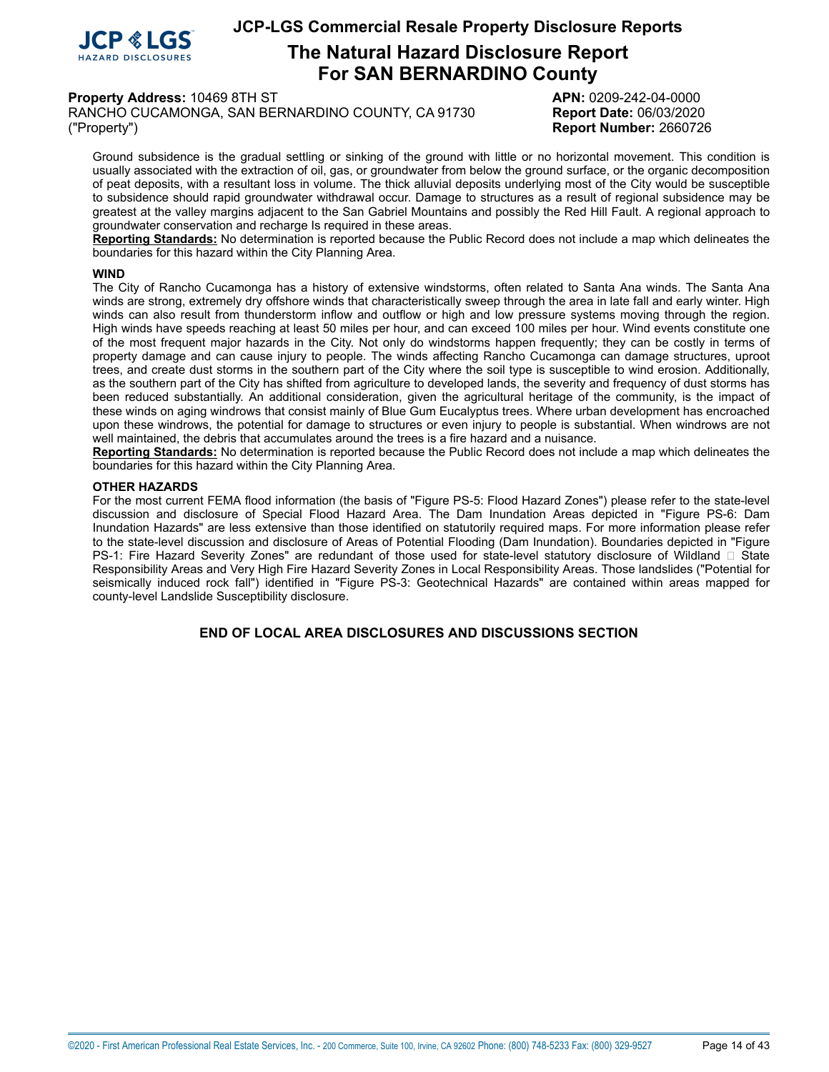

# **The Natural Hazard Disclosure Report For SAN BERNARDINO County**

**Property Address:** 10469 8TH ST **APN:** 0209-242-04-0000

RANCHO CUCAMONGA, SAN BERNARDINO COUNTY, CA 91730 **Report Date:** 06/03/2020 ("Property") **Report Number:** 2660726

Ground subsidence is the gradual settling or sinking of the ground with little or no horizontal movement. This condition is usually associated with the extraction of oil, gas, or groundwater from below the ground surface, or the organic decomposition of peat deposits, with a resultant loss in volume. The thick alluvial deposits underlying most of the City would be susceptible to subsidence should rapid groundwater withdrawal occur. Damage to structures as a result of regional subsidence may be greatest at the valley margins adjacent to the San Gabriel Mountains and possibly the Red Hill Fault. A regional approach to groundwater conservation and recharge Is required in these areas.

**Reporting Standards:** No determination is reported because the Public Record does not include a map which delineates the boundaries for this hazard within the City Planning Area.

#### **WIND**

The City of Rancho Cucamonga has a history of extensive windstorms, often related to Santa Ana winds. The Santa Ana winds are strong, extremely dry offshore winds that characteristically sweep through the area in late fall and early winter. High winds can also result from thunderstorm inflow and outflow or high and low pressure systems moving through the region. High winds have speeds reaching at least 50 miles per hour, and can exceed 100 miles per hour. Wind events constitute one of the most frequent major hazards in the City. Not only do windstorms happen frequently; they can be costly in terms of property damage and can cause injury to people. The winds affecting Rancho Cucamonga can damage structures, uproot trees, and create dust storms in the southern part of the City where the soil type is susceptible to wind erosion. Additionally, as the southern part of the City has shifted from agriculture to developed lands, the severity and frequency of dust storms has been reduced substantially. An additional consideration, given the agricultural heritage of the community, is the impact of these winds on aging windrows that consist mainly of Blue Gum Eucalyptus trees. Where urban development has encroached upon these windrows, the potential for damage to structures or even injury to people is substantial. When windrows are not well maintained, the debris that accumulates around the trees is a fire hazard and a nuisance.

**Reporting Standards:** No determination is reported because the Public Record does not include a map which delineates the boundaries for this hazard within the City Planning Area.

#### **OTHER HAZARDS**

For the most current FEMA flood information (the basis of "Figure PS-5: Flood Hazard Zones") please refer to the state-level discussion and disclosure of Special Flood Hazard Area. The Dam Inundation Areas depicted in "Figure PS-6: Dam Inundation Hazards" are less extensive than those identified on statutorily required maps. For more information please refer to the state-level discussion and disclosure of Areas of Potential Flooding (Dam Inundation). Boundaries depicted in "Figure PS-1: Fire Hazard Severity Zones" are redundant of those used for state-level statutory disclosure of Wildland  $\Box$  State Responsibility Areas and Very High Fire Hazard Severity Zones in Local Responsibility Areas. Those landslides ("Potential for seismically induced rock fall") identified in "Figure PS-3: Geotechnical Hazards" are contained within areas mapped for county-level Landslide Susceptibility disclosure.

#### **END OF LOCAL AREA DISCLOSURES AND DISCUSSIONS SECTION**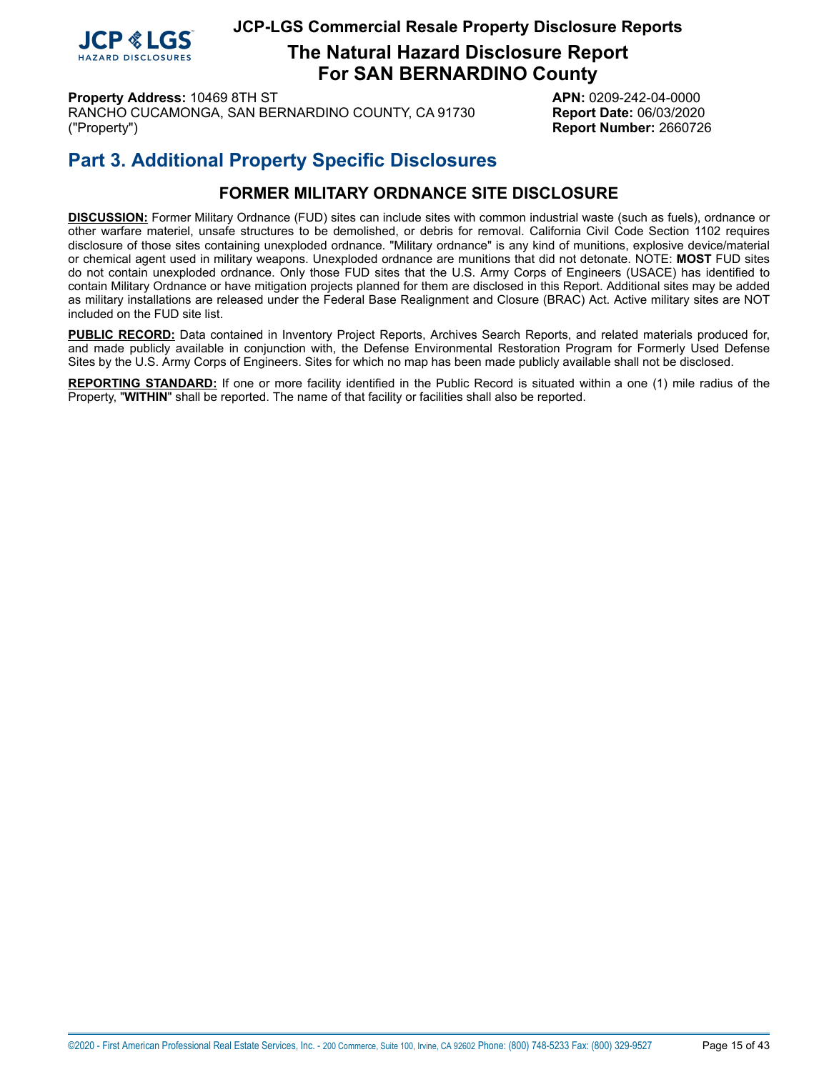

**The Natural Hazard Disclosure Report For SAN BERNARDINO County**

**Property Address:** 10469 8TH ST **APN:** 0209-242-04-0000 RANCHO CUCAMONGA, SAN BERNARDINO COUNTY, CA 91730 **Report Date:** 06/03/2020 ("Property") **Report Number:** 2660726

# **Part 3. Additional Property Specific Disclosures**

# **FORMER MILITARY ORDNANCE SITE DISCLOSURE**

<span id="page-14-0"></span>**DISCUSSION:** Former Military Ordnance (FUD) sites can include sites with common industrial waste (such as fuels), ordnance or other warfare materiel, unsafe structures to be demolished, or debris for removal. California Civil Code Section 1102 requires disclosure of those sites containing unexploded ordnance. "Military ordnance" is any kind of munitions, explosive device/material or chemical agent used in military weapons. Unexploded ordnance are munitions that did not detonate. NOTE: **MOST** FUD sites do not contain unexploded ordnance. Only those FUD sites that the U.S. Army Corps of Engineers (USACE) has identified to contain Military Ordnance or have mitigation projects planned for them are disclosed in this Report. Additional sites may be added as military installations are released under the Federal Base Realignment and Closure (BRAC) Act. Active military sites are NOT included on the FUD site list.

**PUBLIC RECORD:** Data contained in Inventory Project Reports, Archives Search Reports, and related materials produced for, and made publicly available in conjunction with, the Defense Environmental Restoration Program for Formerly Used Defense Sites by the U.S. Army Corps of Engineers. Sites for which no map has been made publicly available shall not be disclosed.

**REPORTING STANDARD:** If one or more facility identified in the Public Record is situated within a one (1) mile radius of the Property, "**WITHIN**" shall be reported. The name of that facility or facilities shall also be reported.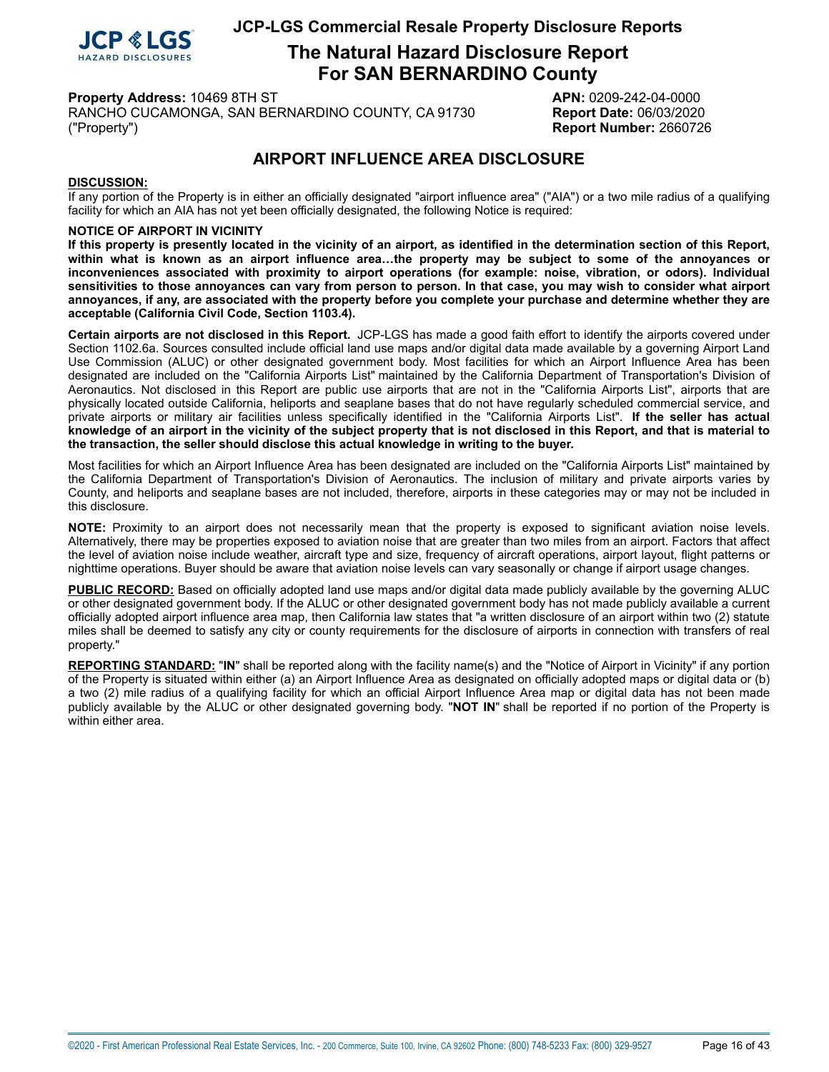

**The Natural Hazard Disclosure Report For SAN BERNARDINO County**

**Property Address:** 10469 8TH ST **APN:** 0209-242-04-0000

RANCHO CUCAMONGA, SAN BERNARDINO COUNTY, CA 91730 **Report Date:** 06/03/2020 ("Property") **Report Number:** 2660726

# **AIRPORT INFLUENCE AREA DISCLOSURE**

#### <span id="page-15-0"></span>**DISCUSSION:**

If any portion of the Property is in either an officially designated "airport influence area" ("AIA") or a two mile radius of a qualifying facility for which an AIA has not yet been officially designated, the following Notice is required:

#### **NOTICE OF AIRPORT IN VICINITY**

If this property is presently located in the vicinity of an airport, as identified in the determination section of this Report, within what is known as an airport influence area...the property may be subject to some of the annoyances or **inconveniences associated with proximity to airport operations (for example: noise, vibration, or odors). Individual** sensitivities to those annoyances can vary from person to person. In that case, you may wish to consider what airport annoyances, if any, are associated with the property before you complete your purchase and determine whether they are **acceptable (California Civil Code, Section 1103.4).**

**Certain airports are not disclosed in this Report.** JCP-LGS has made a good faith effort to identify the airports covered under Section 1102.6a. Sources consulted include official land use maps and/or digital data made available by a governing Airport Land Use Commission (ALUC) or other designated government body. Most facilities for which an Airport Influence Area has been designated are included on the "California Airports List" maintained by the California Department of Transportation's Division of Aeronautics. Not disclosed in this Report are public use airports that are not in the "California Airports List", airports that are physically located outside California, heliports and seaplane bases that do not have regularly scheduled commercial service, and private airports or military air facilities unless specifically identified in the "California Airports List". **If the seller has actual** knowledge of an airport in the vicinity of the subject property that is not disclosed in this Report, and that is material to **the transaction, the seller should disclose this actual knowledge in writing to the buyer.**

Most facilities for which an Airport Influence Area has been designated are included on the "California Airports List" maintained by the California Department of Transportation's Division of Aeronautics. The inclusion of military and private airports varies by County, and heliports and seaplane bases are not included, therefore, airports in these categories may or may not be included in this disclosure.

**NOTE:** Proximity to an airport does not necessarily mean that the property is exposed to significant aviation noise levels. Alternatively, there may be properties exposed to aviation noise that are greater than two miles from an airport. Factors that affect the level of aviation noise include weather, aircraft type and size, frequency of aircraft operations, airport layout, flight patterns or nighttime operations. Buyer should be aware that aviation noise levels can vary seasonally or change if airport usage changes.

**PUBLIC RECORD:** Based on officially adopted land use maps and/or digital data made publicly available by the governing ALUC or other designated government body. If the ALUC or other designated government body has not made publicly available a current officially adopted airport influence area map, then California law states that "a written disclosure of an airport within two (2) statute miles shall be deemed to satisfy any city or county requirements for the disclosure of airports in connection with transfers of real property."

**REPORTING STANDARD:** "**IN**" shall be reported along with the facility name(s) and the "Notice of Airport in Vicinity" if any portion of the Property is situated within either (a) an Airport Influence Area as designated on officially adopted maps or digital data or (b) a two (2) mile radius of a qualifying facility for which an official Airport Influence Area map or digital data has not been made publicly available by the ALUC or other designated governing body. "**NOT IN**" shall be reported if no portion of the Property is within either area.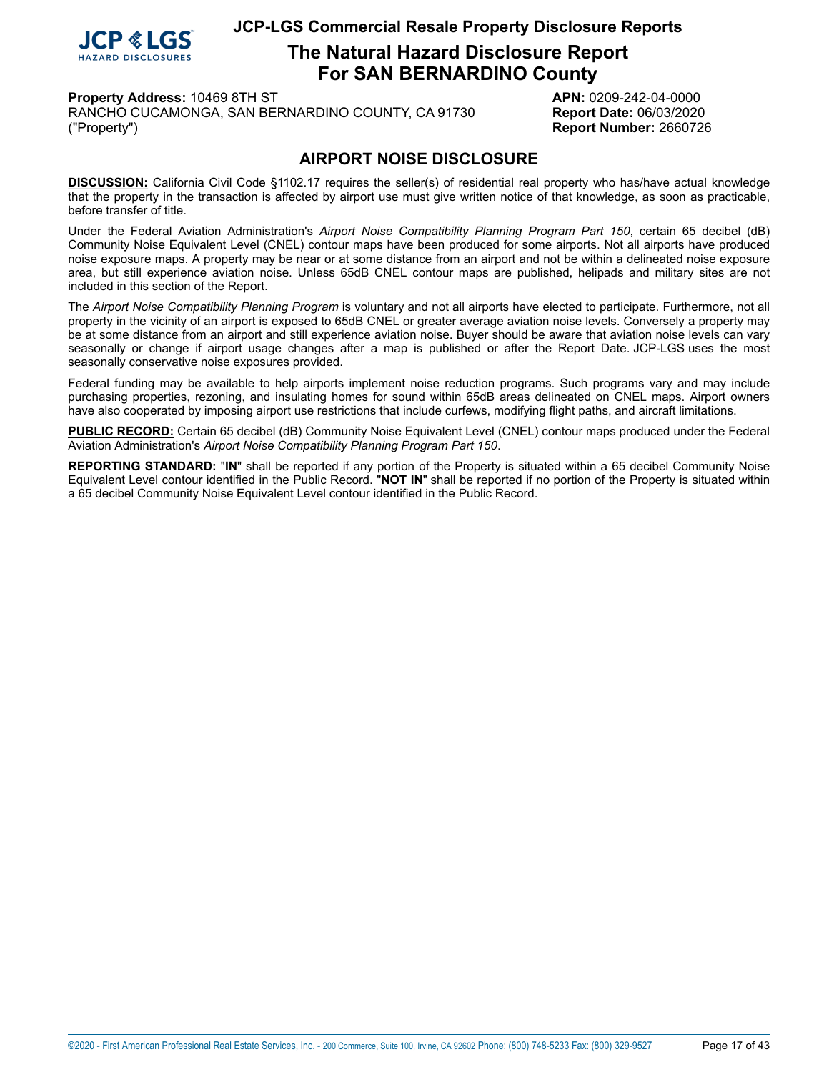

**The Natural Hazard Disclosure Report For SAN BERNARDINO County**

**Property Address:** 10469 8TH ST **APN:** 0209-242-04-0000

RANCHO CUCAMONGA, SAN BERNARDINO COUNTY, CA 91730 **Report Date:** 06/03/2020 ("Property") **Report Number:** 2660726

## **AIRPORT NOISE DISCLOSURE**

<span id="page-16-0"></span>**DISCUSSION:** California Civil Code §1102.17 requires the seller(s) of residential real property who has/have actual knowledge that the property in the transaction is affected by airport use must give written notice of that knowledge, as soon as practicable, before transfer of title.

Under the Federal Aviation Administration's *Airport Noise Compatibility Planning Program Part 150*, certain 65 decibel (dB) Community Noise Equivalent Level (CNEL) contour maps have been produced for some airports. Not all airports have produced noise exposure maps. A property may be near or at some distance from an airport and not be within a delineated noise exposure area, but still experience aviation noise. Unless 65dB CNEL contour maps are published, helipads and military sites are not included in this section of the Report.

The *Airport Noise Compatibility Planning Program* is voluntary and not all airports have elected to participate. Furthermore, not all property in the vicinity of an airport is exposed to 65dB CNEL or greater average aviation noise levels. Conversely a property may be at some distance from an airport and still experience aviation noise. Buyer should be aware that aviation noise levels can vary seasonally or change if airport usage changes after a map is published or after the Report Date. JCP-LGS uses the most seasonally conservative noise exposures provided.

Federal funding may be available to help airports implement noise reduction programs. Such programs vary and may include purchasing properties, rezoning, and insulating homes for sound within 65dB areas delineated on CNEL maps. Airport owners have also cooperated by imposing airport use restrictions that include curfews, modifying flight paths, and aircraft limitations.

**PUBLIC RECORD:** Certain 65 decibel (dB) Community Noise Equivalent Level (CNEL) contour maps produced under the Federal Aviation Administration's *Airport Noise Compatibility Planning Program Part 150*.

**REPORTING STANDARD:** "**IN**" shall be reported if any portion of the Property is situated within a 65 decibel Community Noise Equivalent Level contour identified in the Public Record. "**NOT IN**" shall be reported if no portion of the Property is situated within a 65 decibel Community Noise Equivalent Level contour identified in the Public Record.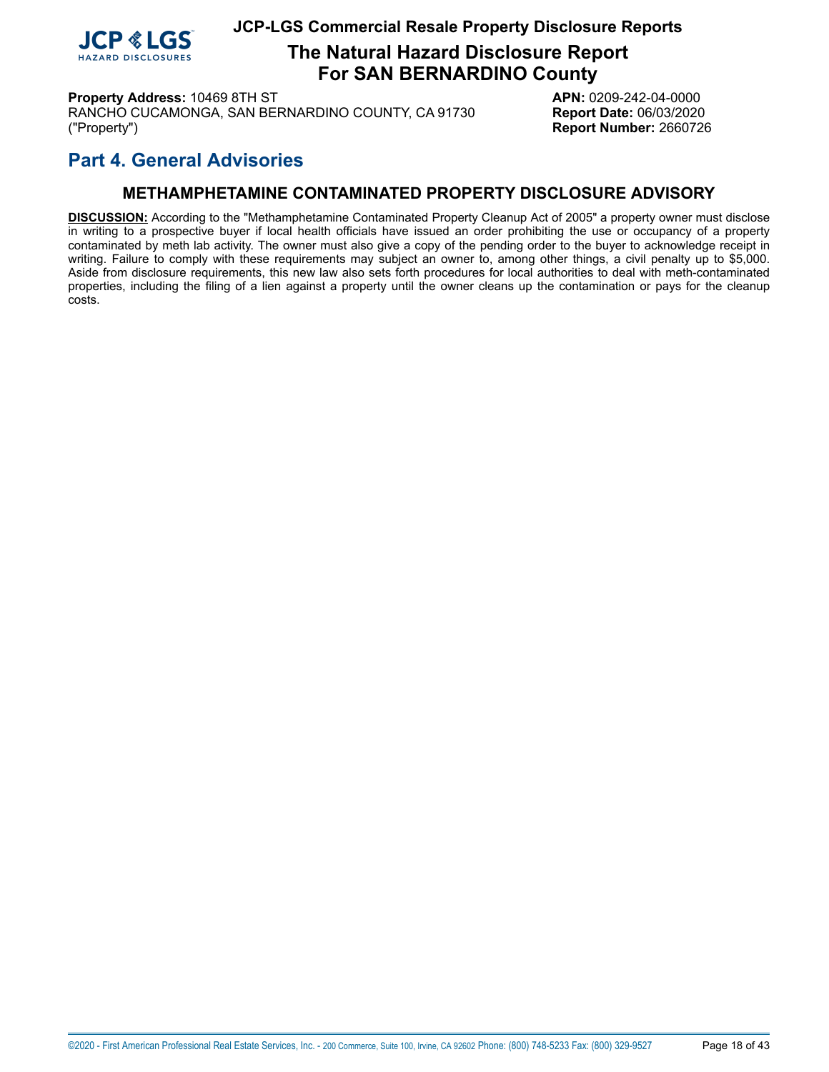

# **The Natural Hazard Disclosure Report For SAN BERNARDINO County**

**Property Address:** 10469 8TH ST **APN:** 0209-242-04-0000 RANCHO CUCAMONGA, SAN BERNARDINO COUNTY, CA 91730 **Report Date:** 06/03/2020 ("Property") **Report Number:** 2660726

# **Part 4. General Advisories**

## **METHAMPHETAMINE CONTAMINATED PROPERTY DISCLOSURE ADVISORY**

<span id="page-17-0"></span>**DISCUSSION:** According to the "Methamphetamine Contaminated Property Cleanup Act of 2005" a property owner must disclose in writing to a prospective buyer if local health officials have issued an order prohibiting the use or occupancy of a property contaminated by meth lab activity. The owner must also give a copy of the pending order to the buyer to acknowledge receipt in writing. Failure to comply with these requirements may subject an owner to, among other things, a civil penalty up to \$5,000. Aside from disclosure requirements, this new law also sets forth procedures for local authorities to deal with meth-contaminated properties, including the filing of a lien against a property until the owner cleans up the contamination or pays for the cleanup costs.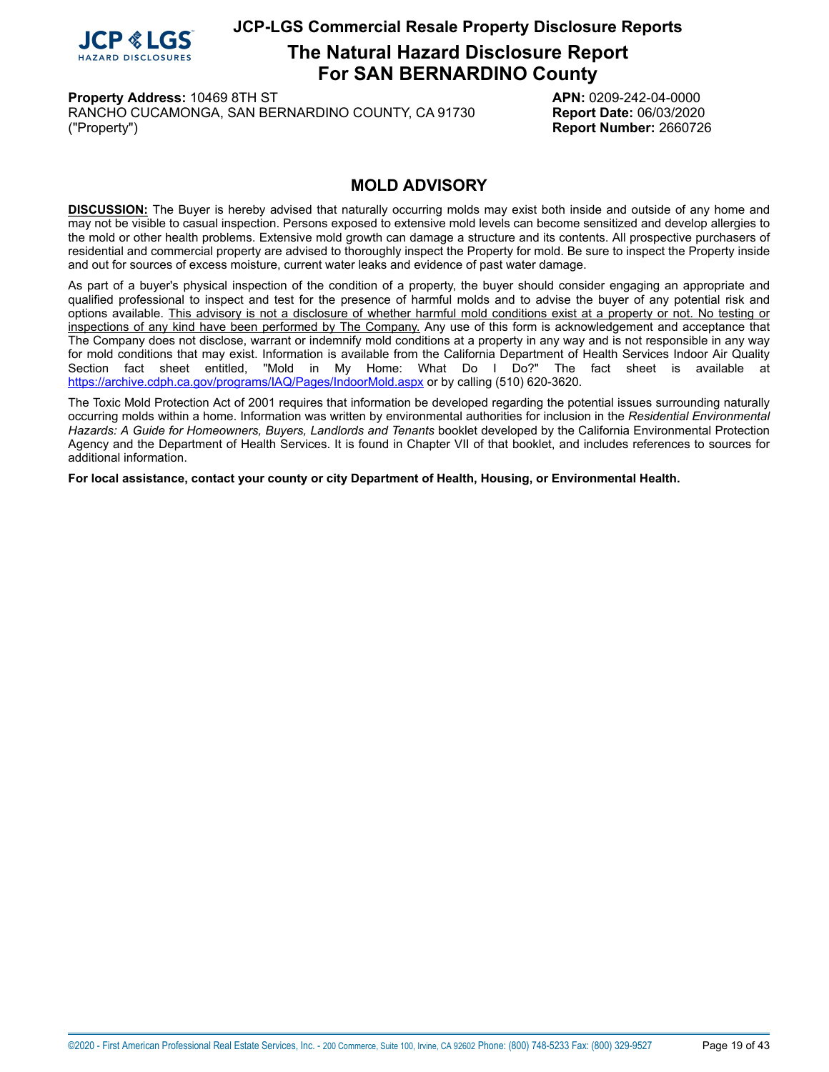

# **The Natural Hazard Disclosure Report For SAN BERNARDINO County**

**Property Address:** 10469 8TH ST **APN:** 0209-242-04-0000 RANCHO CUCAMONGA, SAN BERNARDINO COUNTY, CA 91730 **Report Date:** 06/03/2020 ("Property") **Report Number:** 2660726

## **MOLD ADVISORY**

<span id="page-18-0"></span>**DISCUSSION:** The Buyer is hereby advised that naturally occurring molds may exist both inside and outside of any home and may not be visible to casual inspection. Persons exposed to extensive mold levels can become sensitized and develop allergies to the mold or other health problems. Extensive mold growth can damage a structure and its contents. All prospective purchasers of residential and commercial property are advised to thoroughly inspect the Property for mold. Be sure to inspect the Property inside and out for sources of excess moisture, current water leaks and evidence of past water damage.

As part of a buyer's physical inspection of the condition of a property, the buyer should consider engaging an appropriate and qualified professional to inspect and test for the presence of harmful molds and to advise the buyer of any potential risk and options available. This advisory is not a disclosure of whether harmful mold conditions exist at a property or not. No testing or inspections of any kind have been performed by The Company. Any use of this form is acknowledgement and acceptance that The Company does not disclose, warrant or indemnify mold conditions at a property in any way and is not responsible in any way for mold conditions that may exist. Information is available from the California Department of Health Services Indoor Air Quality<br>Section fact sheet entitled. "Mold in My Home: What Do I Do?" The fact sheet is available at "Mold in My Home: What Do I Do?" The fact sheet is available at <https://archive.cdph.ca.gov/programs/IAQ/Pages/IndoorMold.aspx> or by calling (510) 620-3620.

The Toxic Mold Protection Act of 2001 requires that information be developed regarding the potential issues surrounding naturally occurring molds within a home. Information was written by environmental authorities for inclusion in the *Residential Environmental Hazards: A Guide for Homeowners, Buyers, Landlords and Tenants* booklet developed by the California Environmental Protection Agency and the Department of Health Services. It is found in Chapter VII of that booklet, and includes references to sources for additional information.

**For local assistance, contact your county or city Department of Health, Housing, or Environmental Health.**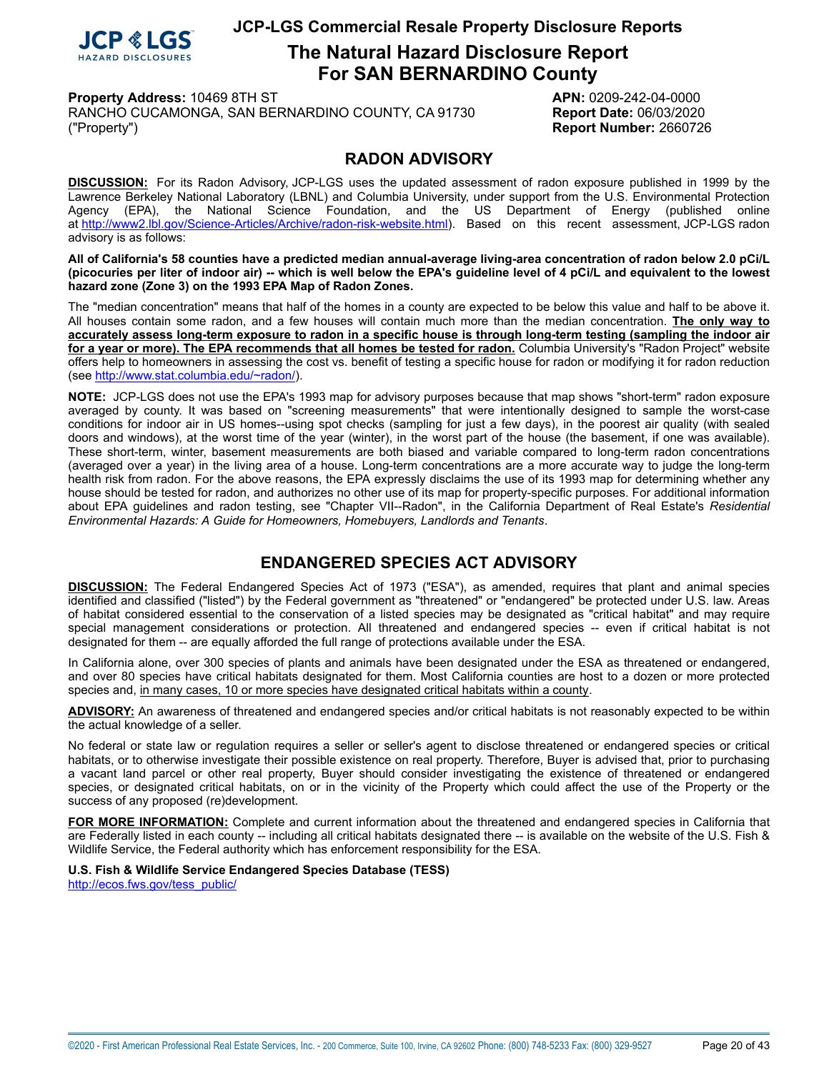

# **The Natural Hazard Disclosure Report For SAN BERNARDINO County**

**Property Address:** 10469 8TH ST **APN:** 0209-242-04-0000

RANCHO CUCAMONGA, SAN BERNARDINO COUNTY, CA 91730 **Report Date:** 06/03/2020 ("Property") **Report Number:** 2660726

## **RADON ADVISORY**

<span id="page-19-0"></span>**DISCUSSION:** For its Radon Advisory, JCP-LGS uses the updated assessment of radon exposure published in 1999 by the Lawrence Berkeley National Laboratory (LBNL) and Columbia University, under support from the U.S. Environmental Protection Agency (EPA), the National Science Foundation, and the US Department of Energy (published online at [http://www2.lbl.gov/Science-Articles/Archive/radon-risk-website.html\)](http://www2.lbl.gov/Science-Articles/Archive/radon-risk-website.html). Based on this recent assessment, JCP-LGS radon advisory is as follows:

All of California's 58 counties have a predicted median annual-average living-area concentration of radon below 2.0 pCi/L (picocuries per liter of indoor air) -- which is well below the EPA's guideline level of 4 pCi/L and equivalent to the lowest **hazard zone (Zone 3) on the 1993 EPA Map of Radon Zones.**

The "median concentration" means that half of the homes in a county are expected to be below this value and half to be above it. All houses contain some radon, and a few houses will contain much more than the median concentration. **The only way to** accurately assess long-term exposure to radon in a specific house is through long-term testing (sampling the indoor air for a year or more). The EPA recommends that all homes be tested for radon. Columbia University's "Radon Project" website offers help to homeowners in assessing the cost vs. benefit of testing a specific house for radon or modifying it for radon reduction (see<http://www.stat.columbia.edu/~radon/>).

**NOTE:** JCP-LGS does not use the EPA's 1993 map for advisory purposes because that map shows "short-term" radon exposure averaged by county. It was based on "screening measurements" that were intentionally designed to sample the worst-case conditions for indoor air in US homes--using spot checks (sampling for just a few days), in the poorest air quality (with sealed doors and windows), at the worst time of the year (winter), in the worst part of the house (the basement, if one was available). These short-term, winter, basement measurements are both biased and variable compared to long-term radon concentrations (averaged over a year) in the living area of a house. Long-term concentrations are a more accurate way to judge the long-term health risk from radon. For the above reasons, the EPA expressly disclaims the use of its 1993 map for determining whether any house should be tested for radon, and authorizes no other use of its map for property-specific purposes. For additional information about EPA guidelines and radon testing, see "Chapter VII--Radon", in the California Department of Real Estate's *Residential Environmental Hazards: A Guide for Homeowners, Homebuyers, Landlords and Tenants*.

## **ENDANGERED SPECIES ACT ADVISORY**

<span id="page-19-1"></span>**DISCUSSION:** The Federal Endangered Species Act of 1973 ("ESA"), as amended, requires that plant and animal species identified and classified ("listed") by the Federal government as "threatened" or "endangered" be protected under U.S. law. Areas of habitat considered essential to the conservation of a listed species may be designated as "critical habitat" and may require special management considerations or protection. All threatened and endangered species -- even if critical habitat is not designated for them -- are equally afforded the full range of protections available under the ESA.

In California alone, over 300 species of plants and animals have been designated under the ESA as threatened or endangered, and over 80 species have critical habitats designated for them. Most California counties are host to a dozen or more protected species and, in many cases, 10 or more species have designated critical habitats within a county.

**ADVISORY:** An awareness of threatened and endangered species and/or critical habitats is not reasonably expected to be within the actual knowledge of a seller.

No federal or state law or regulation requires a seller or seller's agent to disclose threatened or endangered species or critical habitats, or to otherwise investigate their possible existence on real property. Therefore, Buyer is advised that, prior to purchasing a vacant land parcel or other real property, Buyer should consider investigating the existence of threatened or endangered species, or designated critical habitats, on or in the vicinity of the Property which could affect the use of the Property or the success of any proposed (re)development.

**FOR MORE INFORMATION:** Complete and current information about the threatened and endangered species in California that are Federally listed in each county -- including all critical habitats designated there -- is available on the website of the U.S. Fish & Wildlife Service, the Federal authority which has enforcement responsibility for the ESA.

**U.S. Fish & Wildlife Service Endangered Species Database (TESS)**

[http://ecos.fws.gov/tess\\_public/](http://ecos.fws.gov/tess_public/)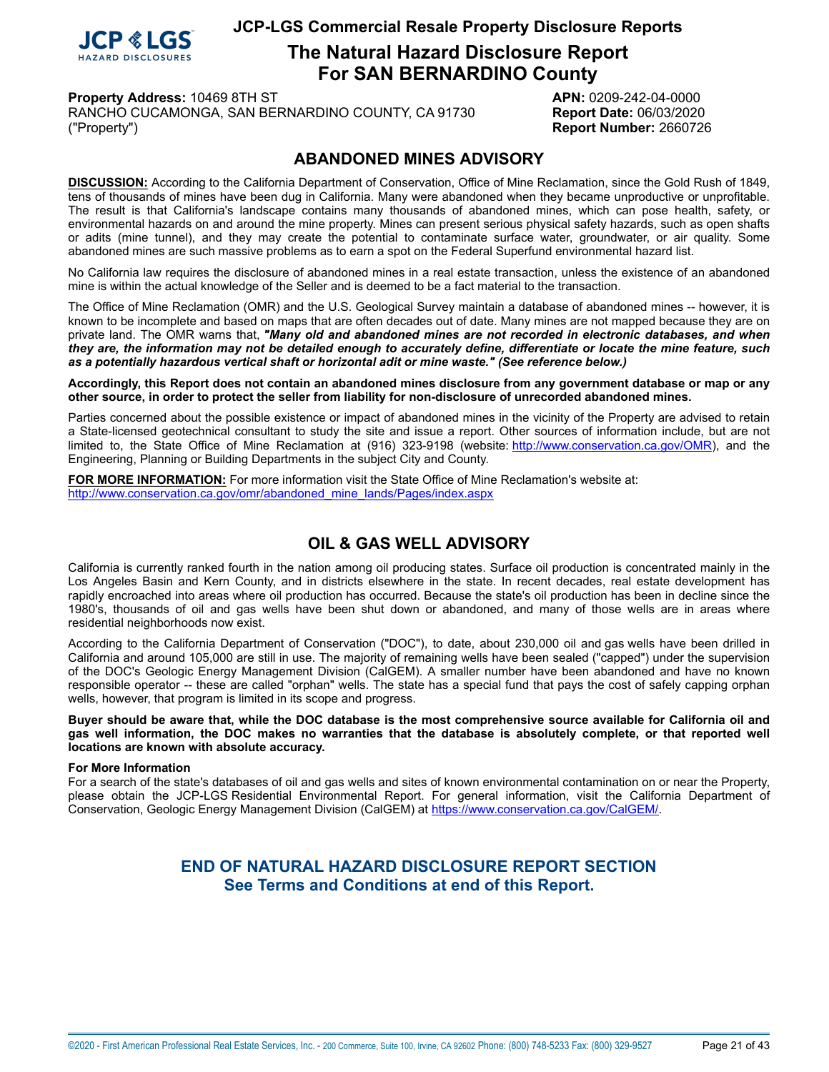

**The Natural Hazard Disclosure Report For SAN BERNARDINO County**

**Property Address:** 10469 8TH ST **APN:** 0209-242-04-0000

RANCHO CUCAMONGA, SAN BERNARDINO COUNTY, CA 91730 **Report Date:** 06/03/2020 ("Property") **Report Number:** 2660726

## **ABANDONED MINES ADVISORY**

<span id="page-20-0"></span>**DISCUSSION:** According to the California Department of Conservation, Office of Mine Reclamation, since the Gold Rush of 1849, tens of thousands of mines have been dug in California. Many were abandoned when they became unproductive or unprofitable. The result is that California's landscape contains many thousands of abandoned mines, which can pose health, safety, or environmental hazards on and around the mine property. Mines can present serious physical safety hazards, such as open shafts or adits (mine tunnel), and they may create the potential to contaminate surface water, groundwater, or air quality. Some abandoned mines are such massive problems as to earn a spot on the Federal Superfund environmental hazard list.

No California law requires the disclosure of abandoned mines in a real estate transaction, unless the existence of an abandoned mine is within the actual knowledge of the Seller and is deemed to be a fact material to the transaction.

The Office of Mine Reclamation (OMR) and the U.S. Geological Survey maintain a database of abandoned mines -- however, it is known to be incomplete and based on maps that are often decades out of date. Many mines are not mapped because they are on private land. The OMR warns that, *"Many old and abandoned mines are not recorded in electronic databases, and when* they are, the information may not be detailed enough to accurately define, differentiate or locate the mine feature, such *as a potentially hazardous vertical shaft or horizontal adit or mine waste." (See reference below.)*

Accordingly, this Report does not contain an abandoned mines disclosure from any government database or map or any **other source, in order to protect the seller from liability for non-disclosure of unrecorded abandoned mines.**

Parties concerned about the possible existence or impact of abandoned mines in the vicinity of the Property are advised to retain a State-licensed geotechnical consultant to study the site and issue a report. Other sources of information include, but are not limited to, the State Office of Mine Reclamation at (916) 323-9198 (website: <http://www.conservation.ca.gov/OMR>), and the Engineering, Planning or Building Departments in the subject City and County.

**FOR MORE INFORMATION:** For more information visit the State Office of Mine Reclamation's website at: [http://www.conservation.ca.gov/omr/abandoned\\_mine\\_lands/Pages/index.aspx](http://www.conservation.ca.gov/omr/abandoned_mine_lands/Pages/index.aspx)

# **OIL & GAS WELL ADVISORY**

<span id="page-20-1"></span>California is currently ranked fourth in the nation among oil producing states. Surface oil production is concentrated mainly in the Los Angeles Basin and Kern County, and in districts elsewhere in the state. In recent decades, real estate development has rapidly encroached into areas where oil production has occurred. Because the state's oil production has been in decline since the 1980's, thousands of oil and gas wells have been shut down or abandoned, and many of those wells are in areas where residential neighborhoods now exist.

According to the California Department of Conservation ("DOC"), to date, about 230,000 oil and gas wells have been drilled in California and around 105,000 are still in use. The majority of remaining wells have been sealed ("capped") under the supervision of the DOC's Geologic Energy Management Division (CalGEM). A smaller number have been abandoned and have no known responsible operator -- these are called "orphan" wells. The state has a special fund that pays the cost of safely capping orphan wells, however, that program is limited in its scope and progress.

Buyer should be aware that, while the DOC database is the most comprehensive source available for California oil and gas well information, the DOC makes no warranties that the database is absolutely complete, or that reported well **locations are known with absolute accuracy.**

#### **For More Information**

For a search of the state's databases of oil and gas wells and sites of known environmental contamination on or near the Property, please obtain the JCP-LGS Residential Environmental Report. For general information, visit the California Department of Conservation, Geologic Energy Management Division (CalGEM) at [https://www.conservation.ca.gov/CalGEM/.](https://www.conservation.ca.gov/CalGEM/)

## **END OF NATURAL HAZARD DISCLOSURE REPORT SECTION See Terms and Conditions at end of this Report.**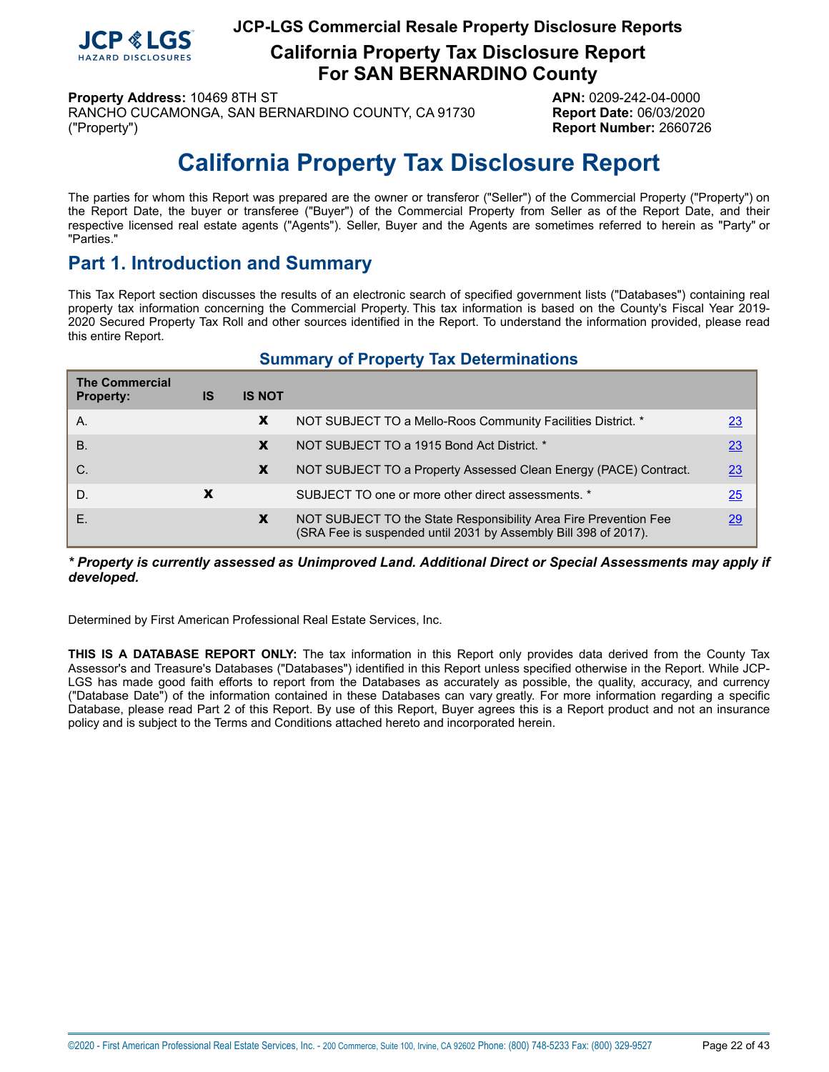

**California Property Tax Disclosure Report For SAN BERNARDINO County**

**Property Address:** 10469 8TH ST **APN:** 0209-242-04-0000

RANCHO CUCAMONGA, SAN BERNARDINO COUNTY, CA 91730 **Report Date:** 06/03/2020 ("Property") **Report Number:** 2660726

# **California Property Tax Disclosure Report**

<span id="page-21-0"></span>The parties for whom this Report was prepared are the owner or transferor ("Seller") of the Commercial Property ("Property") on the Report Date, the buyer or transferee ("Buyer") of the Commercial Property from Seller as of the Report Date, and their respective licensed real estate agents ("Agents"). Seller, Buyer and the Agents are sometimes referred to herein as "Party" or "Parties."

# **Part 1. Introduction and Summary**

This Tax Report section discusses the results of an electronic search of specified government lists ("Databases") containing real property tax information concerning the Commercial Property. This tax information is based on the County's Fiscal Year 2019- 2020 Secured Property Tax Roll and other sources identified in the Report. To understand the information provided, please read this entire Report.

## **Summary of Property Tax Determinations**

| <b>The Commercial</b> |    |               |                                                                                                                                     |    |
|-----------------------|----|---------------|-------------------------------------------------------------------------------------------------------------------------------------|----|
| <b>Property:</b>      | IS | <b>IS NOT</b> |                                                                                                                                     |    |
| А.                    |    | X             | NOT SUBJECT TO a Mello-Roos Community Facilities District. *                                                                        | 23 |
| <b>B.</b>             |    | X             | NOT SUBJECT TO a 1915 Bond Act District. *                                                                                          | 23 |
| $C$ .                 |    | X             | NOT SUBJECT TO a Property Assessed Clean Energy (PACE) Contract.                                                                    | 23 |
| D.                    | X  |               | SUBJECT TO one or more other direct assessments. *                                                                                  | 25 |
| Е.                    |    | X             | NOT SUBJECT TO the State Responsibility Area Fire Prevention Fee<br>(SRA Fee is suspended until 2031 by Assembly Bill 398 of 2017). | 29 |

#### *\* Property is currently assessed as Unimproved Land. Additional Direct or Special Assessments may apply if developed.*

Determined by First American Professional Real Estate Services, Inc.

**THIS IS A DATABASE REPORT ONLY:** The tax information in this Report only provides data derived from the County Tax Assessor's and Treasure's Databases ("Databases") identified in this Report unless specified otherwise in the Report. While JCP-LGS has made good faith efforts to report from the Databases as accurately as possible, the quality, accuracy, and currency ("Database Date") of the information contained in these Databases can vary greatly. For more information regarding a specific Database, please read Part 2 of this Report. By use of this Report, Buyer agrees this is a Report product and not an insurance policy and is subject to the Terms and Conditions attached hereto and incorporated herein.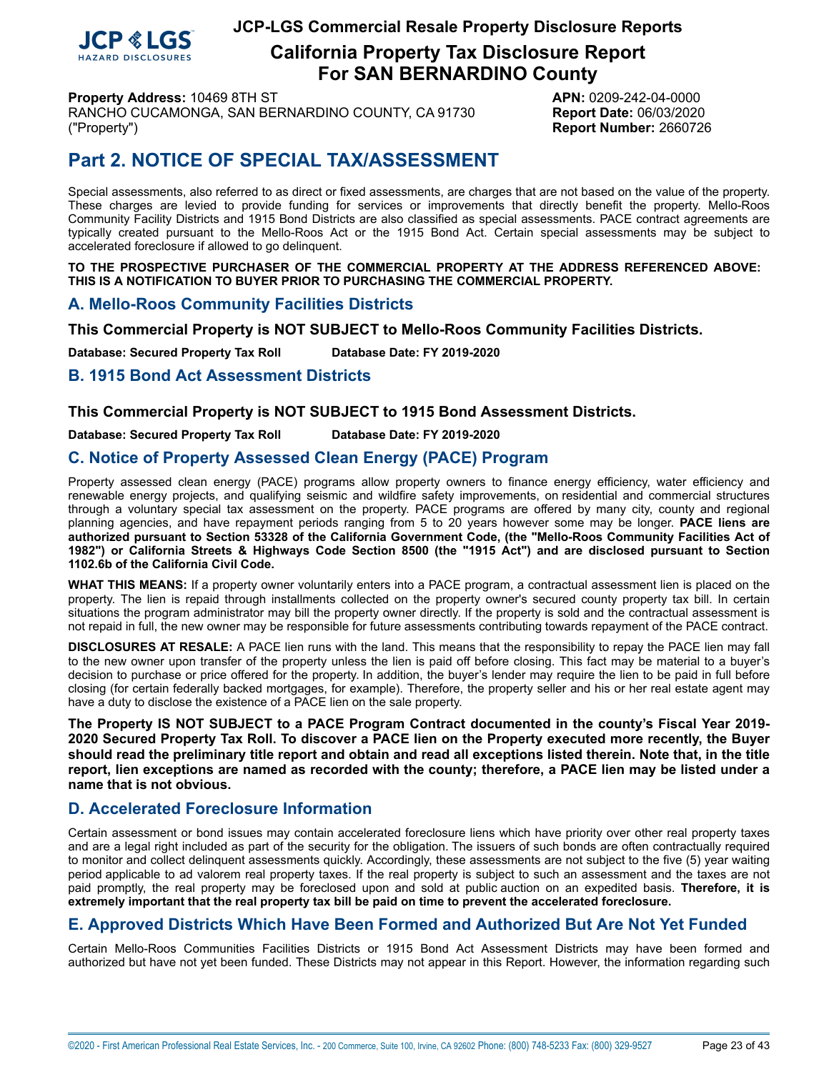

**California Property Tax Disclosure Report For SAN BERNARDINO County**

**Property Address:** 10469 8TH ST **APN:** 0209-242-04-0000

RANCHO CUCAMONGA, SAN BERNARDINO COUNTY, CA 91730 **Report Date:** 06/03/2020 ("Property") **Report Number:** 2660726

# **Part 2. NOTICE OF SPECIAL TAX/ASSESSMENT**

Special assessments, also referred to as direct or fixed assessments, are charges that are not based on the value of the property. These charges are levied to provide funding for services or improvements that directly benefit the property. Mello-Roos Community Facility Districts and 1915 Bond Districts are also classified as special assessments. PACE contract agreements are typically created pursuant to the Mello-Roos Act or the 1915 Bond Act. Certain special assessments may be subject to accelerated foreclosure if allowed to go delinquent.

**TO THE PROSPECTIVE PURCHASER OF THE COMMERCIAL PROPERTY AT THE ADDRESS REFERENCED ABOVE: THIS IS A NOTIFICATION TO BUYER PRIOR TO PURCHASING THE COMMERCIAL PROPERTY.**

## <span id="page-22-0"></span>**A. Mello-Roos Community Facilities Districts**

**This Commercial Property is NOT SUBJECT to Mello-Roos Community Facilities Districts.**

**Database: Secured Property Tax Roll Database Date: FY 2019-2020**

## <span id="page-22-1"></span>**B. 1915 Bond Act Assessment Districts**

### **This Commercial Property is NOT SUBJECT to 1915 Bond Assessment Districts.**

**Database: Secured Property Tax Roll Database Date: FY 2019-2020**

## <span id="page-22-2"></span>**C. Notice of Property Assessed Clean Energy (PACE) Program**

Property assessed clean energy (PACE) programs allow property owners to finance energy efficiency, water efficiency and renewable energy projects, and qualifying seismic and wildfire safety improvements, on residential and commercial structures through a voluntary special tax assessment on the property. PACE programs are offered by many city, county and regional planning agencies, and have repayment periods ranging from 5 to 20 years however some may be longer. **PACE liens are** authorized pursuant to Section 53328 of the California Government Code, (the "Mello-Roos Community Facilities Act of 1982") or California Streets & Highways Code Section 8500 (the "1915 Act") and are disclosed pursuant to Section **1102.6b of the California Civil Code.**

**WHAT THIS MEANS:** If a property owner voluntarily enters into a PACE program, a contractual assessment lien is placed on the property. The lien is repaid through installments collected on the property owner's secured county property tax bill. In certain situations the program administrator may bill the property owner directly. If the property is sold and the contractual assessment is not repaid in full, the new owner may be responsible for future assessments contributing towards repayment of the PACE contract.

**DISCLOSURES AT RESALE:** A PACE lien runs with the land. This means that the responsibility to repay the PACE lien may fall to the new owner upon transfer of the property unless the lien is paid off before closing. This fact may be material to a buyer's decision to purchase or price offered for the property. In addition, the buyer's lender may require the lien to be paid in full before closing (for certain federally backed mortgages, for example). Therefore, the property seller and his or her real estate agent may have a duty to disclose the existence of a PACE lien on the sale property.

**The Property IS NOT SUBJECT to a PACE Program Contract documented in the county's Fiscal Year 2019-** 2020 Secured Property Tax Roll. To discover a PACE lien on the Property executed more recently, the Buyer should read the preliminary title report and obtain and read all exceptions listed therein. Note that, in the title report, lien exceptions are named as recorded with the county; therefore, a PACE lien may be listed under a **name that is not obvious.**

## **D. Accelerated Foreclosure Information**

Certain assessment or bond issues may contain accelerated foreclosure liens which have priority over other real property taxes and are a legal right included as part of the security for the obligation. The issuers of such bonds are often contractually required to monitor and collect delinquent assessments quickly. Accordingly, these assessments are not subject to the five (5) year waiting period applicable to ad valorem real property taxes. If the real property is subject to such an assessment and the taxes are not paid promptly, the real property may be foreclosed upon and sold at public auction on an expedited basis. **Therefore, it is extremely important that the real property tax bill be paid on time to prevent the accelerated foreclosure.**

## **E. Approved Districts Which Have Been Formed and Authorized But Are Not Yet Funded**

Certain Mello-Roos Communities Facilities Districts or 1915 Bond Act Assessment Districts may have been formed and authorized but have not yet been funded. These Districts may not appear in this Report. However, the information regarding such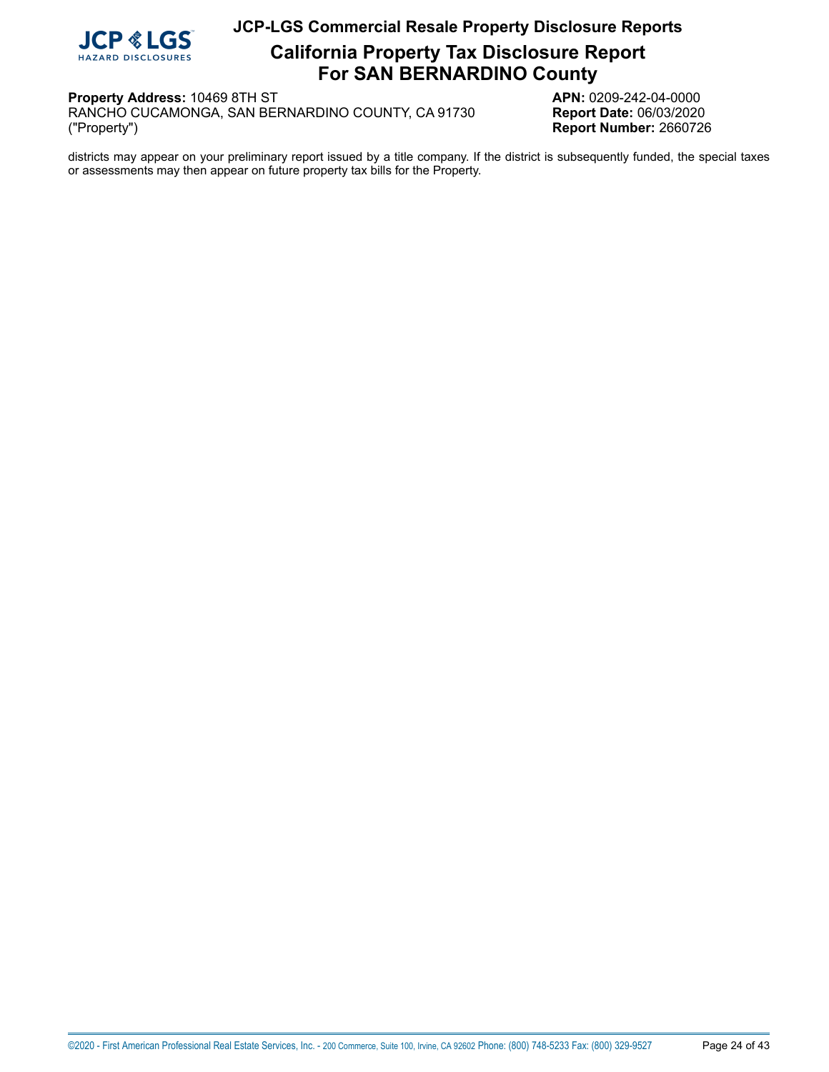

**California Property Tax Disclosure Report For SAN BERNARDINO County**

**Property Address:** 10469 8TH ST<br>RANCHO CUCAMONGA, SAN BERNARDINO COUNTY, CA 91730 **APN:** 0209-242-04-0000 RANCHO CUCAMONGA, SAN BERNARDINO COUNTY, CA 91730 ("Property")

**Report Number: 2660726** 

districts may appear on your preliminary report issued by a title company. If the district is subsequently funded, the special taxes or assessments may then appear on future property tax bills for the Property.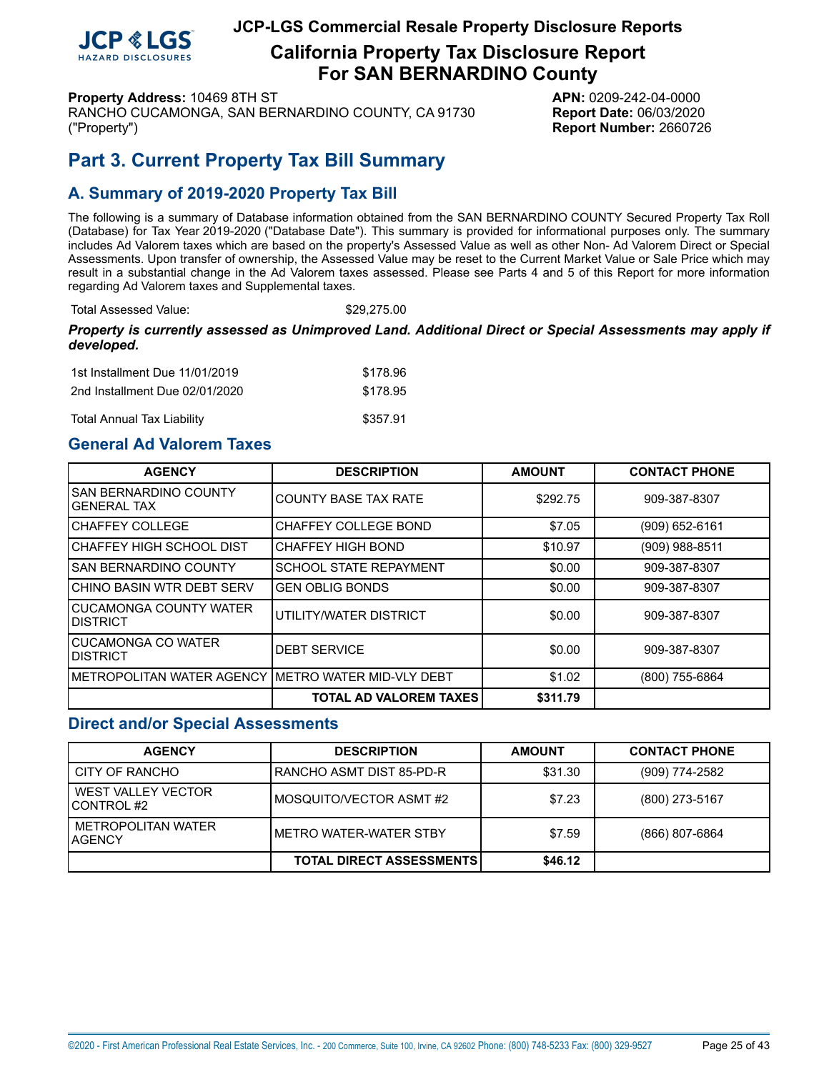

**California Property Tax Disclosure Report For SAN BERNARDINO County**

**Property Address:** 10469 8TH ST **APN:** 0209-242-04-0000

RANCHO CUCAMONGA, SAN BERNARDINO COUNTY, CA 91730 **Report Date:** 06/03/2020 ("Property") **Report Number:** 2660726

# <span id="page-24-0"></span>**Part 3. Current Property Tax Bill Summary**

## **A. Summary of 2019-2020 Property Tax Bill**

The following is a summary of Database information obtained from the SAN BERNARDINO COUNTY Secured Property Tax Roll (Database) for Tax Year 2019-2020 ("Database Date"). This summary is provided for informational purposes only. The summary includes Ad Valorem taxes which are based on the property's Assessed Value as well as other Non- Ad Valorem Direct or Special Assessments. Upon transfer of ownership, the Assessed Value may be reset to the Current Market Value or Sale Price which may result in a substantial change in the Ad Valorem taxes assessed. Please see Parts 4 and 5 of this Report for more information regarding Ad Valorem taxes and Supplemental taxes.

Total Assessed Value: \$29,275.00

#### *Property is currently assessed as Unimproved Land. Additional Direct or Special Assessments may apply if developed.*

| 1st Installment Due 11/01/2019    | \$178.96 |
|-----------------------------------|----------|
| 2nd Installment Due 02/01/2020    | \$178.95 |
| <b>Total Annual Tax Liability</b> | \$357.91 |

## **General Ad Valorem Taxes**

| <b>AGENCY</b>                                        | <b>DESCRIPTION</b>            | <b>AMOUNT</b> | <b>CONTACT PHONE</b> |
|------------------------------------------------------|-------------------------------|---------------|----------------------|
| <b>SAN BERNARDINO COUNTY</b><br><b>GENERAL TAX</b>   | <b>COUNTY BASE TAX RATE</b>   | \$292.75      | 909-387-8307         |
| CHAFFEY COLLEGE                                      | <b>CHAFFEY COLLEGE BOND</b>   | \$7.05        | $(909)$ 652-6161     |
| CHAFFEY HIGH SCHOOL DIST                             | <b>CHAFFEY HIGH BOND</b>      | \$10.97       | $(909)$ 988-8511     |
| ISAN BERNARDINO COUNTY                               | <b>SCHOOL STATE REPAYMENT</b> | \$0.00        | 909-387-8307         |
| CHINO BASIN WTR DEBT SERV                            | <b>GEN OBLIG BONDS</b>        | \$0.00        | 909-387-8307         |
| CUCAMONGA COUNTY WATER<br>IDISTRICT                  | UTILITY/WATER DISTRICT        | \$0.00        | 909-387-8307         |
| <b>CUCAMONGA CO WATER</b><br>IDISTRICT               | <b>DEBT SERVICE</b>           | \$0.00        | 909-387-8307         |
| IMETROPOLITAN WATER AGENCY IMETRO WATER MID-VLY DEBT |                               | \$1.02        | (800) 755-6864       |
|                                                      | <b>TOTAL AD VALOREM TAXES</b> | \$311.79      |                      |

## **Direct and/or Special Assessments**

| <b>AGENCY</b>                               | <b>DESCRIPTION</b>              | <b>AMOUNT</b> | <b>CONTACT PHONE</b> |
|---------------------------------------------|---------------------------------|---------------|----------------------|
| CITY OF RANCHO                              | IRANCHO ASMT DIST 85-PD-R       | \$31.30       | $(909)$ 774-2582     |
| WEST VALLEY VECTOR<br>ICONTROL #2           | IMOSQUITO/VECTOR ASMT #2        | \$7.23        | (800) 273-5167       |
| <b>METROPOLITAN WATER</b><br><b>LAGENCY</b> | IMFTRO WATFR-WATFR STBY         | \$7.59        | $(866)$ 807-6864     |
|                                             | <b>TOTAL DIRECT ASSESSMENTS</b> | \$46.12       |                      |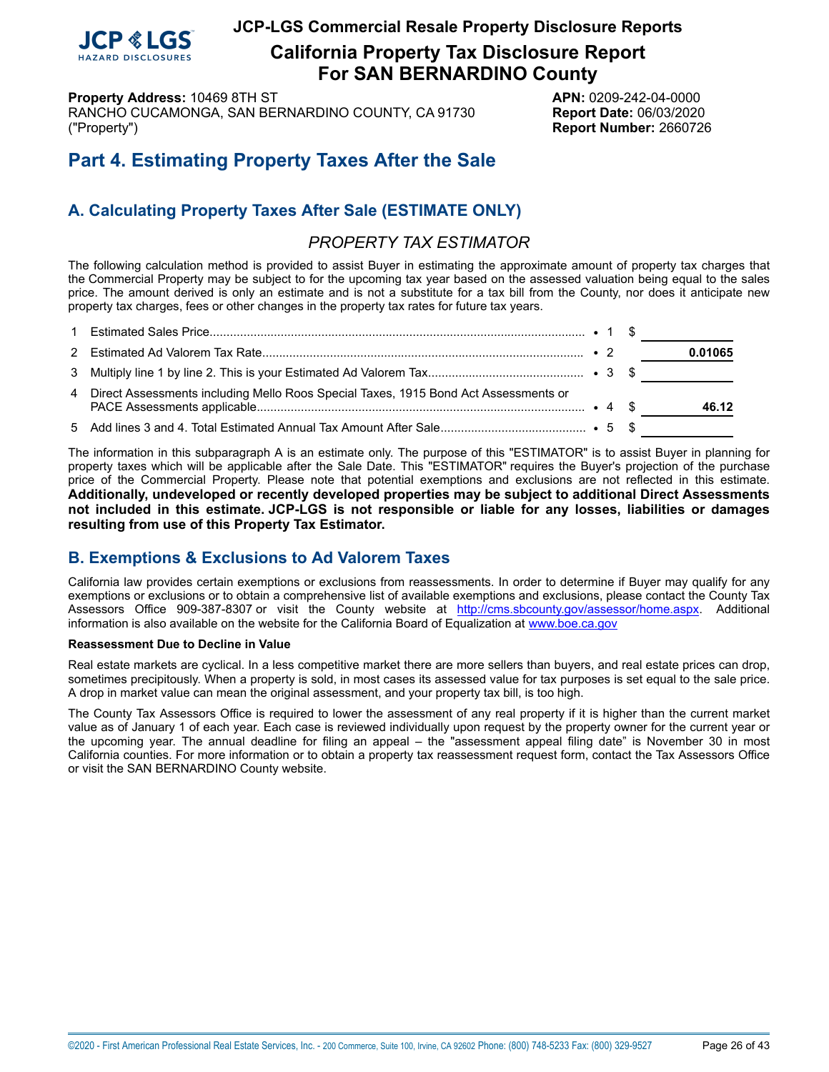

**California Property Tax Disclosure Report For SAN BERNARDINO County**

**Property Address:** 10469 8TH ST **APN:** 0209-242-04-0000 RANCHO CUCAMONGA, SAN BERNARDINO COUNTY, CA 91730 **Report Date:** 06/03/2020 ("Property") **Report Number:** 2660726

# **Part 4. Estimating Property Taxes After the Sale**

# **A. Calculating Property Taxes After Sale (ESTIMATE ONLY)**

## *PROPERTY TAX ESTIMATOR*

The following calculation method is provided to assist Buyer in estimating the approximate amount of property tax charges that the Commercial Property may be subject to for the upcoming tax year based on the assessed valuation being equal to the sales price. The amount derived is only an estimate and is not a substitute for a tax bill from the County, nor does it anticipate new property tax charges, fees or other changes in the property tax rates for future tax years.

|                                                                                       |  | 0.01065 |
|---------------------------------------------------------------------------------------|--|---------|
|                                                                                       |  |         |
| 4 Direct Assessments including Mello Roos Special Taxes, 1915 Bond Act Assessments or |  | 46.12   |
|                                                                                       |  |         |

The information in this subparagraph A is an estimate only. The purpose of this "ESTIMATOR" is to assist Buyer in planning for property taxes which will be applicable after the Sale Date. This "ESTIMATOR" requires the Buyer's projection of the purchase price of the Commercial Property. Please note that potential exemptions and exclusions are not reflected in this estimate. **Additionally, undeveloped or recently developed properties may be subject to additional Direct Assessments not included in this estimate. JCP-LGS is not responsible or liable for any losses, liabilities or damages resulting from use of this Property Tax Estimator.**

# **B. Exemptions & Exclusions to Ad Valorem Taxes**

California law provides certain exemptions or exclusions from reassessments. In order to determine if Buyer may qualify for any exemptions or exclusions or to obtain a comprehensive list of available exemptions and exclusions, please contact the County Tax Assessors Office 909-387-8307 or visit the County website at http://cms.sbcounty.gov/assessor/home.aspx. Additional information is also available on the website for the California Board of Equalization at <www.boe.ca.gov>

#### **Reassessment Due to Decline in Value**

Real estate markets are cyclical. In a less competitive market there are more sellers than buyers, and real estate prices can drop, sometimes precipitously. When a property is sold, in most cases its assessed value for tax purposes is set equal to the sale price. A drop in market value can mean the original assessment, and your property tax bill, is too high.

The County Tax Assessors Office is required to lower the assessment of any real property if it is higher than the current market value as of January 1 of each year. Each case is reviewed individually upon request by the property owner for the current year or the upcoming year. The annual deadline for filing an appeal – the "assessment appeal filing date" is November 30 in most California counties. For more information or to obtain a property tax reassessment request form, contact the Tax Assessors Office or visit the SAN BERNARDINO County website.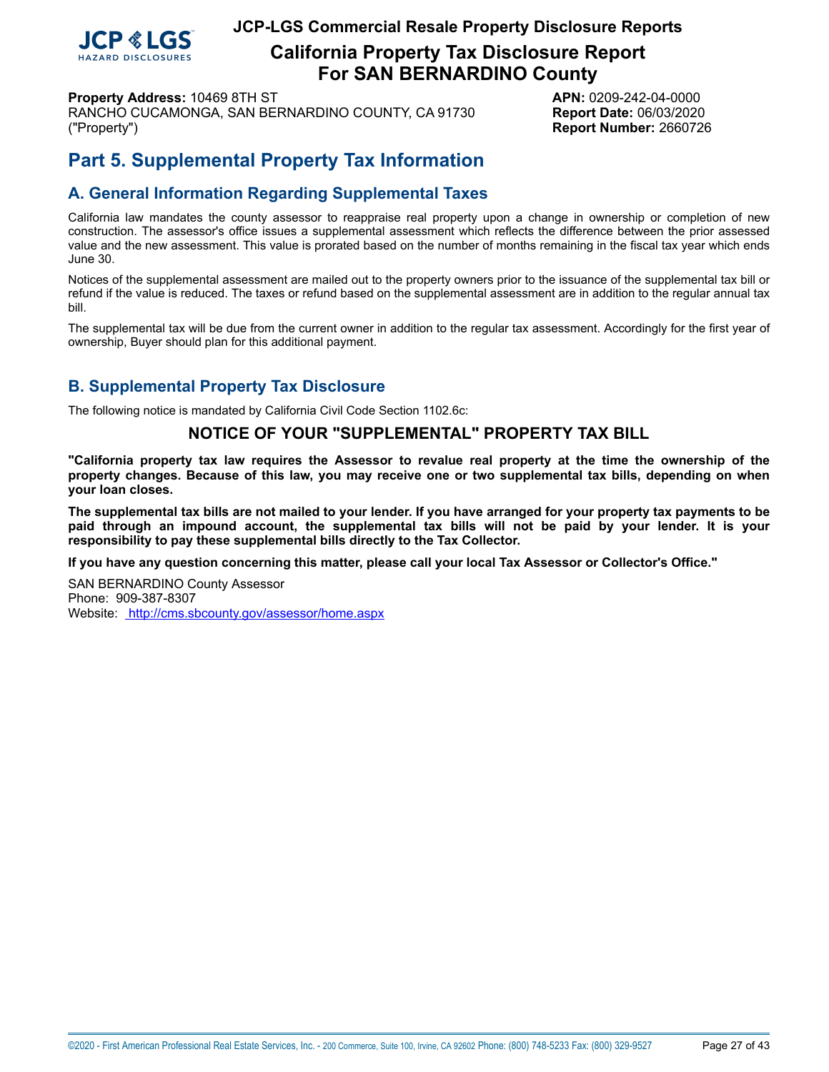

**California Property Tax Disclosure Report For SAN BERNARDINO County**

**Property Address:** 10469 8TH ST **APN:** 0209-242-04-0000 RANCHO CUCAMONGA, SAN BERNARDINO COUNTY, CA 91730 **Report Date:** 06/03/2020 ("Property") **Report Number:** 2660726

# **Part 5. Supplemental Property Tax Information**

# **A. General Information Regarding Supplemental Taxes**

California law mandates the county assessor to reappraise real property upon a change in ownership or completion of new construction. The assessor's office issues a supplemental assessment which reflects the difference between the prior assessed value and the new assessment. This value is prorated based on the number of months remaining in the fiscal tax year which ends June 30.

Notices of the supplemental assessment are mailed out to the property owners prior to the issuance of the supplemental tax bill or refund if the value is reduced. The taxes or refund based on the supplemental assessment are in addition to the regular annual tax bill.

The supplemental tax will be due from the current owner in addition to the regular tax assessment. Accordingly for the first year of ownership, Buyer should plan for this additional payment.

## **B. Supplemental Property Tax Disclosure**

The following notice is mandated by California Civil Code Section 1102.6c:

## **NOTICE OF YOUR "SUPPLEMENTAL" PROPERTY TAX BILL**

"California property tax law requires the Assessor to revalue real property at the time the ownership of the property changes. Because of this law, you may receive one or two supplemental tax bills, depending on when **your loan closes.**

The supplemental tax bills are not mailed to your lender. If you have arranged for your property tax payments to be paid through an impound account, the supplemental tax bills will not be paid by your lender. It is your **responsibility to pay these supplemental bills directly to the Tax Collector.**

**If you have any question concerning this matter, please call your local Tax Assessor or Collector's Office."**

SAN BERNARDINO County Assessor Phone: 909-387-8307 Website: <http://cms.sbcounty.gov/assessor/home.aspx>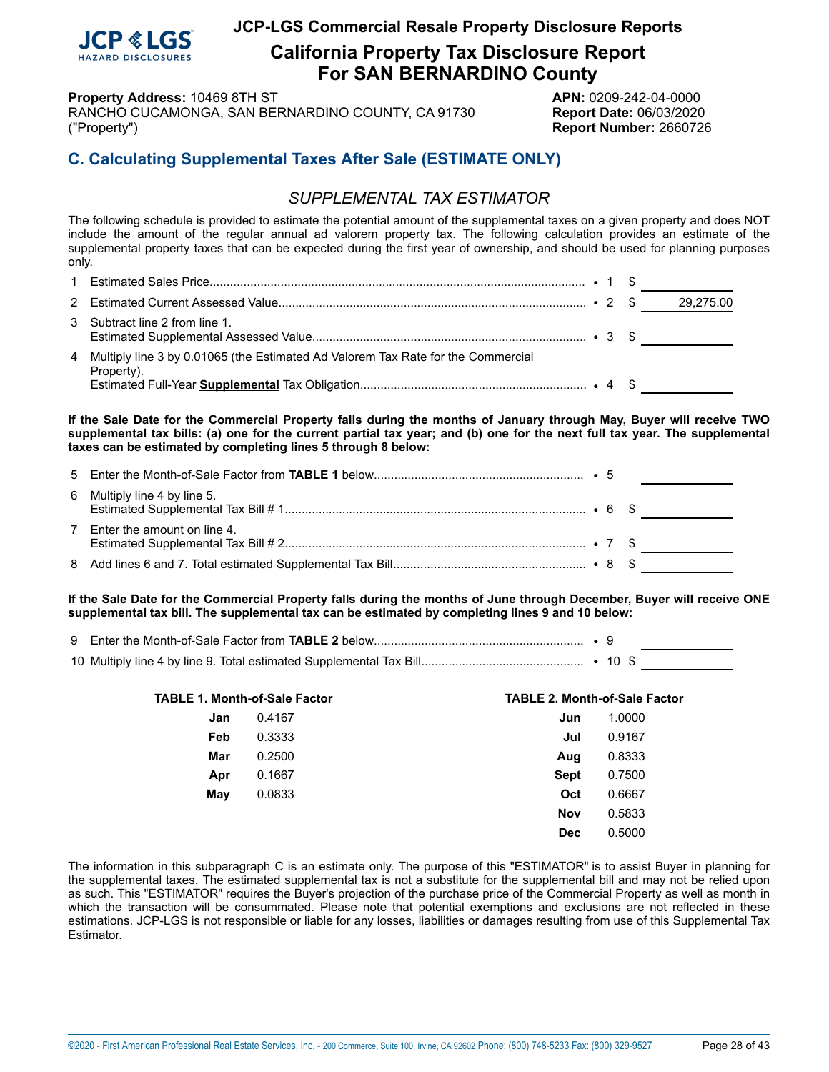

**California Property Tax Disclosure Report For SAN BERNARDINO County**

**Property Address:** 10469 8TH ST **APN:** 0209-242-04-0000

RANCHO CUCAMONGA, SAN BERNARDINO COUNTY, CA 91730 **Report Date:** 06/03/2020 ("Property") **Report Number:** 2660726

# **C. Calculating Supplemental Taxes After Sale (ESTIMATE ONLY)**

# *SUPPLEMENTAL TAX ESTIMATOR*

The following schedule is provided to estimate the potential amount of the supplemental taxes on a given property and does NOT include the amount of the regular annual ad valorem property tax. The following calculation provides an estimate of the supplemental property taxes that can be expected during the first year of ownership, and should be used for planning purposes only.

|                                                                                                  |  | 29,275.00 |
|--------------------------------------------------------------------------------------------------|--|-----------|
| 3 Subtract line 2 from line 1.                                                                   |  |           |
| 4 Multiply line 3 by 0.01065 (the Estimated Ad Valorem Tax Rate for the Commercial<br>Property). |  |           |

If the Sale Date for the Commercial Property falls during the months of January through May, Buyer will receive TWO supplemental tax bills: (a) one for the current partial tax year; and (b) one for the next full tax year. The supplemental **taxes can be estimated by completing lines 5 through 8 below:**

| 6 Multiply line 4 by line 5.  |  |  |
|-------------------------------|--|--|
| 7 Enter the amount on line 4. |  |  |
|                               |  |  |

If the Sale Date for the Commercial Property falls during the months of June through December, Buyer will receive ONE **supplemental tax bill. The supplemental tax can be estimated by completing lines 9 and 10 below:**

| <b>TABLE 1. Month-of-Sale Factor</b> |        | <b>TABLE 2. Month-of-Sale Factor</b> |        |
|--------------------------------------|--------|--------------------------------------|--------|
| Jan                                  | 0.4167 | Jun                                  | 1.0000 |
| Feb                                  | 0.3333 | Jul                                  | 0.9167 |
| Mar                                  | 0.2500 | Aug                                  | 0.8333 |
| Apr                                  | 0.1667 | <b>Sept</b>                          | 0.7500 |
| May                                  | 0.0833 | Oct                                  | 0.6667 |
|                                      |        | <b>Nov</b>                           | 0.5833 |
|                                      |        | <b>Dec</b>                           | 0.5000 |

The information in this subparagraph C is an estimate only. The purpose of this "ESTIMATOR" is to assist Buyer in planning for the supplemental taxes. The estimated supplemental tax is not a substitute for the supplemental bill and may not be relied upon as such. This "ESTIMATOR" requires the Buyer's projection of the purchase price of the Commercial Property as well as month in which the transaction will be consummated. Please note that potential exemptions and exclusions are not reflected in these estimations. JCP-LGS is not responsible or liable for any losses, liabilities or damages resulting from use of this Supplemental Tax Estimator.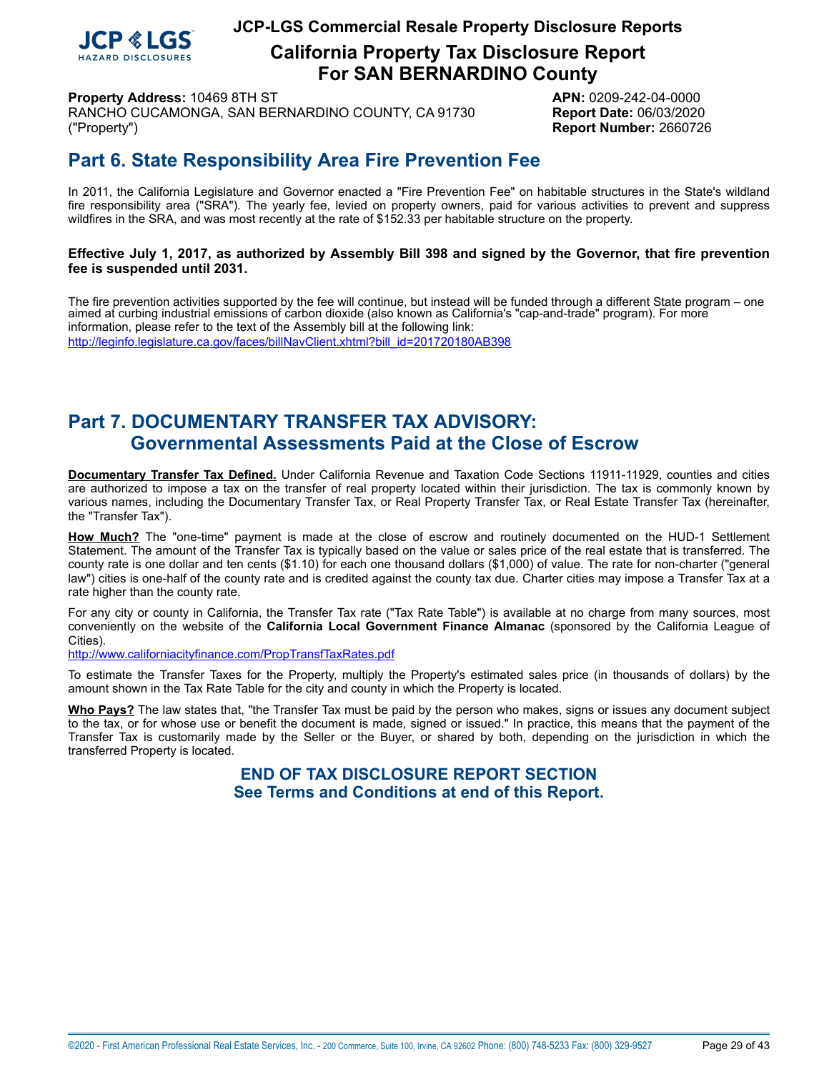

**California Property Tax Disclosure Report For SAN BERNARDINO County**

**Property Address:** 10469 8TH ST **APN:** 0209-242-04-0000 RANCHO CUCAMONGA, SAN BERNARDINO COUNTY, CA 91730 **Report Date:** 06/03/2020 ("Property") **Report Number:** 2660726

# <span id="page-28-0"></span>**Part 6. State Responsibility Area Fire Prevention Fee**

In 2011, the California Legislature and Governor enacted a "Fire Prevention Fee" on habitable structures in the State's wildland fire responsibility area ("SRA"). The yearly fee, levied on property owners, paid for various activities to prevent and suppress wildfires in the SRA, and was most recently at the rate of \$152.33 per habitable structure on the property.

## Effective July 1, 2017, as authorized by Assembly Bill 398 and signed by the Governor, that fire prevention **fee is suspended until 2031.**

 The fire prevention activities supported by the fee will continue, but instead will be funded through a different State program – one aimed at curbing industrial emissions of carbon dioxide (also known as California's "cap-and-trade" program). For more information, please refer to the text of the Assembly bill at the following link: [http://leginfo.legislature.ca.gov/faces/billNavClient.xhtml?bill\\_id=201720180AB398](http://leginfo.legislature.ca.gov/faces/billNavClient.xhtml?bill_id=201720180AB398)

# **Part 7. DOCUMENTARY TRANSFER TAX ADVISORY: Governmental Assessments Paid at the Close of Escrow**

**Documentary Transfer Tax Defined.** Under California Revenue and Taxation Code Sections 11911-11929, counties and cities are authorized to impose a tax on the transfer of real property located within their jurisdiction. The tax is commonly known by various names, including the Documentary Transfer Tax, or Real Property Transfer Tax, or Real Estate Transfer Tax (hereinafter, the "Transfer Tax").

**How Much?** The "one-time" payment is made at the close of escrow and routinely documented on the HUD-1 Settlement Statement. The amount of the Transfer Tax is typically based on the value or sales price of the real estate that is transferred. The county rate is one dollar and ten cents (\$1.10) for each one thousand dollars (\$1,000) of value. The rate for non-charter ("general law") cities is one-half of the county rate and is credited against the county tax due. Charter cities may impose a Transfer Tax at a rate higher than the county rate.

For any city or county in California, the Transfer Tax rate ("Tax Rate Table") is available at no charge from many sources, most conveniently on the website of the **California Local Government Finance Almanac** (sponsored by the California League of Cities).

<http://www.californiacityfinance.com/PropTransfTaxRates.pdf>

To estimate the Transfer Taxes for the Property, multiply the Property's estimated sales price (in thousands of dollars) by the amount shown in the Tax Rate Table for the city and county in which the Property is located.

**Who Pays?** The law states that, "the Transfer Tax must be paid by the person who makes, signs or issues any document subject to the tax, or for whose use or benefit the document is made, signed or issued." In practice, this means that the payment of the Transfer Tax is customarily made by the Seller or the Buyer, or shared by both, depending on the jurisdiction in which the transferred Property is located.

> **END OF TAX DISCLOSURE REPORT SECTION See Terms and Conditions at end of this Report.**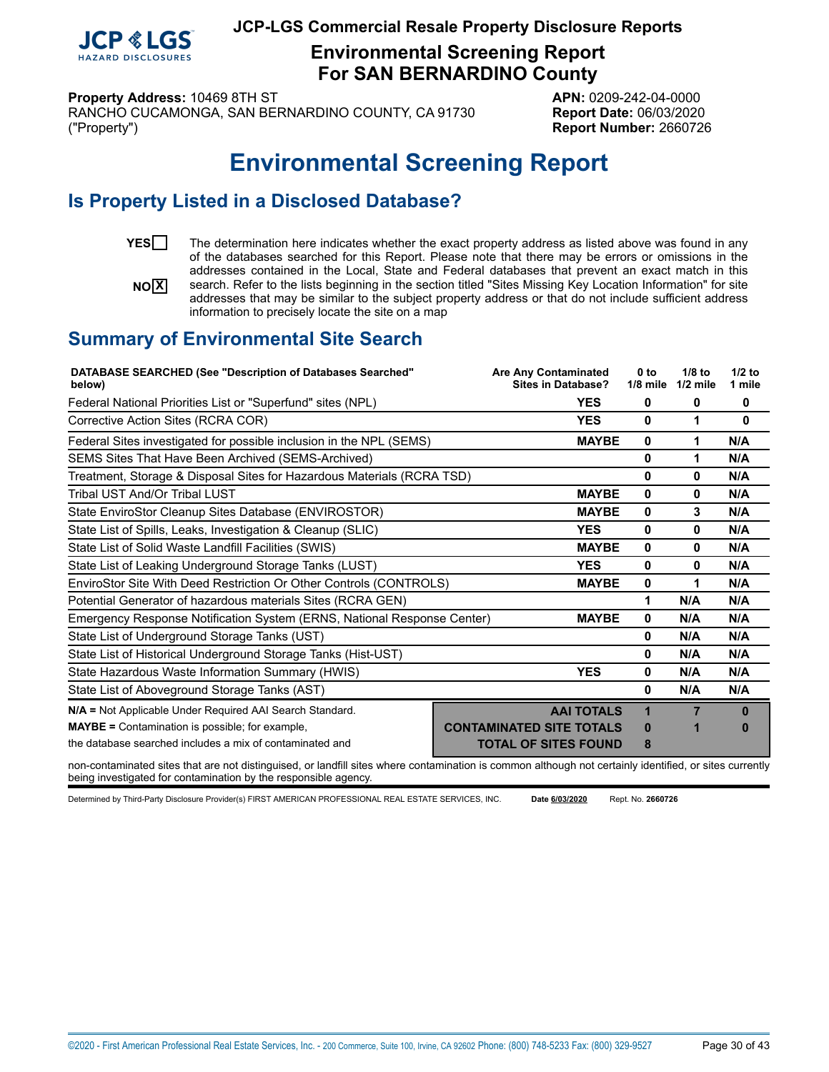

**Environmental Screening Report For SAN BERNARDINO County**

**Property Address:** 10469 8TH ST **APN:** 0209-242-04-0000

RANCHO CUCAMONGA, SAN BERNARDINO COUNTY, CA 91730 **Report Date:** 06/03/2020 ("Property") **Report Number:** 2660726

# **Environmental Screening Report**

# <span id="page-29-0"></span>**Is Property Listed in a Disclosed Database?**

 $N$ 

YES<sup>T</sup> The determination here indicates whether the exact property address as listed above was found in any of the databases searched for this Report. Please note that there may be errors or omissions in the addresses contained in the Local, State and Federal databases that prevent an exact match in this search. Refer to the lists beginning in the section titled "Sites Missing Key Location Information" for site addresses that may be similar to the subject property address or that do not include sufficient address information to precisely locate the site on a map

# **Summary of Environmental Site Search**

| <b>DATABASE SEARCHED (See "Description of Databases Searched"</b><br>below)                                                                                                                                                                                                                                                                                                                                                                                  | <b>Are Any Contaminated</b><br><b>Sites in Database?</b> | 0 <sub>to</sub><br>$1/8$ mile | $1/8$ to<br>$1/2$ mile | $1/2$ to<br>1 mile |
|--------------------------------------------------------------------------------------------------------------------------------------------------------------------------------------------------------------------------------------------------------------------------------------------------------------------------------------------------------------------------------------------------------------------------------------------------------------|----------------------------------------------------------|-------------------------------|------------------------|--------------------|
| Federal National Priorities List or "Superfund" sites (NPL)                                                                                                                                                                                                                                                                                                                                                                                                  | <b>YES</b>                                               | 0                             | 0                      | 0                  |
| Corrective Action Sites (RCRA COR)                                                                                                                                                                                                                                                                                                                                                                                                                           | <b>YES</b>                                               | 0                             | 1                      | $\bf{0}$           |
| Federal Sites investigated for possible inclusion in the NPL (SEMS)                                                                                                                                                                                                                                                                                                                                                                                          | <b>MAYBE</b>                                             | 0                             |                        | N/A                |
| SEMS Sites That Have Been Archived (SEMS-Archived)                                                                                                                                                                                                                                                                                                                                                                                                           |                                                          | 0                             | 1                      | N/A                |
| Treatment, Storage & Disposal Sites for Hazardous Materials (RCRA TSD)                                                                                                                                                                                                                                                                                                                                                                                       |                                                          | 0                             | 0                      | N/A                |
| Tribal UST And/Or Tribal LUST                                                                                                                                                                                                                                                                                                                                                                                                                                | <b>MAYBE</b>                                             | 0                             | 0                      | N/A                |
| State EnviroStor Cleanup Sites Database (ENVIROSTOR)                                                                                                                                                                                                                                                                                                                                                                                                         | <b>MAYBE</b>                                             | 0                             | 3                      | N/A                |
| State List of Spills, Leaks, Investigation & Cleanup (SLIC)                                                                                                                                                                                                                                                                                                                                                                                                  | <b>YES</b>                                               | 0                             | 0                      | N/A                |
| State List of Solid Waste Landfill Facilities (SWIS)                                                                                                                                                                                                                                                                                                                                                                                                         | <b>MAYBE</b>                                             | 0                             | 0                      | N/A                |
| State List of Leaking Underground Storage Tanks (LUST)                                                                                                                                                                                                                                                                                                                                                                                                       | <b>YES</b>                                               | 0                             | 0                      | N/A                |
| EnviroStor Site With Deed Restriction Or Other Controls (CONTROLS)                                                                                                                                                                                                                                                                                                                                                                                           | <b>MAYBE</b>                                             | 0                             | 1                      | N/A                |
| Potential Generator of hazardous materials Sites (RCRA GEN)                                                                                                                                                                                                                                                                                                                                                                                                  |                                                          | 1                             | N/A                    | N/A                |
| Emergency Response Notification System (ERNS, National Response Center)                                                                                                                                                                                                                                                                                                                                                                                      | <b>MAYBE</b>                                             | 0                             | N/A                    | N/A                |
| State List of Underground Storage Tanks (UST)                                                                                                                                                                                                                                                                                                                                                                                                                |                                                          | 0                             | N/A                    | N/A                |
| State List of Historical Underground Storage Tanks (Hist-UST)                                                                                                                                                                                                                                                                                                                                                                                                |                                                          | 0                             | N/A                    | N/A                |
| State Hazardous Waste Information Summary (HWIS)                                                                                                                                                                                                                                                                                                                                                                                                             | <b>YES</b>                                               | 0                             | N/A                    | N/A                |
| State List of Aboveground Storage Tanks (AST)                                                                                                                                                                                                                                                                                                                                                                                                                |                                                          | 0                             | N/A                    | N/A                |
| N/A = Not Applicable Under Required AAI Search Standard.                                                                                                                                                                                                                                                                                                                                                                                                     | <b>AAI TOTALS</b>                                        | 1                             |                        | $\mathbf{0}$       |
| <b>MAYBE</b> = Contamination is possible; for example,                                                                                                                                                                                                                                                                                                                                                                                                       | <b>CONTAMINATED SITE TOTALS</b>                          | n                             |                        | 0                  |
| the database searched includes a mix of contaminated and                                                                                                                                                                                                                                                                                                                                                                                                     | <b>TOTAL OF SITES FOUND</b>                              | 8                             |                        |                    |
| $\mathcal{L} = \mathcal{L} = \mathcal{L} = \mathcal{L} = \mathcal{L} = \mathcal{L} = \mathcal{L} = \mathcal{L} = \mathcal{L} = \mathcal{L} = \mathcal{L} = \mathcal{L} = \mathcal{L} = \mathcal{L} = \mathcal{L} = \mathcal{L} = \mathcal{L} = \mathcal{L} = \mathcal{L} = \mathcal{L} = \mathcal{L} = \mathcal{L} = \mathcal{L} = \mathcal{L} = \mathcal{L} = \mathcal{L} = \mathcal{L} = \mathcal{L} = \mathcal{L} = \mathcal{L} = \mathcal{L} = \mathcal$ |                                                          |                               |                        |                    |

non-contaminated sites that are not distinguised, or landfill sites where contamination is common although not certainly identified, or sites currently being investigated for contamination by the responsible agency.

Determined by Third-Party Disclosure Provider(s) FIRST AMERICAN PROFESSIONAL REAL ESTATE SERVICES, INC. **Date 6/03/2020**  Rept. No. **2660726**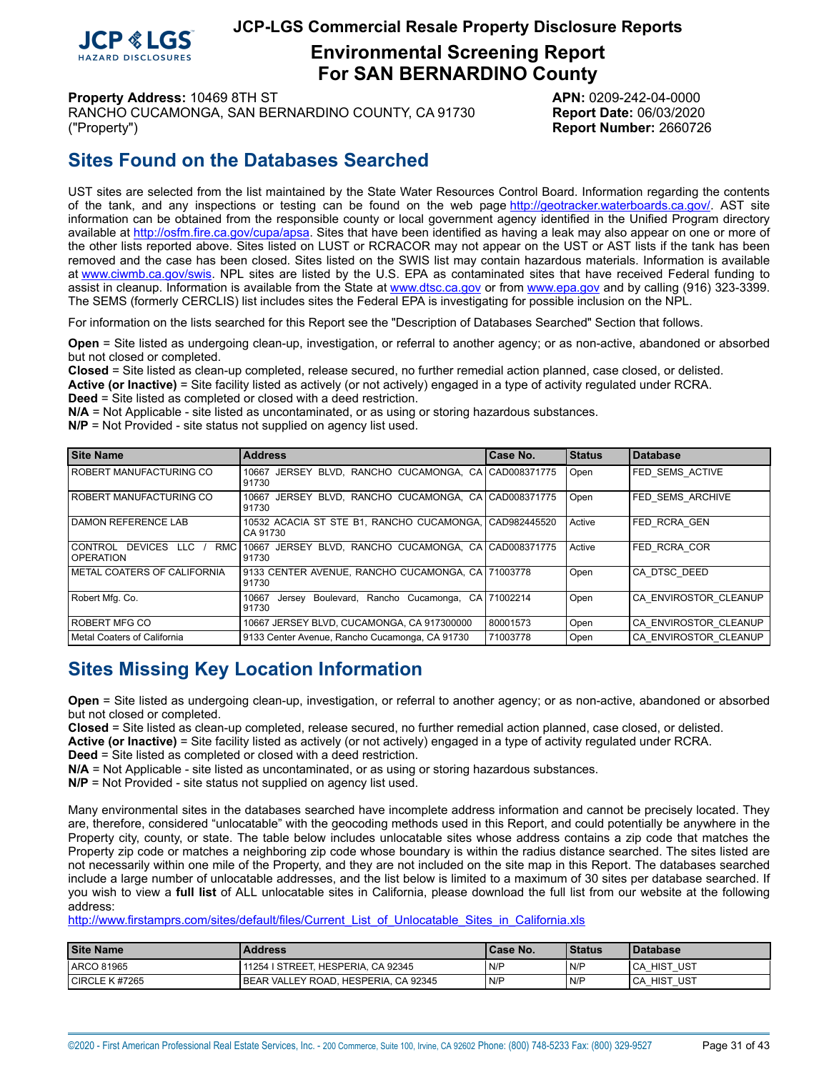

# **Environmental Screening Report For SAN BERNARDINO County**

**Property Address:** 10469 8TH ST **APN:** 0209-242-04-0000

RANCHO CUCAMONGA, SAN BERNARDINO COUNTY, CA 91730 **Report Date:** 06/03/2020 ("Property") **Report Number:** 2660726

# **Sites Found on the Databases Searched**

UST sites are selected from the list maintained by the State Water Resources Control Board. Information regarding the contents of the tank, and any inspections or testing can be found on the web page [http://geotracker.waterboards.ca.gov/.](http://geotracker.waterboards.ca.gov/) AST site information can be obtained from the responsible county or local government agency identified in the Unified Program directory available at [http://osfm.fire.ca.gov/cupa/apsa.](http://osfm.fire.ca.gov/cupa/apsa) Sites that have been identified as having a leak may also appear on one or more of the other lists reported above. Sites listed on LUST or RCRACOR may not appear on the UST or AST lists if the tank has been removed and the case has been closed. Sites listed on the SWIS list may contain hazardous materials. Information is available at<www.ciwmb.ca.gov/swis>. NPL sites are listed by the U.S. EPA as contaminated sites that have received Federal funding to assist in cleanup. Information is available from the State at<www.dtsc.ca.gov> or from <www.epa.gov> and by calling (916) 323-3399. The SEMS (formerly CERCLIS) list includes sites the Federal EPA is investigating for possible inclusion on the NPL.

For information on the lists searched for this Report see the "Description of Databases Searched" Section that follows.

**Open** = Site listed as undergoing clean-up, investigation, or referral to another agency; or as non-active, abandoned or absorbed but not closed or completed.

**Closed** = Site listed as clean-up completed, release secured, no further remedial action planned, case closed, or delisted. **Active (or Inactive)** = Site facility listed as actively (or not actively) engaged in a type of activity regulated under RCRA.

**Deed** = Site listed as completed or closed with a deed restriction.

**N/A** = Not Applicable - site listed as uncontaminated, or as using or storing hazardous substances.

**N/P** = Not Provided - site status not supplied on agency list used.

| <b>Site Name</b>                                    | <b>Address</b>                                                      | Case No.     | l Status | <b>Database</b>         |
|-----------------------------------------------------|---------------------------------------------------------------------|--------------|----------|-------------------------|
| I ROBERT MANUFACTURING CO                           | JERSEY BLVD, RANCHO CUCAMONGA, CA CAD008371775<br>10667<br>91730    |              | Open     | <b>FED SEMS ACTIVE</b>  |
| I ROBERT MANUFACTURING CO                           | BLVD. RANCHO CUCAMONGA. CA CAD008371775<br>10667<br>JERSEY<br>91730 |              | Open     | <b>FED SEMS ARCHIVE</b> |
| DAMON REFERENCE LAB                                 | 10532 ACACIA ST STE B1, RANCHO CUCAMONGA,<br>CA 91730               | CAD982445520 | Active   | <b>FED RCRA GEN</b>     |
| DEVICES LLC<br>I CONTROL<br>RMC<br><b>OPERATION</b> | JERSEY BLVD. RANCHO CUCAMONGA. CA CAD008371775<br>10667<br>91730    |              | Active   | FED RCRA COR            |
| METAL COATERS OF CALIFORNIA                         | 9133 CENTER AVENUE, RANCHO CUCAMONGA, CA 71003778<br>91730          |              | Open     | CA DTSC DEED            |
| Robert Mfg. Co.                                     | Boulevard, Rancho Cucamonga,<br>10667<br>Jersev<br>91730            | CA 71002214  | Open     | CA ENVIROSTOR CLEANUP   |
| ROBERT MFG CO                                       | 10667 JERSEY BLVD, CUCAMONGA, CA 917300000                          | 80001573     | Open     | CA ENVIROSTOR CLEANUP   |
| Metal Coaters of California                         | 9133 Center Avenue, Rancho Cucamonga, CA 91730                      | 71003778     | Open     | CA ENVIROSTOR CLEANUP   |

# **Sites Missing Key Location Information**

**Open** = Site listed as undergoing clean-up, investigation, or referral to another agency; or as non-active, abandoned or absorbed but not closed or completed.

**Closed** = Site listed as clean-up completed, release secured, no further remedial action planned, case closed, or delisted.

**Active (or Inactive)** = Site facility listed as actively (or not actively) engaged in a type of activity regulated under RCRA.

**Deed** = Site listed as completed or closed with a deed restriction.

**N/A** = Not Applicable - site listed as uncontaminated, or as using or storing hazardous substances.

**N/P** = Not Provided - site status not supplied on agency list used.

Many environmental sites in the databases searched have incomplete address information and cannot be precisely located. They are, therefore, considered "unlocatable" with the geocoding methods used in this Report, and could potentially be anywhere in the Property city, county, or state. The table below includes unlocatable sites whose address contains a zip code that matches the Property zip code or matches a neighboring zip code whose boundary is within the radius distance searched. The sites listed are not necessarily within one mile of the Property, and they are not included on the site map in this Report. The databases searched include a large number of unlocatable addresses, and the list below is limited to a maximum of 30 sites per database searched. If you wish to view a **full list** of ALL unlocatable sites in California, please download the full list from our website at the following address:

[http://www.firstamprs.com/sites/default/files/Current\\_List\\_of\\_Unlocatable\\_Sites\\_in\\_California.xls](http://www.firstamprs.com/sites/default/files/Current_List_of_Unlocatable_Sites_in_California.xls)

| <b>Site Name</b>   | <b>Address</b>                         | <b>ICase No.</b> | l Status | <b>I</b> Database |
|--------------------|----------------------------------------|------------------|----------|-------------------|
| <b>LARCO 81965</b> | 11254   STREET, HESPERIA, CA 92345     | N/P              | N/P      | UST<br>ICA HIST   |
| I CIRCLE K #7265   | l BEAR VALLEY ROAD. HESPERIA. CA 92345 | N/P              | N/P      | UST<br>ICA HIST   |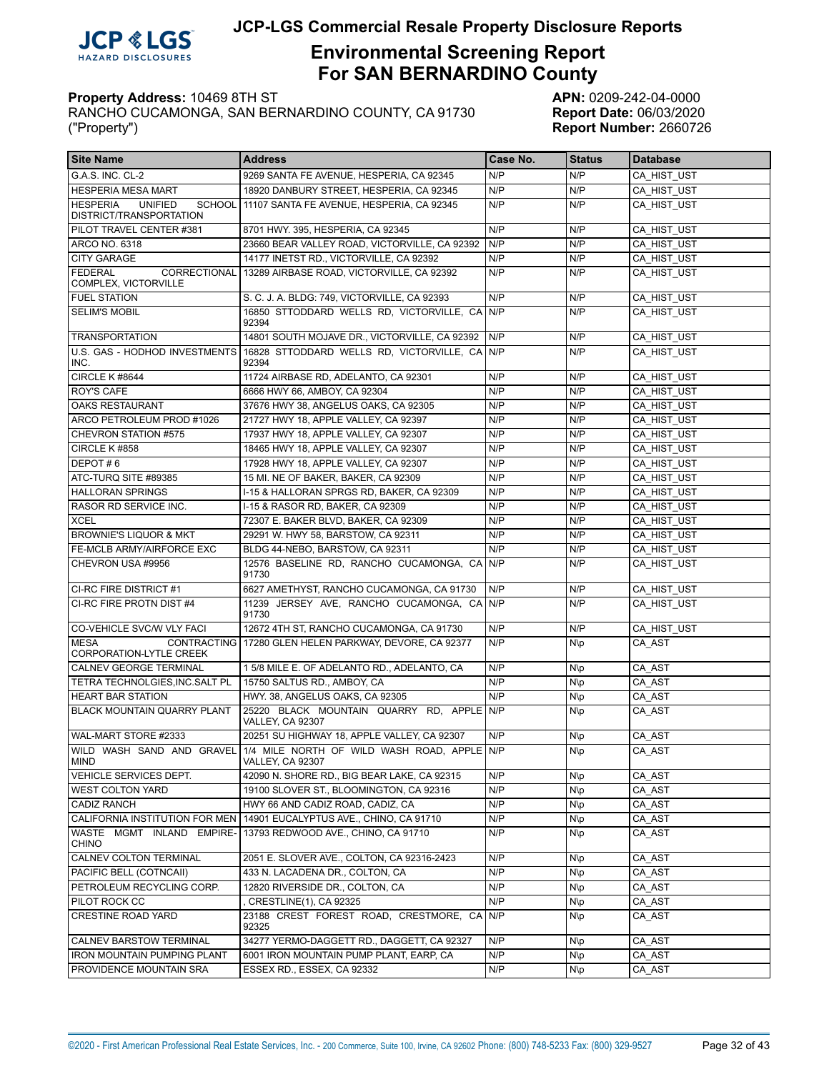

# **Environmental Screening Report For SAN BERNARDINO County**

| <b>Site Name</b>                                                              | <b>Address</b>                                                                            | Case No. | <b>Status</b> | <b>Database</b> |
|-------------------------------------------------------------------------------|-------------------------------------------------------------------------------------------|----------|---------------|-----------------|
| G.A.S. INC. CL-2                                                              | 9269 SANTA FE AVENUE, HESPERIA, CA 92345                                                  | N/P      | N/P           | CA HIST UST     |
| <b>HESPERIA MESA MART</b>                                                     | 18920 DANBURY STREET, HESPERIA, CA 92345                                                  | N/P      | N/P           | CA HIST UST     |
| <b>HESPERIA</b><br><b>UNIFIED</b><br><b>SCHOOL</b><br>DISTRICT/TRANSPORTATION | 11107 SANTA FE AVENUE, HESPERIA, CA 92345                                                 | N/P      | N/P           | CA HIST UST     |
| PILOT TRAVEL CENTER #381                                                      | 8701 HWY. 395, HESPERIA, CA 92345                                                         | N/P      | N/P           | CA HIST UST     |
| ARCO NO. 6318                                                                 | 23660 BEAR VALLEY ROAD, VICTORVILLE, CA 92392                                             | N/P      | N/P           | CA HIST UST     |
| <b>CITY GARAGE</b>                                                            | 14177 INETST RD., VICTORVILLE, CA 92392                                                   | N/P      | N/P           | CA HIST UST     |
| <b>FEDERAL</b><br>COMPLEX, VICTORVILLE                                        | CORRECTIONAL 13289 AIRBASE ROAD, VICTORVILLE, CA 92392                                    | N/P      | N/P           | CA HIST UST     |
| <b>FUEL STATION</b>                                                           | S. C. J. A. BLDG: 749. VICTORVILLE. CA 92393                                              | N/P      | N/P           | CA HIST UST     |
| <b>SELIM'S MOBIL</b>                                                          | 16850 STTODDARD WELLS RD, VICTORVILLE, CA<br>92394                                        | N/P      | N/P           | CA HIST UST     |
| <b>TRANSPORTATION</b>                                                         | 14801 SOUTH MOJAVE DR., VICTORVILLE, CA 92392                                             | N/P      | N/P           | CA HIST UST     |
| U.S. GAS - HODHOD INVESTMENTS<br>INC.                                         | 16828 STTODDARD WELLS RD, VICTORVILLE, CA<br>92394                                        | N/P      | N/P           | CA HIST UST     |
| <b>CIRCLE K #8644</b>                                                         | 11724 AIRBASE RD, ADELANTO, CA 92301                                                      | N/P      | N/P           | CA HIST UST     |
| <b>ROY'S CAFE</b>                                                             | 6666 HWY 66, AMBOY, CA 92304                                                              | N/P      | N/P           | CA HIST UST     |
| <b>OAKS RESTAURANT</b>                                                        | 37676 HWY 38, ANGELUS OAKS, CA 92305                                                      | N/P      | N/P           | CA HIST UST     |
| ARCO PETROLEUM PROD #1026                                                     | 21727 HWY 18, APPLE VALLEY, CA 92397                                                      | N/P      | N/P           | CA HIST UST     |
| CHEVRON STATION #575                                                          | 17937 HWY 18, APPLE VALLEY, CA 92307                                                      | N/P      | N/P           | CA HIST UST     |
| CIRCLE K #858                                                                 | 18465 HWY 18, APPLE VALLEY, CA 92307                                                      | N/P      | N/P           | CA HIST UST     |
| DEPOT#6                                                                       | 17928 HWY 18, APPLE VALLEY, CA 92307                                                      | N/P      | N/P           | CA HIST UST     |
| ATC-TURQ SITE #89385                                                          | 15 MI. NE OF BAKER, BAKER, CA 92309                                                       | N/P      | N/P           | CA HIST UST     |
| <b>HALLORAN SPRINGS</b>                                                       | I-15 & HALLORAN SPRGS RD, BAKER, CA 92309                                                 | N/P      | N/P           | CA HIST UST     |
| RASOR RD SERVICE INC.                                                         | I-15 & RASOR RD, BAKER, CA 92309                                                          | N/P      | N/P           | CA HIST UST     |
| <b>XCEL</b>                                                                   | 72307 E. BAKER BLVD, BAKER, CA 92309                                                      | N/P      | N/P           | CA HIST UST     |
| <b>BROWNIE'S LIQUOR &amp; MKT</b>                                             | 29291 W. HWY 58, BARSTOW, CA 92311                                                        | N/P      | N/P           | CA HIST UST     |
| FE-MCLB ARMY/AIRFORCE EXC                                                     | BLDG 44-NEBO, BARSTOW, CA 92311                                                           | N/P      | N/P           | CA HIST UST     |
| CHEVRON USA #9956                                                             | 12576 BASELINE RD, RANCHO CUCAMONGA, CA<br>91730                                          | N/P      | N/P           | CA_HIST_UST     |
| CI-RC FIRE DISTRICT #1                                                        | 6627 AMETHYST, RANCHO CUCAMONGA, CA 91730                                                 | N/P      | N/P           | CA HIST UST     |
| CI-RC FIRE PROTN DIST #4                                                      | 11239 JERSEY AVE, RANCHO CUCAMONGA, CA<br>91730                                           | N/P      | N/P           | CA HIST UST     |
| CO-VEHICLE SVC/W VLY FACI                                                     | 12672 4TH ST, RANCHO CUCAMONGA, CA 91730                                                  | N/P      | N/P           | CA HIST UST     |
| <b>MESA</b><br>CORPORATION-LYTLE CREEK                                        | CONTRACTING   17280 GLEN HELEN PARKWAY, DEVORE, CA 92377                                  | N/P      | N\p           | CA AST          |
| CALNEV GEORGE TERMINAL                                                        | 15/8 MILE E. OF ADELANTO RD., ADELANTO, CA                                                | N/P      | N\p           | CA AST          |
| TETRA TECHNOLGIES, INC. SALT PL                                               | 15750 SALTUS RD., AMBOY, CA                                                               | N/P      | N\p           | CA AST          |
| <b>HEART BAR STATION</b>                                                      | HWY. 38, ANGELUS OAKS, CA 92305                                                           | N/P      | N\p           | CA AST          |
| BLACK MOUNTAIN QUARRY PLANT                                                   | 25220 BLACK MOUNTAIN QUARRY RD, APPLE N/P<br><b>VALLEY, CA 92307</b>                      |          | N\p           | CA AST          |
| WAL-MART STORE #2333                                                          | 20251 SU HIGHWAY 18, APPLE VALLEY, CA 92307                                               | N/P      | N\p           | CA AST          |
| MIND                                                                          | WILD WASH SAND AND GRAVEL 1/4 MILE NORTH OF WILD WASH ROAD, APPLE N/P<br>VALLEY, CA 92307 |          | N/p           | CA_AST          |
| VEHICLE SERVICES DEPT.                                                        | 42090 N. SHORE RD., BIG BEAR LAKE, CA 92315                                               | N/P      | N\p           | CA AST          |
| <b>WEST COLTON YARD</b>                                                       | 19100 SLOVER ST., BLOOMINGTON, CA 92316                                                   | N/P      | N\p           | CA AST          |
| CADIZ RANCH                                                                   | HWY 66 AND CADIZ ROAD, CADIZ, CA                                                          | N/P      | N\p           | CA AST          |
|                                                                               | CALIFORNIA INSTITUTION FOR MEN 14901 EUCALYPTUS AVE., CHINO, CA 91710                     | N/P      | N\p           | CA AST          |
| WASTE MGMT INLAND EMPIRE-<br><b>CHINO</b>                                     | 13793 REDWOOD AVE., CHINO, CA 91710                                                       | N/P      | N\p           | CA AST          |
| CALNEV COLTON TERMINAL                                                        | 2051 E. SLOVER AVE., COLTON, CA 92316-2423                                                | N/P      | N\p           | CA AST          |
| PACIFIC BELL (COTNCAII)                                                       | 433 N. LACADENA DR., COLTON, CA                                                           | N/P      | N\p           | CA AST          |
| PETROLEUM RECYCLING CORP.                                                     | 12820 RIVERSIDE DR., COLTON, CA                                                           | N/P      | N\p           | CA_AST          |
| PILOT ROCK CC                                                                 | CRESTLINE(1), CA 92325                                                                    | N/P      | N\p           | CA AST          |
| CRESTINE ROAD YARD                                                            | 23188 CREST FOREST ROAD, CRESTMORE, CA<br>92325                                           | N/P      | N\p           | CA_AST          |
| CALNEV BARSTOW TERMINAL                                                       | 34277 YERMO-DAGGETT RD., DAGGETT, CA 92327                                                | N/P      | N\p           | CA AST          |
| <b>IRON MOUNTAIN PUMPING PLANT</b>                                            | 6001 IRON MOUNTAIN PUMP PLANT, EARP, CA                                                   | N/P      | N\p           | CA AST          |
| PROVIDENCE MOUNTAIN SRA                                                       | ESSEX RD., ESSEX, CA 92332                                                                | N/P      | N\p           | CA_AST          |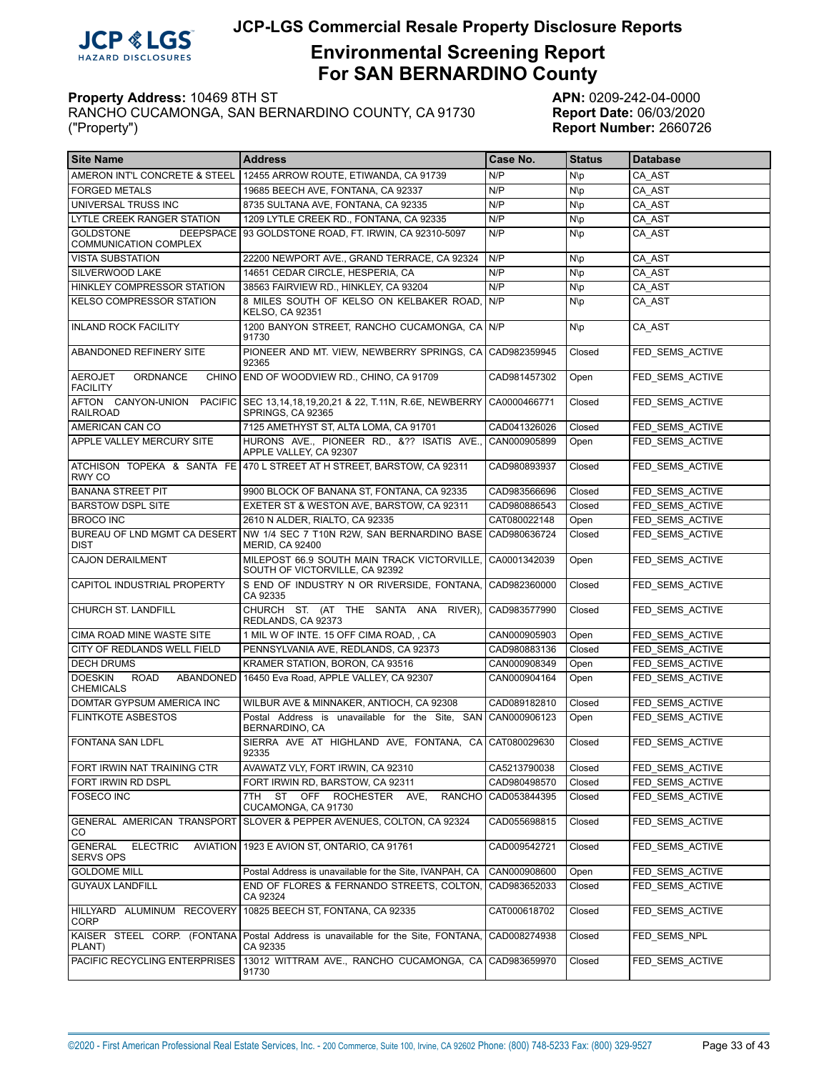

# **Environmental Screening Report For SAN BERNARDINO County**

| <b>Site Name</b>                                        | <b>Address</b>                                                                    | Case No.           | <b>Status</b> | <b>Database</b> |
|---------------------------------------------------------|-----------------------------------------------------------------------------------|--------------------|---------------|-----------------|
|                                                         | AMERON INT'L CONCRETE & STEEL 12455 ARROW ROUTE. ETIWANDA. CA 91739               | N/P                | N\p           | CA AST          |
| <b>FORGED METALS</b>                                    | 19685 BEECH AVE, FONTANA, CA 92337                                                | N/P                | $N\$          | CA AST          |
| UNIVERSAL TRUSS INC                                     | 8735 SULTANA AVE, FONTANA, CA 92335                                               | N/P                | N\p           | CA AST          |
| LYTLE CREEK RANGER STATION                              | 1209 LYTLE CREEK RD., FONTANA, CA 92335                                           | N/P                | $N\$          | CA AST          |
| <b>GOLDSTONE</b><br><b>COMMUNICATION COMPLEX</b>        | DEEPSPACE 93 GOLDSTONE ROAD, FT. IRWIN, CA 92310-5097                             | N/P                | N\p           | CA AST          |
| <b>VISTA SUBSTATION</b>                                 | 22200 NEWPORT AVE., GRAND TERRACE, CA 92324                                       | N/P                | N\p           | CA AST          |
| SILVERWOOD LAKE                                         | 14651 CEDAR CIRCLE, HESPERIA, CA                                                  | N/P                | N\p           | CA AST          |
| HINKLEY COMPRESSOR STATION                              | 38563 FAIRVIEW RD., HINKLEY, CA 93204                                             | N/P                | $N\$          | CA AST          |
| KELSO COMPRESSOR STATION                                | 8 MILES SOUTH OF KELSO ON KELBAKER ROAD.<br><b>KELSO, CA 92351</b>                | N/P                | N\p           | CA AST          |
| <b>INLAND ROCK FACILITY</b>                             | 1200 BANYON STREET. RANCHO CUCAMONGA. CA N/P<br>91730                             |                    | N\p           | CA AST          |
| ABANDONED REFINERY SITE                                 | PIONEER AND MT. VIEW, NEWBERRY SPRINGS, CA<br>92365                               | CAD982359945       | Closed        | FED_SEMS_ACTIVE |
| ORDNANCE<br><b>AEROJET</b><br><b>FACILITY</b>           | CHINO END OF WOODVIEW RD., CHINO, CA 91709                                        | CAD981457302       | Open          | FED SEMS ACTIVE |
| AFTON CANYON-UNION<br><b>PACIFIC</b><br><b>RAILROAD</b> | SEC 13,14,18,19,20,21 & 22, T.11N, R.6E, NEWBERRY<br>SPRINGS, CA 92365            | CA0000466771       | Closed        | FED SEMS ACTIVE |
| AMERICAN CAN CO                                         | 7125 AMETHYST ST, ALTA LOMA, CA 91701                                             | CAD041326026       | Closed        | FED SEMS ACTIVE |
| APPLE VALLEY MERCURY SITE                               | HURONS AVE., PIONEER RD., &?? ISATIS AVE.,<br>APPLE VALLEY, CA 92307              | CAN000905899       | Open          | FED SEMS ACTIVE |
| <b>RWY CO</b>                                           | ATCHISON TOPEKA & SANTA FE 470 L STREET AT H STREET, BARSTOW, CA 92311            | CAD980893937       | Closed        | FED SEMS ACTIVE |
| <b>BANANA STREET PIT</b>                                | 9900 BLOCK OF BANANA ST. FONTANA, CA 92335                                        | CAD983566696       | Closed        | FED SEMS ACTIVE |
| <b>BARSTOW DSPL SITE</b>                                | EXETER ST & WESTON AVE, BARSTOW, CA 92311                                         | CAD980886543       | Closed        | FED SEMS ACTIVE |
| <b>BROCO INC</b>                                        | 2610 N ALDER, RIALTO, CA 92335                                                    | CAT080022148       | Open          | FED SEMS ACTIVE |
| BUREAU OF LND MGMT CA DESERT<br><b>DIST</b>             | NW 1/4 SEC 7 T10N R2W, SAN BERNARDINO BASE CAD980636724<br><b>MERID, CA 92400</b> |                    | Closed        | FED SEMS ACTIVE |
| <b>CAJON DERAILMENT</b>                                 | MILEPOST 66.9 SOUTH MAIN TRACK VICTORVILLE,<br>SOUTH OF VICTORVILLE, CA 92392     | CA0001342039       | Open          | FED SEMS ACTIVE |
| CAPITOL INDUSTRIAL PROPERTY                             | S END OF INDUSTRY N OR RIVERSIDE, FONTANA,<br>CA 92335                            | CAD982360000       | Closed        | FED SEMS ACTIVE |
| CHURCH ST. LANDFILL                                     | CHURCH ST. (AT THE SANTA ANA RIVER),<br>REDLANDS, CA 92373                        | CAD983577990       | Closed        | FED SEMS ACTIVE |
| CIMA ROAD MINE WASTE SITE                               | 1 MIL W OF INTE. 15 OFF CIMA ROAD, , CA                                           | CAN000905903       | Open          | FED SEMS ACTIVE |
| CITY OF REDLANDS WELL FIELD                             | PENNSYLVANIA AVE, REDLANDS, CA 92373                                              | CAD980883136       | Closed        | FED SEMS ACTIVE |
| <b>DECH DRUMS</b>                                       | KRAMER STATION, BORON, CA 93516                                                   | CAN000908349       | Open          | FED SEMS ACTIVE |
| <b>DOESKIN</b><br><b>ROAD</b><br><b>CHEMICALS</b>       | ABANDONED 16450 Eva Road, APPLE VALLEY, CA 92307                                  | CAN000904164       | Open          | FED SEMS ACTIVE |
| DOMTAR GYPSUM AMERICA INC                               | WILBUR AVE & MINNAKER, ANTIOCH, CA 92308                                          | CAD089182810       | Closed        | FED SEMS ACTIVE |
| <b>FLINTKOTE ASBESTOS</b>                               | Postal Address is unavailable for the Site.<br>BERNARDINO, CA                     | SAN   CAN000906123 | Open          | FED SEMS ACTIVE |
| <b>FONTANA SAN LDFL</b>                                 | SIERRA AVE AT HIGHLAND AVE, FONTANA, CA CAT080029630<br>92335                     |                    | Closed        | FED SEMS ACTIVE |
| FORT IRWIN NAT TRAINING CTR                             | AVAWATZ VLY, FORT IRWIN, CA 92310                                                 | CA5213790038       | Closed        | FED_SEMS_ACTIVE |
| FORT IRWIN RD DSPL                                      | FORT IRWIN RD, BARSTOW, CA 92311                                                  | CAD980498570       | Closed        | FED SEMS ACTIVE |
| <b>FOSECO INC</b>                                       | 7TH ST OFF ROCHESTER AVE,<br><b>RANCHO</b><br>CUCAMONGA, CA 91730                 | CAD053844395       | Closed        | FED_SEMS_ACTIVE |
| GENERAL AMERICAN TRANSPORT<br>CO                        | SLOVER & PEPPER AVENUES, COLTON, CA 92324                                         | CAD055698815       | Closed        | FED_SEMS_ACTIVE |
| <b>GENERAL</b><br><b>ELECTRIC</b><br><b>SERVS OPS</b>   | AVIATION   1923 E AVION ST, ONTARIO, CA 91761                                     | CAD009542721       | Closed        | FED SEMS ACTIVE |
| <b>GOLDOME MILL</b>                                     | Postal Address is unavailable for the Site, IVANPAH, CA                           | CAN000908600       | Open          | FED SEMS ACTIVE |
| <b>GUYAUX LANDFILL</b>                                  | END OF FLORES & FERNANDO STREETS, COLTON,<br>CA 92324                             | CAD983652033       | Closed        | FED_SEMS_ACTIVE |
| HILLYARD ALUMINUM RECOVERY<br>CORP                      | 10825 BEECH ST, FONTANA, CA 92335                                                 | CAT000618702       | Closed        | FED SEMS ACTIVE |
| KAISER STEEL CORP. (FONTANA<br>PLANT)                   | Postal Address is unavailable for the Site, FONTANA,<br>CA 92335                  | CAD008274938       | Closed        | FED SEMS NPL    |
| PACIFIC RECYCLING ENTERPRISES                           | 13012 WITTRAM AVE., RANCHO CUCAMONGA, CA<br>91730                                 | CAD983659970       | Closed        | FED_SEMS_ACTIVE |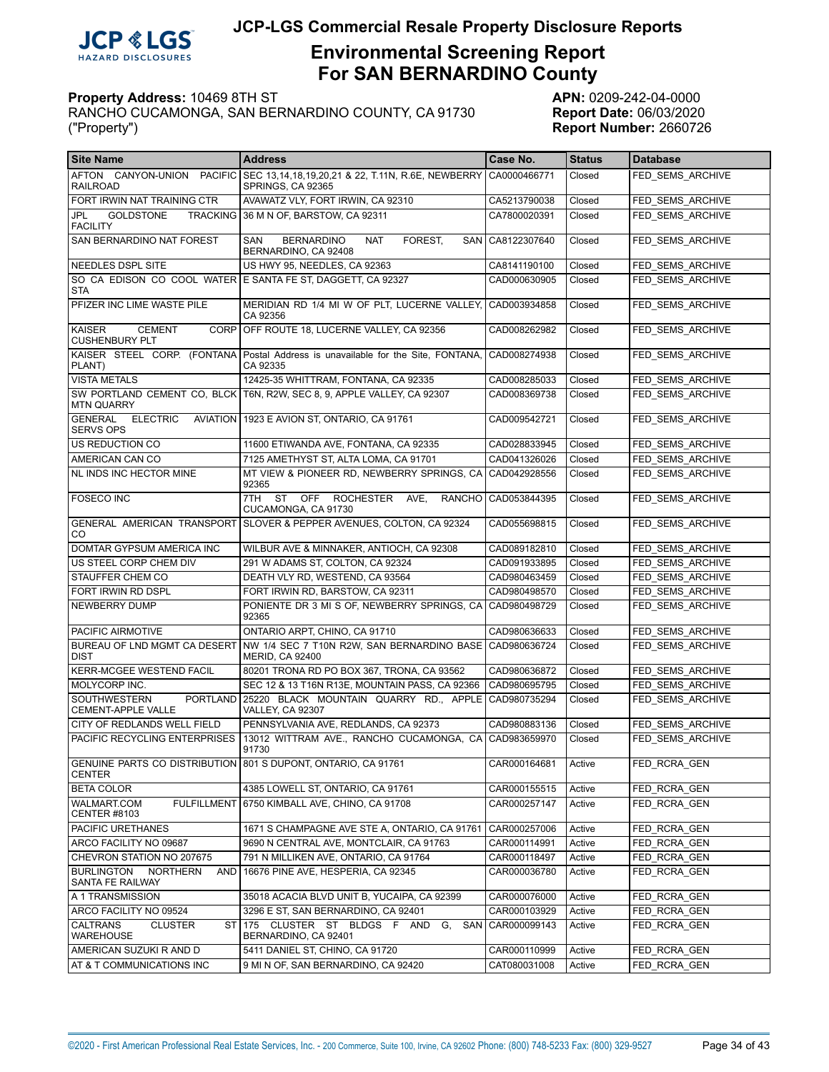

# **Environmental Screening Report For SAN BERNARDINO County**

| <b>Site Name</b>                                                                 | <b>Address</b>                                                                                 | Case No.           | <b>Status</b> | <b>Database</b>  |
|----------------------------------------------------------------------------------|------------------------------------------------------------------------------------------------|--------------------|---------------|------------------|
| AFTON CANYON-UNION<br><b>RAILROAD</b>                                            | PACIFIC SEC 13,14,18,19,20,21 & 22, T.11N, R.6E, NEWBERRY<br>SPRINGS, CA 92365                 | CA0000466771       | Closed        | FED_SEMS_ARCHIVE |
| FORT IRWIN NAT TRAINING CTR                                                      | AVAWATZ VLY, FORT IRWIN, CA 92310                                                              | CA5213790038       | Closed        | FED SEMS ARCHIVE |
| JPL<br><b>GOLDSTONE</b><br><b>FACILITY</b>                                       | TRACKING 36 M N OF, BARSTOW, CA 92311                                                          | CA7800020391       | Closed        | FED SEMS ARCHIVE |
| SAN BERNARDINO NAT FOREST                                                        | <b>BERNARDINO</b><br><b>NAT</b><br>FOREST,<br>SAN<br>BERNARDINO, CA 92408                      | SAN CA8122307640   | Closed        | FED SEMS ARCHIVE |
| NEEDLES DSPL SITE                                                                | US HWY 95, NEEDLES, CA 92363                                                                   | CA8141190100       | Closed        | FED SEMS ARCHIVE |
| <b>STA</b>                                                                       | SO CA EDISON CO COOL WATER E SANTA FE ST, DAGGETT, CA 92327                                    | CAD000630905       | Closed        | FED SEMS ARCHIVE |
| PFIZER INC LIME WASTE PILE                                                       | MERIDIAN RD 1/4 MI W OF PLT, LUCERNE VALLEY,<br>CA 92356                                       | CAD003934858       | Closed        | FED SEMS ARCHIVE |
| <b>KAISER</b><br><b>CEMENT</b><br><b>CUSHENBURY PLT</b>                          | CORP OFF ROUTE 18, LUCERNE VALLEY, CA 92356                                                    | CAD008262982       | Closed        | FED SEMS ARCHIVE |
| PLANT)                                                                           | KAISER STEEL CORP. (FONTANA   Postal Address is unavailable for the Site, FONTANA,<br>CA 92335 | CAD008274938       | Closed        | FED SEMS ARCHIVE |
| <b>VISTA METALS</b>                                                              | 12425-35 WHITTRAM, FONTANA, CA 92335                                                           | CAD008285033       | Closed        | FED SEMS ARCHIVE |
| <b>MTN QUARRY</b>                                                                | SW PORTLAND CEMENT CO, BLCK   T6N, R2W, SEC 8, 9, APPLE VALLEY, CA 92307                       | CAD008369738       | Closed        | FED SEMS ARCHIVE |
| GENERAL<br><b>ELECTRIC</b><br><b>SERVS OPS</b>                                   | AVIATION 1923 E AVION ST, ONTARIO, CA 91761                                                    | CAD009542721       | Closed        | FED_SEMS_ARCHIVE |
| US REDUCTION CO                                                                  | 11600 ETIWANDA AVE, FONTANA, CA 92335                                                          | CAD028833945       | Closed        | FED SEMS ARCHIVE |
| AMERICAN CAN CO                                                                  | 7125 AMETHYST ST, ALTA LOMA, CA 91701                                                          | CAD041326026       | Closed        | FED SEMS ARCHIVE |
| NL INDS INC HECTOR MINE                                                          | MT VIEW & PIONEER RD, NEWBERRY SPRINGS, CA<br>92365                                            | CAD042928556       | Closed        | FED SEMS ARCHIVE |
| <b>FOSECO INC</b>                                                                | 7TH ST<br><b>OFF</b><br><b>ROCHESTER</b><br>AVE,<br><b>RANCHO</b><br>CUCAMONGA, CA 91730       | CAD053844395       | Closed        | FED SEMS ARCHIVE |
| CO.                                                                              | GENERAL AMERICAN TRANSPORT SLOVER & PEPPER AVENUES, COLTON, CA 92324                           | CAD055698815       | Closed        | FED SEMS ARCHIVE |
| DOMTAR GYPSUM AMERICA INC                                                        | WILBUR AVE & MINNAKER, ANTIOCH, CA 92308                                                       | CAD089182810       | Closed        | FED SEMS ARCHIVE |
| US STEEL CORP CHEM DIV                                                           | 291 W ADAMS ST, COLTON, CA 92324                                                               | CAD091933895       | Closed        | FED SEMS ARCHIVE |
| STAUFFER CHEM CO                                                                 | DEATH VLY RD, WESTEND, CA 93564                                                                | CAD980463459       | Closed        | FED SEMS ARCHIVE |
| FORT IRWIN RD DSPL                                                               | FORT IRWIN RD, BARSTOW, CA 92311                                                               | CAD980498570       | Closed        | FED SEMS ARCHIVE |
| NEWBERRY DUMP                                                                    | PONIENTE DR 3 MI S OF, NEWBERRY SPRINGS, CA<br>92365                                           | CAD980498729       | Closed        | FED SEMS ARCHIVE |
| PACIFIC AIRMOTIVE                                                                | ONTARIO ARPT, CHINO, CA 91710                                                                  | CAD980636633       | Closed        | FED SEMS ARCHIVE |
| BUREAU OF LND MGMT CA DESERT<br><b>DIST</b>                                      | NW 1/4 SEC 7 T10N R2W, SAN BERNARDINO BASE<br><b>MERID, CA 92400</b>                           | CAD980636724       | Closed        | FED SEMS ARCHIVE |
| KERR-MCGEE WESTEND FACIL                                                         | 80201 TRONA RD PO BOX 367, TRONA, CA 93562                                                     | CAD980636872       | Closed        | FED SEMS ARCHIVE |
| MOLYCORP INC.                                                                    | SEC 12 & 13 T16N R13E, MOUNTAIN PASS, CA 92366                                                 | CAD980695795       | Closed        | FED SEMS ARCHIVE |
| <b>SOUTHWESTERN</b><br><b>PORTLAND</b><br>CEMENT-APPLE VALLE                     | 25220 BLACK MOUNTAIN QUARRY RD., APPLE<br><b>VALLEY, CA 92307</b>                              | CAD980735294       | Closed        | FED_SEMS_ARCHIVE |
| CITY OF REDLANDS WELL FIELD                                                      | PENNSYLVANIA AVE, REDLANDS, CA 92373                                                           | CAD980883136       | Closed        | FED SEMS ARCHIVE |
| <b>PACIFIC RECYCLING ENTERPRISES</b>                                             | 13012 WITTRAM AVE., RANCHO CUCAMONGA, CA<br>91730                                              | CAD983659970       | Closed        | FED_SEMS_ARCHIVE |
| GENUINE PARTS CO DISTRIBUTION   801 S DUPONT, ONTARIO, CA 91761<br><b>CENTER</b> |                                                                                                | CAR000164681       | Active        | FED_RCRA_GEN     |
| <b>BETA COLOR</b>                                                                | 4385 LOWELL ST. ONTARIO. CA 91761                                                              | CAR000155515       | Active        | FED RCRA GEN     |
| WALMART.COM<br><b>CENTER #8103</b>                                               | FULFILLMENT 6750 KIMBALL AVE, CHINO, CA 91708                                                  | CAR000257147       | Active        | FED RCRA GEN     |
| PACIFIC URETHANES                                                                | 1671 S CHAMPAGNE AVE STE A, ONTARIO, CA 91761                                                  | CAR000257006       | Active        | FED RCRA GEN     |
| ARCO FACILITY NO 09687                                                           | 9690 N CENTRAL AVE, MONTCLAIR, CA 91763                                                        | CAR000114991       | Active        | FED RCRA GEN     |
| CHEVRON STATION NO 207675                                                        | 791 N MILLIKEN AVE, ONTARIO, CA 91764                                                          | CAR000118497       | Active        | FED RCRA GEN     |
| <b>BURLINGTON</b><br><b>NORTHERN</b><br><b>AND</b><br>SANTA FE RAILWAY           | 16676 PINE AVE, HESPERIA, CA 92345                                                             | CAR000036780       | Active        | FED RCRA GEN     |
| A 1 TRANSMISSION                                                                 | 35018 ACACIA BLVD UNIT B, YUCAIPA, CA 92399                                                    | CAR000076000       | Active        | FED RCRA GEN     |
| ARCO FACILITY NO 09524                                                           | 3296 E ST, SAN BERNARDINO, CA 92401                                                            | CAR000103929       | Active        | FED RCRA GEN     |
| <b>CALTRANS</b><br><b>CLUSTER</b><br>WAREHOUSE                                   | ST 175 CLUSTER ST BLDGS F AND<br>G.<br>BERNARDINO, CA 92401                                    | SAN   CAR000099143 | Active        | FED RCRA GEN     |
| AMERICAN SUZUKI R AND D                                                          | 5411 DANIEL ST, CHINO, CA 91720                                                                | CAR000110999       | Active        | FED RCRA GEN     |
| AT & T COMMUNICATIONS INC                                                        | 9 MI N OF, SAN BERNARDINO, CA 92420                                                            | CAT080031008       | Active        | FED RCRA GEN     |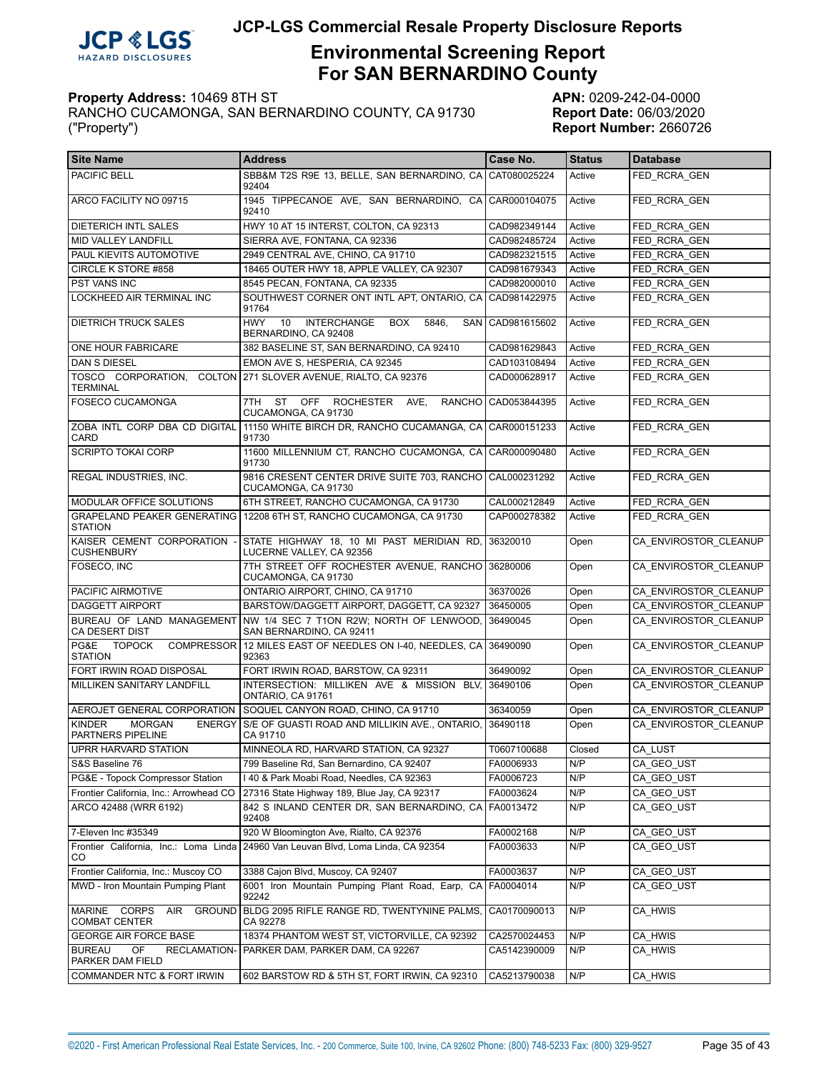

# **Environmental Screening Report For SAN BERNARDINO County**

| l Site Name                                                          | <b>Address</b>                                                                                     | Case No.           | <b>Status</b> | <b>Database</b>       |
|----------------------------------------------------------------------|----------------------------------------------------------------------------------------------------|--------------------|---------------|-----------------------|
| PACIFIC BELL                                                         | SBB&M T2S R9E 13. BELLE. SAN BERNARDINO. CA CAT080025224<br>92404                                  |                    | Active        | FED RCRA GEN          |
| ARCO FACILITY NO 09715                                               | 1945 TIPPECANOE AVE, SAN BERNARDINO, CA CAR000104075<br>92410                                      |                    | Active        | FED RCRA GEN          |
| <b>DIETERICH INTL SALES</b>                                          | HWY 10 AT 15 INTERST, COLTON, CA 92313                                                             | CAD982349144       | Active        | FED RCRA GEN          |
| MID VALLEY LANDFILL                                                  | SIERRA AVE, FONTANA, CA 92336                                                                      | CAD982485724       | Active        | FED RCRA GEN          |
| PAUL KIEVITS AUTOMOTIVE                                              | 2949 CENTRAL AVE, CHINO, CA 91710                                                                  | CAD982321515       | Active        | FED RCRA GEN          |
| CIRCLE K STORE #858                                                  | 18465 OUTER HWY 18, APPLE VALLEY, CA 92307                                                         | CAD981679343       | Active        | FED RCRA GEN          |
| PST VANS INC                                                         | 8545 PECAN, FONTANA, CA 92335                                                                      | CAD982000010       | Active        | FED RCRA GEN          |
| <b>LOCKHEED AIR TERMINAL INC</b>                                     | SOUTHWEST CORNER ONT INTL APT, ONTARIO, CA CAD981422975<br>91764                                   |                    | Active        | FED RCRA GEN          |
| <b>DIETRICH TRUCK SALES</b>                                          | <b>HWY</b><br>10<br><b>INTERCHANGE</b><br>5846,<br><b>BOX</b><br>BERNARDINO, CA 92408              | SAN   CAD981615602 | Active        | FED RCRA GEN          |
| ONE HOUR FABRICARE                                                   | 382 BASELINE ST, SAN BERNARDINO, CA 92410                                                          | CAD981629843       | Active        | FED RCRA GEN          |
| <b>DAN S DIESEL</b>                                                  | EMON AVE S, HESPERIA, CA 92345                                                                     | CAD103108494       | Active        | FED_RCRA_GEN          |
| TOSCO CORPORATION,<br><b>TERMINAL</b>                                | COLTON 271 SLOVER AVENUE, RIALTO, CA 92376                                                         | CAD000628917       | Active        | FED RCRA GEN          |
| <b>FOSECO CUCAMONGA</b>                                              | <b>ST</b><br><b>OFF</b><br>7TH<br><b>ROCHESTER</b><br>AVE,<br><b>RANCHO</b><br>CUCAMONGA, CA 91730 | CAD053844395       | Active        | FED RCRA GEN          |
| ZOBA INTL CORP DBA CD DIGITAL<br>CARD                                | 11150 WHITE BIRCH DR. RANCHO CUCAMANGA. CA CAR000151233<br>91730                                   |                    | Active        | FED RCRA GEN          |
| <b>SCRIPTO TOKAI CORP</b>                                            | 11600 MILLENNIUM CT, RANCHO CUCAMONGA, CA CAR000090480<br>91730                                    |                    | Active        | FED RCRA GEN          |
| REGAL INDUSTRIES, INC.                                               | 9816 CRESENT CENTER DRIVE SUITE 703, RANCHO CAL000231292<br>CUCAMONGA, CA 91730                    |                    | Active        | FED RCRA GEN          |
| MODULAR OFFICE SOLUTIONS                                             | 6TH STREET, RANCHO CUCAMONGA, CA 91730                                                             | CAL000212849       | Active        | FED RCRA GEN          |
| <b>STATION</b>                                                       | GRAPELAND PEAKER GENERATING   12208 6TH ST, RANCHO CUCAMONGA, CA 91730                             | CAP000278382       | Active        | FED RCRA GEN          |
| KAISER CEMENT CORPORATION<br><b>CUSHENBURY</b>                       | STATE HIGHWAY 18, 10 MI PAST MERIDIAN RD,<br>LUCERNE VALLEY, CA 92356                              | 36320010           | Open          | CA ENVIROSTOR CLEANUP |
| FOSECO, INC                                                          | 7TH STREET OFF ROCHESTER AVENUE, RANCHO<br>CUCAMONGA, CA 91730                                     | 36280006           | Open          | CA ENVIROSTOR CLEANUP |
| PACIFIC AIRMOTIVE                                                    | ONTARIO AIRPORT, CHINO, CA 91710                                                                   | 36370026           | Open          | CA ENVIROSTOR CLEANUP |
| <b>DAGGETT AIRPORT</b>                                               | BARSTOW/DAGGETT AIRPORT, DAGGETT, CA 92327                                                         | 36450005           | Open          | CA ENVIROSTOR CLEANUP |
| BUREAU OF LAND MANAGEMENT<br>CA DESERT DIST                          | NW 1/4 SEC 7 T1ON R2W; NORTH OF LENWOOD.<br>SAN BERNARDINO, CA 92411                               | 36490045           | Open          | CA ENVIROSTOR CLEANUP |
| PG&E TOPOCK<br><b>COMPRESSOR</b><br><b>STATION</b>                   | 12 MILES EAST OF NEEDLES ON I-40, NEEDLES, CA 36490090<br>92363                                    |                    | Open          | CA ENVIROSTOR CLEANUP |
| FORT IRWIN ROAD DISPOSAL                                             | FORT IRWIN ROAD, BARSTOW, CA 92311                                                                 | 36490092           | Open          | CA ENVIROSTOR CLEANUP |
| MILLIKEN SANITARY LANDFILL                                           | INTERSECTION: MILLIKEN AVE & MISSION BLV.<br>ONTARIO, CA 91761                                     | 36490106           | Open          | CA ENVIROSTOR CLEANUP |
| AEROJET GENERAL CORPORATION                                          | SOQUEL CANYON ROAD, CHINO, CA 91710                                                                | 36340059           | Open          | CA ENVIROSTOR CLEANUP |
| <b>KINDER</b><br><b>MORGAN</b><br><b>ENERGY</b><br>PARTNERS PIPELINE | S/E OF GUASTI ROAD AND MILLIKIN AVE., ONTARIO,<br>CA 91710                                         | 36490118           | Open          | CA ENVIROSTOR CLEANUP |
| UPRR HARVARD STATION                                                 | MINNEOLA RD, HARVARD STATION, CA 92327                                                             | T0607100688        | Closed        | CA LUST               |
| S&S Baseline 76                                                      | 799 Baseline Rd, San Bernardino, CA 92407                                                          | FA0006933          | N/P           | CA_GEO_UST            |
| PG&E - Topock Compressor Station                                     | I 40 & Park Moabi Road, Needles, CA 92363                                                          | FA0006723          | N/P           | CA GEO UST            |
| Frontier California, Inc.: Arrowhead CO                              | 27316 State Highway 189, Blue Jay, CA 92317                                                        | FA0003624          | N/P           | CA GEO UST            |
| ARCO 42488 (WRR 6192)                                                | 842 S INLAND CENTER DR, SAN BERNARDINO, CA<br>92408                                                | FA0013472          | N/P           | CA_GEO_UST            |
| 7-Eleven Inc #35349                                                  | 920 W Bloomington Ave, Rialto, CA 92376                                                            | FA0002168          | N/P           | CA_GEO_UST            |
| Frontier California, Inc.: Loma Linda<br>CO                          | 24960 Van Leuvan Blvd, Loma Linda, CA 92354                                                        | FA0003633          | N/P           | CA_GEO_UST            |
| Frontier California, Inc.: Muscoy CO                                 | 3388 Cajon Blvd, Muscoy, CA 92407                                                                  | FA0003637          | N/P           | CA_GEO_UST            |
| MWD - Iron Mountain Pumping Plant                                    | 6001 Iron Mountain Pumping Plant Road, Earp, CA   FA0004014<br>92242                               |                    | N/P           | CA GEO UST            |
| MARINE CORPS<br>AIR<br>GROUND<br><b>COMBAT CENTER</b>                | BLDG 2095 RIFLE RANGE RD, TWENTYNINE PALMS,<br>CA 92278                                            | CA0170090013       | N/P           | CA_HWIS               |
| <b>GEORGE AIR FORCE BASE</b>                                         | 18374 PHANTOM WEST ST, VICTORVILLE, CA 92392                                                       | CA2570024453       | N/P           | CA_HWIS               |
| <b>BUREAU</b><br>OF<br>RECLAMATION-<br>PARKER DAM FIELD              | PARKER DAM, PARKER DAM, CA 92267                                                                   | CA5142390009       | N/P           | CA_HWIS               |
| COMMANDER NTC & FORT IRWIN                                           | 602 BARSTOW RD & 5TH ST, FORT IRWIN, CA 92310                                                      | CA5213790038       | N/P           | CA_HWIS               |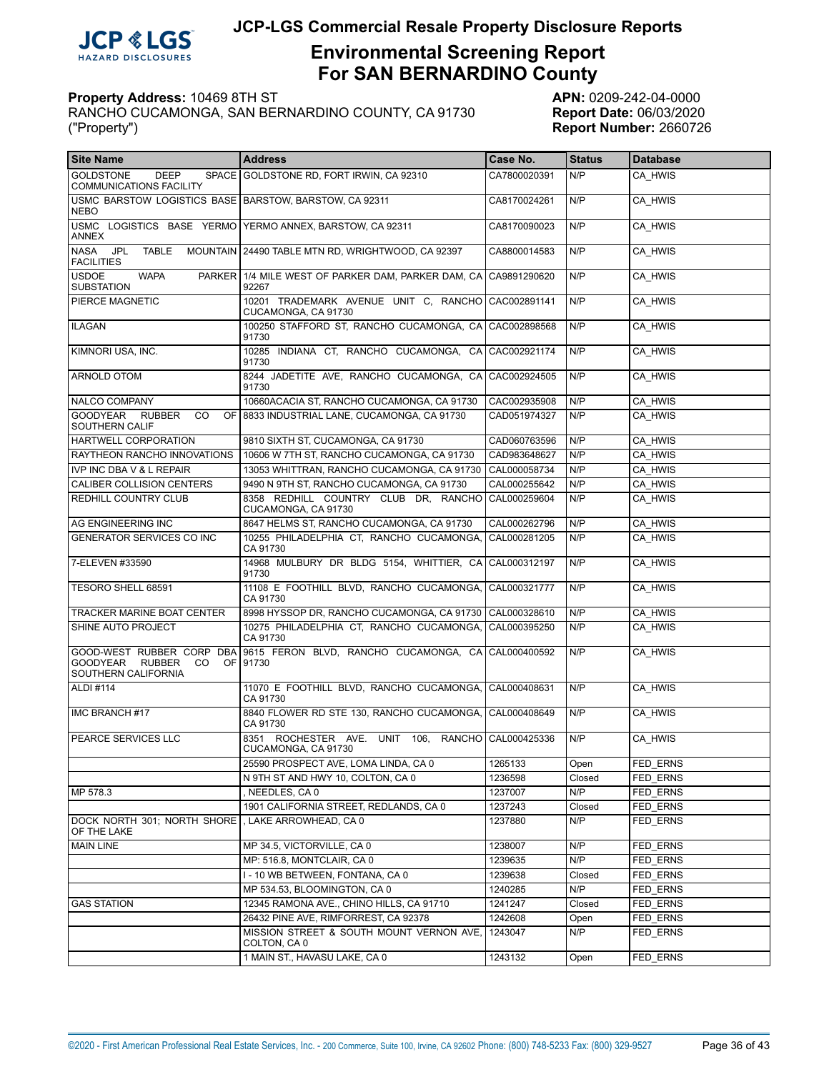

# **Environmental Screening Report For SAN BERNARDINO County**

| <b>Site Name</b>                                                                  | <b>Address</b>                                               | Case No.     | <b>Status</b> | <b>Database</b> |
|-----------------------------------------------------------------------------------|--------------------------------------------------------------|--------------|---------------|-----------------|
| <b>GOLDSTONE</b><br><b>DEEP</b><br><b>COMMUNICATIONS FACILITY</b>                 | SPACE GOLDSTONE RD, FORT IRWIN, CA 92310                     | CA7800020391 | N/P           | CA HWIS         |
| USMC BARSTOW LOGISTICS BASE   BARSTOW, BARSTOW, CA 92311<br><b>NEBO</b>           |                                                              | CA8170024261 | N/P           | CA HWIS         |
| ANNEX                                                                             | USMC LOGISTICS BASE YERMO YERMO ANNEX, BARSTOW, CA 92311     | CA8170090023 | N/P           | CA HWIS         |
| <b>TABLE</b><br><b>NASA</b><br>JPL<br><b>FACILITIES</b>                           | MOUNTAIN 24490 TABLE MTN RD, WRIGHTWOOD, CA 92397            | CA8800014583 | N/P           | CA HWIS         |
| <b>USDOE</b><br><b>WAPA</b><br><b>SUBSTATION</b>                                  | PARKER 1/4 MILE WEST OF PARKER DAM, PARKER DAM, CA<br>92267  | CA9891290620 | N/P           | CA HWIS         |
| PIERCE MAGNETIC                                                                   | 10201 TRADEMARK AVENUE UNIT C. RANCHO<br>CUCAMONGA, CA 91730 | CAC002891141 | N/P           | CA HWIS         |
| <b>ILAGAN</b>                                                                     | 100250 STAFFORD ST, RANCHO CUCAMONGA, CA<br>91730            | CAC002898568 | N/P           | CA HWIS         |
| KIMNORI USA, INC.                                                                 | 10285 INDIANA CT, RANCHO CUCAMONGA, CA<br>91730              | CAC002921174 | N/P           | CA HWIS         |
| <b>ARNOLD OTOM</b>                                                                | 8244 JADETITE AVE, RANCHO CUCAMONGA, CA<br>91730             | CAC002924505 | N/P           | CA HWIS         |
| NALCO COMPANY                                                                     | 10660ACACIA ST, RANCHO CUCAMONGA, CA 91730                   | CAC002935908 | N/P           | CA HWIS         |
| GOODYEAR RUBBER<br><b>CO</b><br><b>OF</b><br>SOUTHERN CALIF                       | 8833 INDUSTRIAL LANE, CUCAMONGA, CA 91730                    | CAD051974327 | N/P           | CA HWIS         |
| <b>HARTWELL CORPORATION</b>                                                       | 9810 SIXTH ST, CUCAMONGA, CA 91730                           | CAD060763596 | N/P           | CA HWIS         |
| RAYTHEON RANCHO INNOVATIONS                                                       | 10606 W 7TH ST, RANCHO CUCAMONGA, CA 91730                   | CAD983648627 | N/P           | CA HWIS         |
| <b>IVP INC DBA V &amp; L REPAIR</b>                                               | 13053 WHITTRAN, RANCHO CUCAMONGA, CA 91730                   | CAL000058734 | N/P           | CA HWIS         |
| <b>CALIBER COLLISION CENTERS</b>                                                  | 9490 N 9TH ST, RANCHO CUCAMONGA, CA 91730                    | CAL000255642 | N/P           | CA HWIS         |
| REDHILL COUNTRY CLUB                                                              | 8358 REDHILL COUNTRY CLUB DR. RANCHO<br>CUCAMONGA, CA 91730  | CAL000259604 | N/P           | CA HWIS         |
| AG ENGINEERING INC                                                                | 8647 HELMS ST, RANCHO CUCAMONGA, CA 91730                    | CAL000262796 | N/P           | CA HWIS         |
| GENERATOR SERVICES CO INC                                                         | 10255 PHILADELPHIA CT, RANCHO CUCAMONGA,<br>CA 91730         | CAL000281205 | N/P           | CA HWIS         |
| 7-ELEVEN #33590                                                                   | 14968 MULBURY DR BLDG 5154, WHITTIER, CA<br>91730            | CAL000312197 | N/P           | CA HWIS         |
| TESORO SHELL 68591                                                                | 11108 E FOOTHILL BLVD, RANCHO CUCAMONGA,<br>CA 91730         | CAL000321777 | N/P           | CA HWIS         |
| TRACKER MARINE BOAT CENTER                                                        | 8998 HYSSOP DR, RANCHO CUCAMONGA, CA 91730                   | CAL000328610 | N/P           | CA HWIS         |
| SHINE AUTO PROJECT                                                                | 10275 PHILADELPHIA CT, RANCHO CUCAMONGA,<br>CA 91730         | CAL000395250 | N/P           | CA HWIS         |
| GOOD-WEST RUBBER CORP DBA<br>GOODYEAR RUBBER<br>CO.<br>OF.<br>SOUTHERN CALIFORNIA | 9615 FERON BLVD, RANCHO CUCAMONGA, CA<br>91730               | CAL000400592 | N/P           | CA HWIS         |
| <b>ALDI #114</b>                                                                  | 11070 E FOOTHILL BLVD, RANCHO CUCAMONGA,<br>CA 91730         | CAL000408631 | N/P           | CA HWIS         |
| IMC BRANCH #17                                                                    | 8840 FLOWER RD STE 130, RANCHO CUCAMONGA,<br>CA 91730        | CAL000408649 | N/P           | CA HWIS         |
| PEARCE SERVICES LLC                                                               | 8351 ROCHESTER AVE. UNIT 106, RANCHO<br>CUCAMONGA, CA 91730  | CAL000425336 | N/P           | CA HWIS         |
|                                                                                   | 25590 PROSPECT AVE, LOMA LINDA, CA 0                         | 1265133      | Open          | FED ERNS        |
|                                                                                   | N 9TH ST AND HWY 10, COLTON, CA 0                            | 1236598      | Closed        | FED ERNS        |
| MP 578.3                                                                          | , NEEDLES, CA 0                                              | 1237007      | N/P           | FED ERNS        |
|                                                                                   | 1901 CALIFORNIA STREET, REDLANDS, CA 0                       | 1237243      | Closed        | FED ERNS        |
| DOCK NORTH 301; NORTH SHORE<br>OF THE LAKE                                        | , LAKE ARROWHEAD, CA 0                                       | 1237880      | N/P           | FED_ERNS        |
| <b>MAIN LINE</b>                                                                  | MP 34.5, VICTORVILLE, CA 0                                   | 1238007      | N/P           | FED ERNS        |
|                                                                                   | MP: 516.8, MONTCLAIR, CA 0                                   | 1239635      | N/P           | FED ERNS        |
|                                                                                   | I - 10 WB BETWEEN, FONTANA, CA 0                             | 1239638      | Closed        | FED ERNS        |
|                                                                                   | MP 534.53, BLOOMINGTON, CA 0                                 | 1240285      | N/P           | FED ERNS        |
| <b>GAS STATION</b>                                                                | 12345 RAMONA AVE., CHINO HILLS, CA 91710                     | 1241247      | Closed        | FED ERNS        |
|                                                                                   | 26432 PINE AVE, RIMFORREST, CA 92378                         | 1242608      | Open          | FED ERNS        |
|                                                                                   | MISSION STREET & SOUTH MOUNT VERNON AVE,<br>COLTON, CA 0     | 1243047      | N/P           | FED_ERNS        |
|                                                                                   | 1 MAIN ST., HAVASU LAKE, CA 0                                | 1243132      | Open          | FED ERNS        |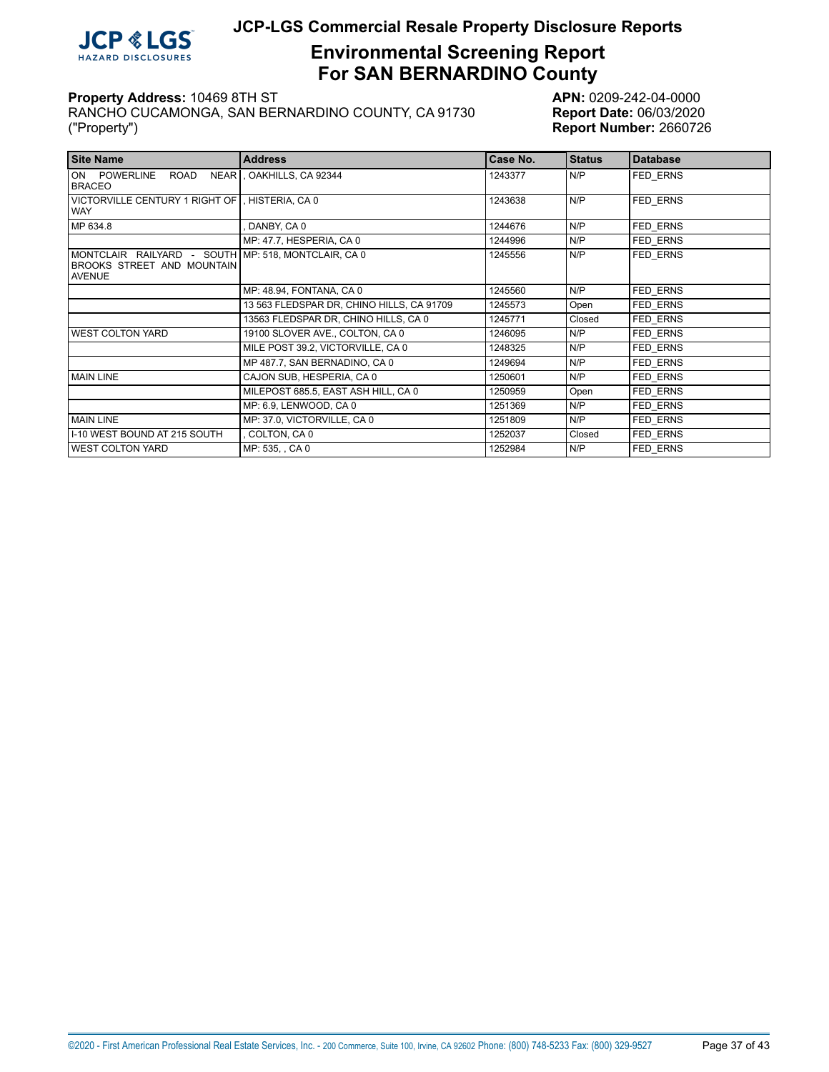

# **Environmental Screening Report For SAN BERNARDINO County**

| <b>Site Name</b>                                                                                   | <b>Address</b>                            | Case No. | <b>Status</b> | <b>Database</b> |
|----------------------------------------------------------------------------------------------------|-------------------------------------------|----------|---------------|-----------------|
| ON POWERLINE<br>ROAD<br><b>BRACEO</b>                                                              | NEAR , OAKHILLS, CA 92344                 | 1243377  | N/P           | FED ERNS        |
| VICTORVILLE CENTURY 1 RIGHT OF , HISTERIA, CA 0<br><b>WAY</b>                                      |                                           | 1243638  | N/P           | <b>FED ERNS</b> |
| MP 634.8                                                                                           | DANBY, CA 0                               | 1244676  | N/P           | <b>FED ERNS</b> |
|                                                                                                    | MP: 47.7, HESPERIA, CA 0                  | 1244996  | N/P           | <b>FED ERNS</b> |
| MONTCLAIR RAILYARD - SOUTH MP: 518, MONTCLAIR, CA 0<br>BROOKS STREET AND MOUNTAIN<br><b>AVENUE</b> |                                           | 1245556  | N/P           | FED ERNS        |
|                                                                                                    | MP: 48.94, FONTANA, CA 0                  | 1245560  | N/P           | FED ERNS        |
|                                                                                                    | 13 563 FLEDSPAR DR, CHINO HILLS, CA 91709 | 1245573  | Open          | FED ERNS        |
|                                                                                                    | 13563 FLEDSPAR DR, CHINO HILLS, CA 0      | 1245771  | Closed        | FED ERNS        |
| <b>WEST COLTON YARD</b>                                                                            | 19100 SLOVER AVE., COLTON, CA 0           | 1246095  | N/P           | FED ERNS        |
|                                                                                                    | MILE POST 39.2, VICTORVILLE, CA 0         | 1248325  | N/P           | FED ERNS        |
|                                                                                                    | MP 487.7, SAN BERNADINO, CA 0             | 1249694  | N/P           | FED ERNS        |
| <b>MAIN LINE</b>                                                                                   | CAJON SUB, HESPERIA, CA 0                 | 1250601  | N/P           | FED ERNS        |
|                                                                                                    | MILEPOST 685.5, EAST ASH HILL, CA 0       | 1250959  | Open          | FED ERNS        |
|                                                                                                    | MP: 6.9, LENWOOD, CA 0                    | 1251369  | N/P           | FED ERNS        |
| <b>MAIN LINE</b>                                                                                   | MP: 37.0, VICTORVILLE, CA 0               | 1251809  | N/P           | FED ERNS        |
| I-10 WEST BOUND AT 215 SOUTH                                                                       | COLTON, CA 0                              | 1252037  | Closed        | FED ERNS        |
| <b>WEST COLTON YARD</b>                                                                            | MP: 535, , CA 0                           | 1252984  | N/P           | FED ERNS        |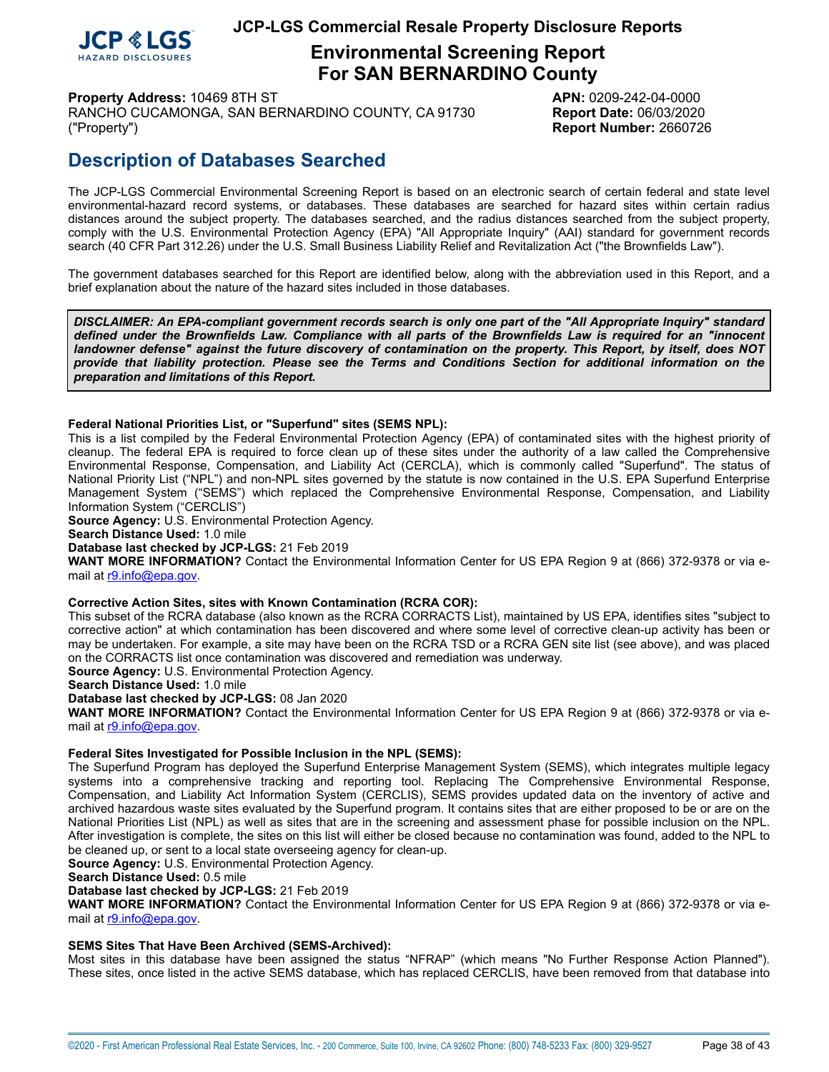

# **Environmental Screening Report For SAN BERNARDINO County**

**Property Address:** 10469 8TH ST **APN:** 0209-242-04-0000 RANCHO CUCAMONGA, SAN BERNARDINO COUNTY, CA 91730 **Report Date:** 06/03/2020

("Property") **Report Number:** 2660726

# **Description of Databases Searched**

The JCP-LGS Commercial Environmental Screening Report is based on an electronic search of certain federal and state level environmental-hazard record systems, or databases. These databases are searched for hazard sites within certain radius distances around the subject property. The databases searched, and the radius distances searched from the subject property, comply with the U.S. Environmental Protection Agency (EPA) "All Appropriate Inquiry" (AAI) standard for government records search (40 CFR Part 312.26) under the U.S. Small Business Liability Relief and Revitalization Act ("the Brownfields Law").

The government databases searched for this Report are identified below, along with the abbreviation used in this Report, and a brief explanation about the nature of the hazard sites included in those databases.

DISCLAIMER: An EPA-compliant government records search is only one part of the "All Appropriate Inquiry" standard defined under the Brownfields Law. Compliance with all parts of the Brownfields Law is required for an "innocent landowner defense" against the future discovery of contamination on the property. This Report, by itself, does NOT *provide that liability protection. Please see the Terms and Conditions Section for additional information on the preparation and limitations of this Report.*

#### <span id="page-37-0"></span>**Federal National Priorities List, or "Superfund" sites (SEMS NPL):**

This is a list compiled by the Federal Environmental Protection Agency (EPA) of contaminated sites with the highest priority of cleanup. The federal EPA is required to force clean up of these sites under the authority of a law called the Comprehensive Environmental Response, Compensation, and Liability Act (CERCLA), which is commonly called "Superfund". The status of National Priority List ("NPL") and non-NPL sites governed by the statute is now contained in the U.S. EPA Superfund Enterprise Management System ("SEMS") which replaced the Comprehensive Environmental Response, Compensation, and Liability Information System ("CERCLIS")

**Source Agency:** U.S. Environmental Protection Agency.

**Search Distance Used:** 1.0 mile

**Database last checked by JCP-LGS:** 21 Feb 2019

**WANT MORE INFORMATION?** Contact the Environmental Information Center for US EPA Region 9 at (866) 372-9378 or via email at [r9.info@epa.gov.](mailto:r9.info@epa.gov)

#### <span id="page-37-1"></span>**Corrective Action Sites, sites with Known Contamination (RCRA COR):**

This subset of the RCRA database (also known as the RCRA CORRACTS List), maintained by US EPA, identifies sites "subject to corrective action" at which contamination has been discovered and where some level of corrective clean-up activity has been or may be undertaken. For example, a site may have been on the RCRA TSD or a RCRA GEN site list (see above), and was placed on the CORRACTS list once contamination was discovered and remediation was underway.

**Source Agency:** U.S. Environmental Protection Agency.

**Search Distance Used:** 1.0 mile

**Database last checked by JCP-LGS:** 08 Jan 2020

**WANT MORE INFORMATION?** Contact the Environmental Information Center for US EPA Region 9 at (866) 372-9378 or via email at [r9.info@epa.gov.](mailto:r9.info@epa.gov)

#### <span id="page-37-2"></span>**Federal Sites Investigated for Possible Inclusion in the NPL (SEMS):**

The Superfund Program has deployed the Superfund Enterprise Management System (SEMS), which integrates multiple legacy systems into a comprehensive tracking and reporting tool. Replacing The Comprehensive Environmental Response, Compensation, and Liability Act Information System (CERCLIS), SEMS provides updated data on the inventory of active and archived hazardous waste sites evaluated by the Superfund program. It contains sites that are either proposed to be or are on the National Priorities List (NPL) as well as sites that are in the screening and assessment phase for possible inclusion on the NPL. After investigation is complete, the sites on this list will either be closed because no contamination was found, added to the NPL to be cleaned up, or sent to a local state overseeing agency for clean-up.

**Source Agency:** U.S. Environmental Protection Agency.

**Search Distance Used:** 0.5 mile

**Database last checked by JCP-LGS:** 21 Feb 2019

**WANT MORE INFORMATION?** Contact the Environmental Information Center for US EPA Region 9 at (866) 372-9378 or via email at [r9.info@epa.gov.](mailto:r9.info@epa.gov)

#### <span id="page-37-3"></span>**SEMS Sites That Have Been Archived (SEMS-Archived):**

Most sites in this database have been assigned the status "NFRAP" (which means "No Further Response Action Planned"). These sites, once listed in the active SEMS database, which has replaced CERCLIS, have been removed from that database into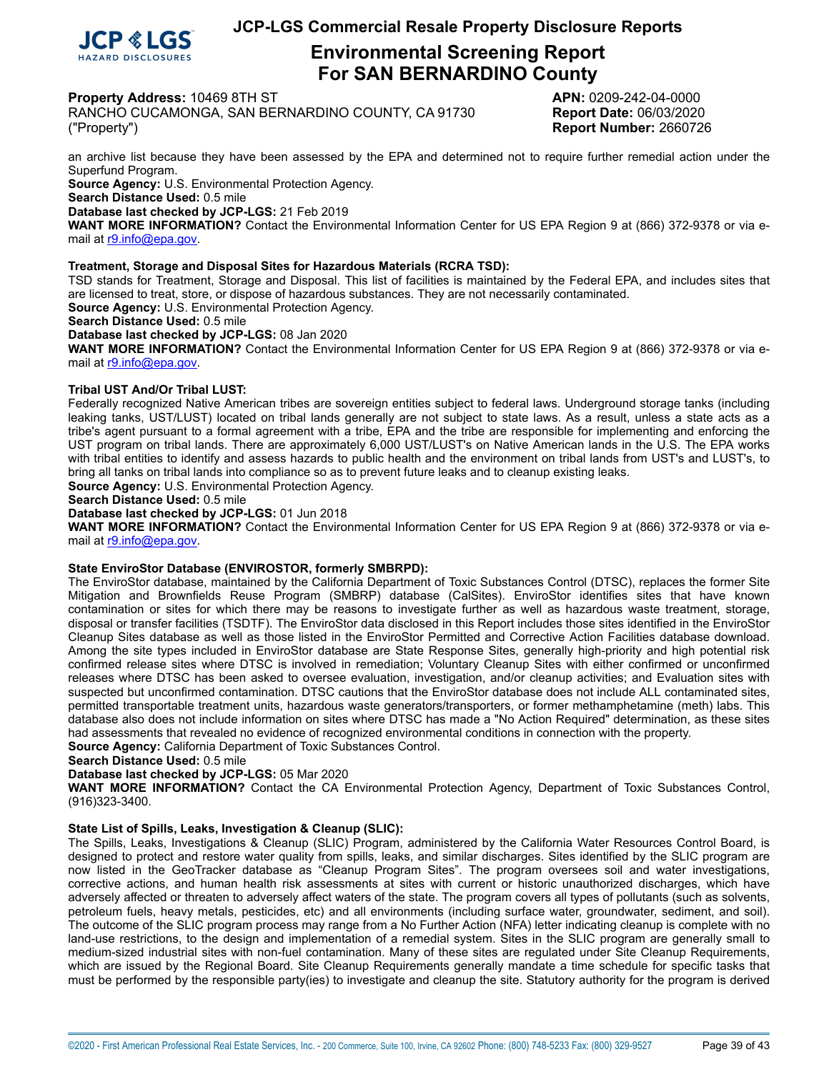

# **Environmental Screening Report For SAN BERNARDINO County**

**Property Address:** 10469 8TH ST **APN:** 0209-242-04-0000

RANCHO CUCAMONGA, SAN BERNARDINO COUNTY, CA 91730 **Report Date:** 06/03/2020 ("Property") **Report Number:** 2660726

an archive list because they have been assessed by the EPA and determined not to require further remedial action under the Superfund Program.

**Source Agency:** U.S. Environmental Protection Agency.

**Search Distance Used:** 0.5 mile

**Database last checked by JCP-LGS:** 21 Feb 2019

**WANT MORE INFORMATION?** Contact the Environmental Information Center for US EPA Region 9 at (866) 372-9378 or via email at [r9.info@epa.gov.](mailto:r9.info@epa.gov)

#### <span id="page-38-0"></span>**Treatment, Storage and Disposal Sites for Hazardous Materials (RCRA TSD):**

TSD stands for Treatment, Storage and Disposal. This list of facilities is maintained by the Federal EPA, and includes sites that are licensed to treat, store, or dispose of hazardous substances. They are not necessarily contaminated. **Source Agency:** U.S. Environmental Protection Agency.

**Search Distance Used:** 0.5 mile

**Database last checked by JCP-LGS:** 08 Jan 2020

**WANT MORE INFORMATION?** Contact the Environmental Information Center for US EPA Region 9 at (866) 372-9378 or via email at [r9.info@epa.gov.](mailto:r9.info@epa.gov)

#### <span id="page-38-1"></span>**Tribal UST And/Or Tribal LUST:**

Federally recognized Native American tribes are sovereign entities subject to federal laws. Underground storage tanks (including leaking tanks, UST/LUST) located on tribal lands generally are not subject to state laws. As a result, unless a state acts as a tribe's agent pursuant to a formal agreement with a tribe, EPA and the tribe are responsible for implementing and enforcing the UST program on tribal lands. There are approximately 6,000 UST/LUST's on Native American lands in the U.S. The EPA works with tribal entities to identify and assess hazards to public health and the environment on tribal lands from UST's and LUST's, to bring all tanks on tribal lands into compliance so as to prevent future leaks and to cleanup existing leaks.

**Source Agency:** U.S. Environmental Protection Agency.

**Search Distance Used:** 0.5 mile

#### **Database last checked by JCP-LGS:** 01 Jun 2018

**WANT MORE INFORMATION?** Contact the Environmental Information Center for US EPA Region 9 at (866) 372-9378 or via email at [r9.info@epa.gov.](mailto:r9.info@epa.gov)

#### <span id="page-38-2"></span>**State EnviroStor Database (ENVIROSTOR, formerly SMBRPD):**

The EnviroStor database, maintained by the California Department of Toxic Substances Control (DTSC), replaces the former Site Mitigation and Brownfields Reuse Program (SMBRP) database (CalSites). EnviroStor identifies sites that have known contamination or sites for which there may be reasons to investigate further as well as hazardous waste treatment, storage, disposal or transfer facilities (TSDTF). The EnviroStor data disclosed in this Report includes those sites identified in the EnviroStor Cleanup Sites database as well as those listed in the EnviroStor Permitted and Corrective Action Facilities database download. Among the site types included in EnviroStor database are State Response Sites, generally high-priority and high potential risk confirmed release sites where DTSC is involved in remediation; Voluntary Cleanup Sites with either confirmed or unconfirmed releases where DTSC has been asked to oversee evaluation, investigation, and/or cleanup activities; and Evaluation sites with suspected but unconfirmed contamination. DTSC cautions that the EnviroStor database does not include ALL contaminated sites, permitted transportable treatment units, hazardous waste generators/transporters, or former methamphetamine (meth) labs. This database also does not include information on sites where DTSC has made a "No Action Required" determination, as these sites had assessments that revealed no evidence of recognized environmental conditions in connection with the property.

**Source Agency:** California Department of Toxic Substances Control.

**Search Distance Used:** 0.5 mile

**Database last checked by JCP-LGS:** 05 Mar 2020

**WANT MORE INFORMATION?** Contact the CA Environmental Protection Agency, Department of Toxic Substances Control, (916)323-3400.

#### <span id="page-38-3"></span>**State List of Spills, Leaks, Investigation & Cleanup (SLIC):**

The Spills, Leaks, Investigations & Cleanup (SLIC) Program, administered by the California Water Resources Control Board, is designed to protect and restore water quality from spills, leaks, and similar discharges. Sites identified by the SLIC program are now listed in the GeoTracker database as "Cleanup Program Sites". The program oversees soil and water investigations, corrective actions, and human health risk assessments at sites with current or historic unauthorized discharges, which have adversely affected or threaten to adversely affect waters of the state. The program covers all types of pollutants (such as solvents, petroleum fuels, heavy metals, pesticides, etc) and all environments (including surface water, groundwater, sediment, and soil). The outcome of the SLIC program process may range from a No Further Action (NFA) letter indicating cleanup is complete with no land-use restrictions, to the design and implementation of a remedial system. Sites in the SLIC program are generally small to medium-sized industrial sites with non-fuel contamination. Many of these sites are regulated under Site Cleanup Requirements, which are issued by the Regional Board. Site Cleanup Requirements generally mandate a time schedule for specific tasks that must be performed by the responsible party(ies) to investigate and cleanup the site. Statutory authority for the program is derived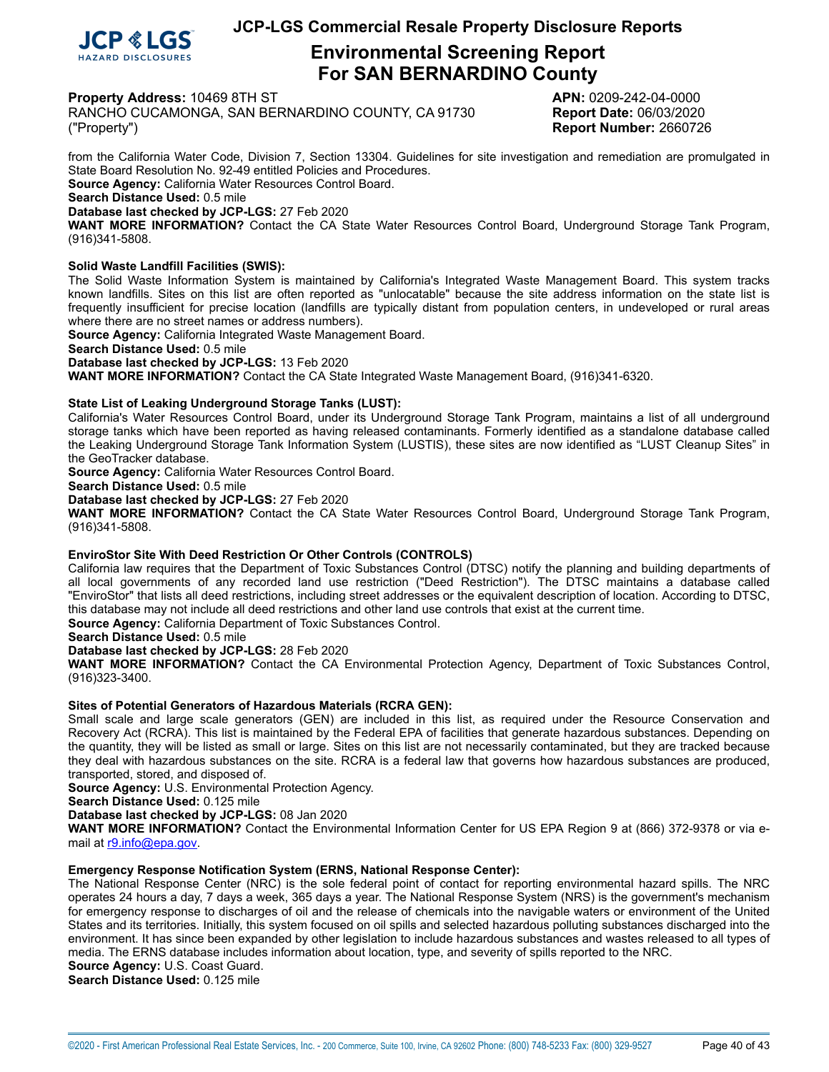

# **Environmental Screening Report For SAN BERNARDINO County**

**Property Address:** 10469 8TH ST **APN:** 0209-242-04-0000

RANCHO CUCAMONGA, SAN BERNARDINO COUNTY, CA 91730 **Report Date:** 06/03/2020 ("Property") **Report Number:** 2660726

from the California Water Code, Division 7, Section 13304. Guidelines for site investigation and remediation are promulgated in State Board Resolution No. 92-49 entitled Policies and Procedures.

**Source Agency:** California Water Resources Control Board.

**Search Distance Used:** 0.5 mile

**Database last checked by JCP-LGS:** 27 Feb 2020

**WANT MORE INFORMATION?** Contact the CA State Water Resources Control Board, Underground Storage Tank Program, (916)341-5808.

#### <span id="page-39-0"></span>**Solid Waste Landfill Facilities (SWIS):**

The Solid Waste Information System is maintained by California's Integrated Waste Management Board. This system tracks known landfills. Sites on this list are often reported as "unlocatable" because the site address information on the state list is frequently insufficient for precise location (landfills are typically distant from population centers, in undeveloped or rural areas where there are no street names or address numbers).

**Source Agency:** California Integrated Waste Management Board.

**Search Distance Used:** 0.5 mile

**Database last checked by JCP-LGS:** 13 Feb 2020

**WANT MORE INFORMATION?** Contact the CA State Integrated Waste Management Board, (916)341-6320.

#### <span id="page-39-1"></span>**State List of Leaking Underground Storage Tanks (LUST):**

California's Water Resources Control Board, under its Underground Storage Tank Program, maintains a list of all underground storage tanks which have been reported as having released contaminants. Formerly identified as a standalone database called the Leaking Underground Storage Tank Information System (LUSTIS), these sites are now identified as "LUST Cleanup Sites" in the GeoTracker database.

**Source Agency:** California Water Resources Control Board.

**Search Distance Used:** 0.5 mile

**Database last checked by JCP-LGS:** 27 Feb 2020

**WANT MORE INFORMATION?** Contact the CA State Water Resources Control Board, Underground Storage Tank Program, (916)341-5808.

#### <span id="page-39-2"></span>**EnviroStor Site With Deed Restriction Or Other Controls (CONTROLS)**

California law requires that the Department of Toxic Substances Control (DTSC) notify the planning and building departments of all local governments of any recorded land use restriction ("Deed Restriction"). The DTSC maintains a database called "EnviroStor" that lists all deed restrictions, including street addresses or the equivalent description of location. According to DTSC, this database may not include all deed restrictions and other land use controls that exist at the current time.

**Source Agency:** California Department of Toxic Substances Control.

**Search Distance Used:** 0.5 mile

**Database last checked by JCP-LGS:** 28 Feb 2020

**WANT MORE INFORMATION?** Contact the CA Environmental Protection Agency, Department of Toxic Substances Control, (916)323-3400.

#### <span id="page-39-3"></span>**Sites of Potential Generators of Hazardous Materials (RCRA GEN):**

Small scale and large scale generators (GEN) are included in this list, as required under the Resource Conservation and Recovery Act (RCRA). This list is maintained by the Federal EPA of facilities that generate hazardous substances. Depending on the quantity, they will be listed as small or large. Sites on this list are not necessarily contaminated, but they are tracked because they deal with hazardous substances on the site. RCRA is a federal law that governs how hazardous substances are produced, transported, stored, and disposed of.

**Source Agency:** U.S. Environmental Protection Agency.

**Search Distance Used:** 0.125 mile

**Database last checked by JCP-LGS:** 08 Jan 2020

**WANT MORE INFORMATION?** Contact the Environmental Information Center for US EPA Region 9 at (866) 372-9378 or via email at [r9.info@epa.gov.](mailto:r9.info@epa.gov)

#### <span id="page-39-4"></span>**Emergency Response Notification System (ERNS, National Response Center):**

The National Response Center (NRC) is the sole federal point of contact for reporting environmental hazard spills. The NRC operates 24 hours a day, 7 days a week, 365 days a year. The National Response System (NRS) is the government's mechanism for emergency response to discharges of oil and the release of chemicals into the navigable waters or environment of the United States and its territories. Initially, this system focused on oil spills and selected hazardous polluting substances discharged into the environment. It has since been expanded by other legislation to include hazardous substances and wastes released to all types of media. The ERNS database includes information about location, type, and severity of spills reported to the NRC.

**Source Agency:** U.S. Coast Guard.

**Search Distance Used:** 0.125 mile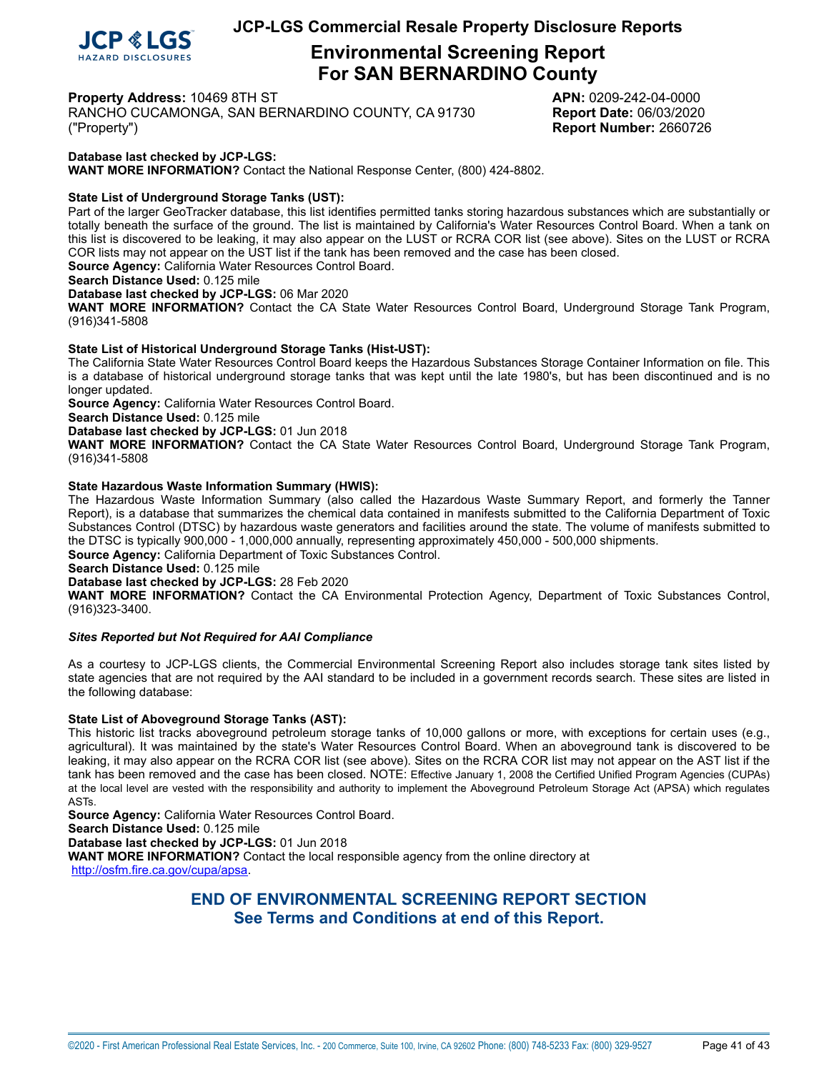

# **Environmental Screening Report For SAN BERNARDINO County**

**Property Address:** 10469 8TH ST **APN:** 0209-242-04-0000

RANCHO CUCAMONGA, SAN BERNARDINO COUNTY, CA 91730 **Report Date:** 06/03/2020 ("Property") **Report Number:** 2660726

### **Database last checked by JCP-LGS:**

**WANT MORE INFORMATION?** Contact the National Response Center, (800) 424-8802.

#### <span id="page-40-0"></span>**State List of Underground Storage Tanks (UST):**

Part of the larger GeoTracker database, this list identifies permitted tanks storing hazardous substances which are substantially or totally beneath the surface of the ground. The list is maintained by California's Water Resources Control Board. When a tank on this list is discovered to be leaking, it may also appear on the LUST or RCRA COR list (see above). Sites on the LUST or RCRA COR lists may not appear on the UST list if the tank has been removed and the case has been closed. **Source Agency:** California Water Resources Control Board.

**Search Distance Used:** 0.125 mile

### **Database last checked by JCP-LGS:** 06 Mar 2020

**WANT MORE INFORMATION?** Contact the CA State Water Resources Control Board, Underground Storage Tank Program, (916)341-5808

#### <span id="page-40-1"></span>**State List of Historical Underground Storage Tanks (Hist-UST):**

The California State Water Resources Control Board keeps the Hazardous Substances Storage Container Information on file. This is a database of historical underground storage tanks that was kept until the late 1980's, but has been discontinued and is no longer updated.

**Source Agency:** California Water Resources Control Board.

**Search Distance Used:** 0.125 mile

**Database last checked by JCP-LGS:** 01 Jun 2018

**WANT MORE INFORMATION?** Contact the CA State Water Resources Control Board, Underground Storage Tank Program, (916)341-5808

#### <span id="page-40-2"></span>**State Hazardous Waste Information Summary (HWIS):**

The Hazardous Waste Information Summary (also called the Hazardous Waste Summary Report, and formerly the Tanner Report), is a database that summarizes the chemical data contained in manifests submitted to the California Department of Toxic Substances Control (DTSC) by hazardous waste generators and facilities around the state. The volume of manifests submitted to the DTSC is typically 900,000 - 1,000,000 annually, representing approximately 450,000 - 500,000 shipments.

**Source Agency:** California Department of Toxic Substances Control.

**Search Distance Used:** 0.125 mile

**Database last checked by JCP-LGS:** 28 Feb 2020

**WANT MORE INFORMATION?** Contact the CA Environmental Protection Agency, Department of Toxic Substances Control, (916)323-3400.

#### *Sites Reported but Not Required for AAI Compliance*

As a courtesy to JCP-LGS clients, the Commercial Environmental Screening Report also includes storage tank sites listed by state agencies that are not required by the AAI standard to be included in a government records search. These sites are listed in the following database:

#### <span id="page-40-3"></span>**State List of Aboveground Storage Tanks (AST):**

This historic list tracks aboveground petroleum storage tanks of 10,000 gallons or more, with exceptions for certain uses (e.g., agricultural). It was maintained by the state's Water Resources Control Board. When an aboveground tank is discovered to be leaking, it may also appear on the RCRA COR list (see above). Sites on the RCRA COR list may not appear on the AST list if the tank has been removed and the case has been closed. NOTE: Effective January 1, 2008 the Certified Unified Program Agencies (CUPAs) at the local level are vested with the responsibility and authority to implement the Aboveground Petroleum Storage Act (APSA) which regulates ASTs.

**Source Agency:** California Water Resources Control Board.

**Search Distance Used:** 0.125 mile

**Database last checked by JCP-LGS:** 01 Jun 2018

**WANT MORE INFORMATION?** Contact the local responsible agency from the online directory at [http://osfm.fire.ca.gov/cupa/apsa.](http://osfm.fire.ca.gov/cupa/apsa)

## **END OF ENVIRONMENTAL SCREENING REPORT SECTION See Terms and Conditions at end of this Report.**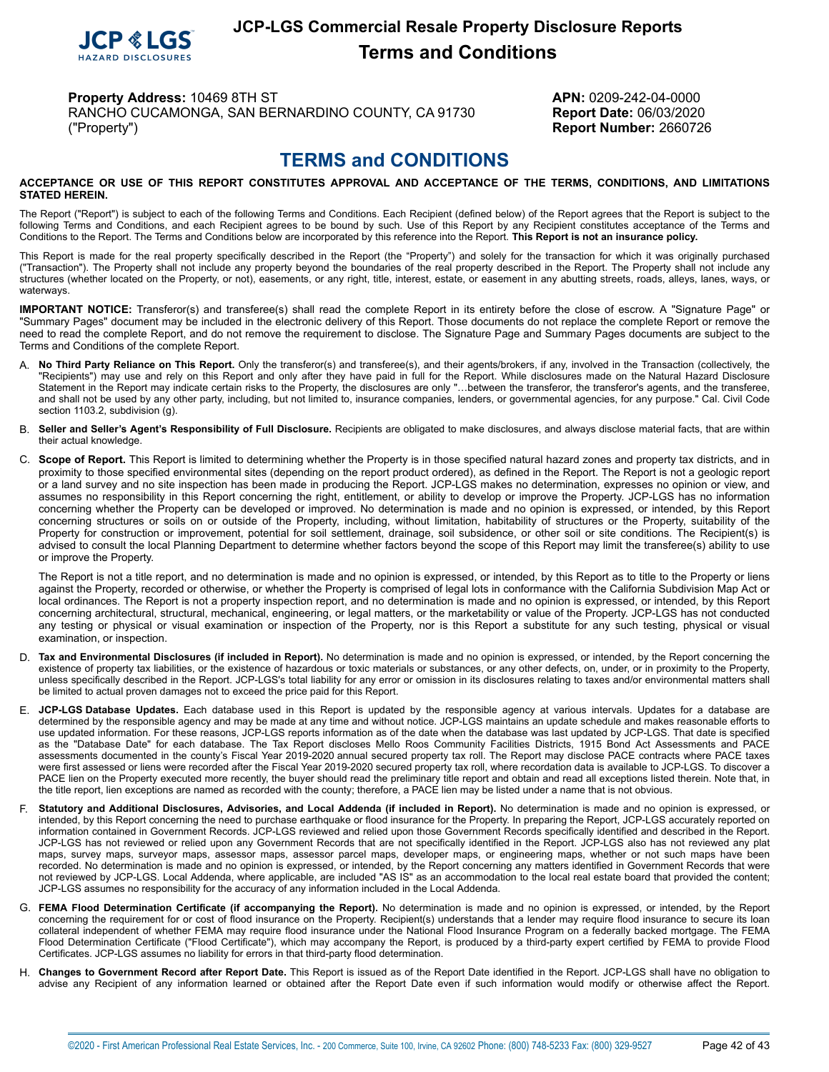

# **JCP-LGS Commercial Resale Property Disclosure Reports Terms and Conditions**

**Property Address:** 10469 8TH ST **APN:** 0209-242-04-0000 RANCHO CUCAMONGA, SAN BERNARDINO COUNTY, CA 91730 **Report Date:** 06/03/2020 ("Property") **Report Number:** 2660726

# **TERMS and CONDITIONS**

#### <span id="page-41-0"></span>**ACCEPTANCE OR USE OF THIS REPORT CONSTITUTES APPROVAL AND ACCEPTANCE OF THE TERMS, CONDITIONS, AND LIMITATIONS STATED HEREIN.**

The Report ("Report") is subject to each of the following Terms and Conditions. Each Recipient (defined below) of the Report agrees that the Report is subject to the following Terms and Conditions, and each Recipient agrees to be bound by such. Use of this Report by any Recipient constitutes acceptance of the Terms and Conditions to the Report. The Terms and Conditions below are incorporated by this reference into the Report. **This Report is not an insurance policy.**

This Report is made for the real property specifically described in the Report (the "Property") and solely for the transaction for which it was originally purchased ("Transaction"). The Property shall not include any property beyond the boundaries of the real property described in the Report. The Property shall not include any structures (whether located on the Property, or not), easements, or any right, title, interest, estate, or easement in any abutting streets, roads, alleys, lanes, ways, or waterways.

**IMPORTANT NOTICE:** Transferor(s) and transferee(s) shall read the complete Report in its entirety before the close of escrow. A "Signature Page" or "Summary Pages" document may be included in the electronic delivery of this Report. Those documents do not replace the complete Report or remove the need to read the complete Report, and do not remove the requirement to disclose. The Signature Page and Summary Pages documents are subject to the Terms and Conditions of the complete Report.

- A. **No Third Party Reliance on This Report.** Only the transferor(s) and transferee(s), and their agents/brokers, if any, involved in the Transaction (collectively, the "Recipients") may use and rely on this Report and only after they have paid in full for the Report. While disclosures made on the Natural Hazard Disclosure Statement in the Report may indicate certain risks to the Property, the disclosures are only "…between the transferor, the transferor's agents, and the transferee, and shall not be used by any other party, including, but not limited to, insurance companies, lenders, or governmental agencies, for any purpose." Cal. Civil Code section 1103.2, subdivision (g).
- B. **Seller and Seller's Agent's Responsibility of Full Disclosure.** Recipients are obligated to make disclosures, and always disclose material facts, that are within their actual knowledge.
- C. **Scope of Report.** This Report is limited to determining whether the Property is in those specified natural hazard zones and property tax districts, and in proximity to those specified environmental sites (depending on the report product ordered), as defined in the Report. The Report is not a geologic report or a land survey and no site inspection has been made in producing the Report. JCP-LGS makes no determination, expresses no opinion or view, and assumes no responsibility in this Report concerning the right, entitlement, or ability to develop or improve the Property. JCP-LGS has no information concerning whether the Property can be developed or improved. No determination is made and no opinion is expressed, or intended, by this Report concerning structures or soils on or outside of the Property, including, without limitation, habitability of structures or the Property, suitability of the Property for construction or improvement, potential for soil settlement, drainage, soil subsidence, or other soil or site conditions. The Recipient(s) is advised to consult the local Planning Department to determine whether factors beyond the scope of this Report may limit the transferee(s) ability to use or improve the Property.

The Report is not a title report, and no determination is made and no opinion is expressed, or intended, by this Report as to title to the Property or liens against the Property, recorded or otherwise, or whether the Property is comprised of legal lots in conformance with the California Subdivision Map Act or local ordinances. The Report is not a property inspection report, and no determination is made and no opinion is expressed, or intended, by this Report concerning architectural, structural, mechanical, engineering, or legal matters, or the marketability or value of the Property. JCP-LGS has not conducted any testing or physical or visual examination or inspection of the Property, nor is this Report a substitute for any such testing, physical or visual examination, or inspection.

- D. **Tax and Environmental Disclosures (if included in Report).** No determination is made and no opinion is expressed, or intended, by the Report concerning the existence of property tax liabilities, or the existence of hazardous or toxic materials or substances, or any other defects, on, under, or in proximity to the Property, unless specifically described in the Report. JCP-LGS's total liability for any error or omission in its disclosures relating to taxes and/or environmental matters shall be limited to actual proven damages not to exceed the price paid for this Report.
- E. **JCP-LGS Database Updates.** Each database used in this Report is updated by the responsible agency at various intervals. Updates for a database are determined by the responsible agency and may be made at any time and without notice. JCP-LGS maintains an update schedule and makes reasonable efforts to use updated information. For these reasons, JCP-LGS reports information as of the date when the database was last updated by JCP-LGS. That date is specified as the "Database Date" for each database. The Tax Report discloses Mello Roos Community Facilities Districts, 1915 Bond Act Assessments and PACE assessments documented in the county's Fiscal Year 2019-2020 annual secured property tax roll. The Report may disclose PACE contracts where PACE taxes were first assessed or liens were recorded after the Fiscal Year 2019-2020 secured property tax roll, where recordation data is available to JCP-LGS. To discover a PACE lien on the Property executed more recently, the buyer should read the preliminary title report and obtain and read all exceptions listed therein. Note that, in the title report, lien exceptions are named as recorded with the county; therefore, a PACE lien may be listed under a name that is not obvious.
- F. Statutory and Additional Disclosures, Advisories, and Local Addenda (if included in Report). No determination is made and no opinion is expressed, or intended, by this Report concerning the need to purchase earthquake or flood insurance for the Property. In preparing the Report, JCP-LGS accurately reported on information contained in Government Records. JCP-LGS reviewed and relied upon those Government Records specifically identified and described in the Report. JCP-LGS has not reviewed or relied upon any Government Records that are not specifically identified in the Report. JCP-LGS also has not reviewed any plat maps, survey maps, surveyor maps, assessor maps, assessor parcel maps, developer maps, or engineering maps, whether or not such maps have been recorded. No determination is made and no opinion is expressed, or intended, by the Report concerning any matters identified in Government Records that were not reviewed by JCP-LGS. Local Addenda, where applicable, are included "AS IS" as an accommodation to the local real estate board that provided the content; JCP-LGS assumes no responsibility for the accuracy of any information included in the Local Addenda.
- G. FEMA Flood Determination Certificate (if accompanying the Report). No determination is made and no opinion is expressed, or intended, by the Report concerning the requirement for or cost of flood insurance on the Proper collateral independent of whether FEMA may require flood insurance under the National Flood Insurance Program on a federally backed mortgage. The FEMA Flood Determination Certificate ("Flood Certificate"), which may accompany the Report, is produced by a third-party expert certified by FEMA to provide Flood Certificates. JCP-LGS assumes no liability for errors in that third-party flood determination.
- H. **Changes to Government Record after Report Date.** This Report is issued as of the Report Date identified in the Report. JCP-LGS shall have no obligation to advise any Recipient of any information learned or obtained after the Report Date even if such information would modify or otherwise affect the Report.